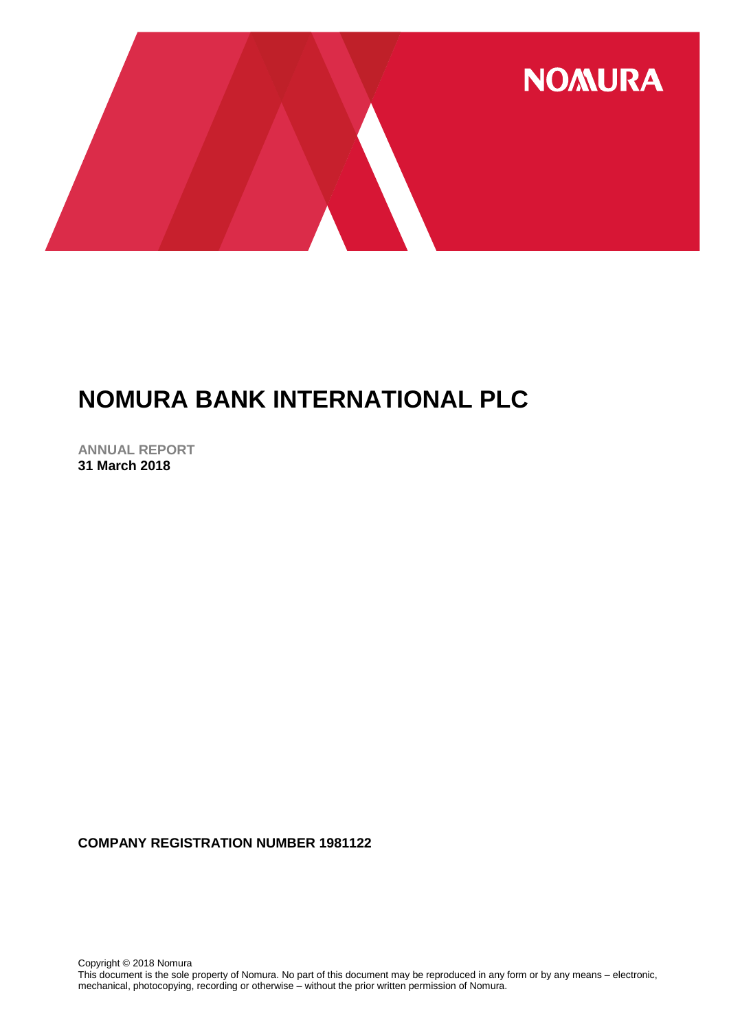

**ANNUAL REPORT 31 March 2018**

**COMPANY REGISTRATION NUMBER 1981122**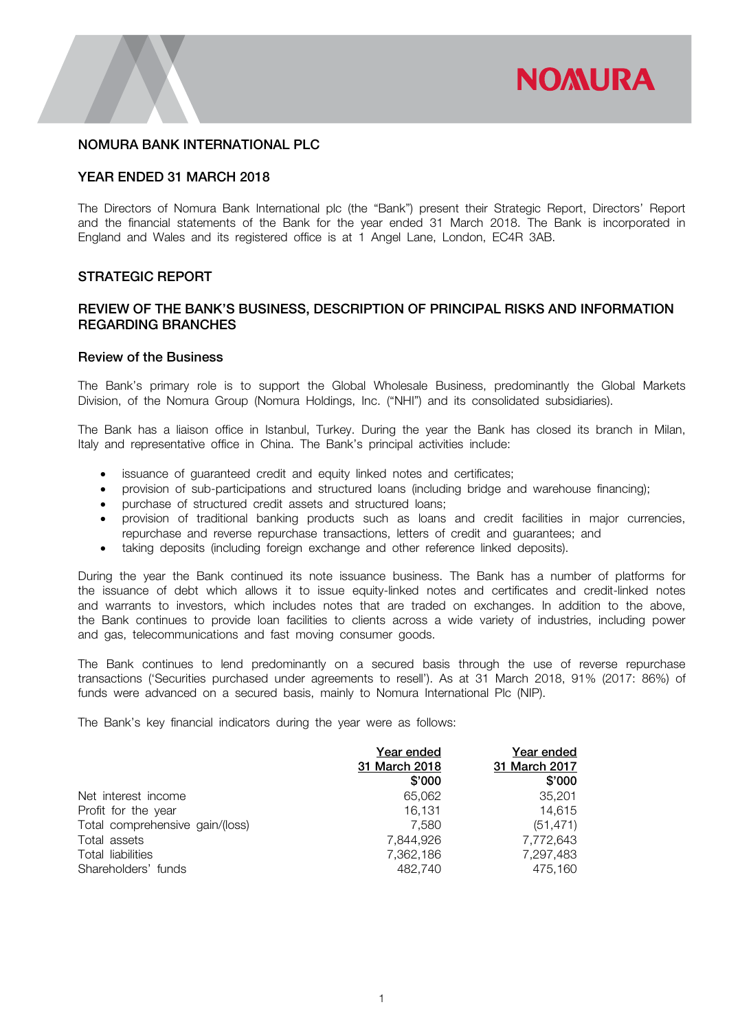

# YEAR ENDED 31 MARCH 2018

The Directors of Nomura Bank International plc (the "Bank") present their Strategic Report, Directors' Report and the financial statements of the Bank for the year ended 31 March 2018. The Bank is incorporated in England and Wales and its registered office is at 1 Angel Lane, London, EC4R 3AB.

# STRATEGIC REPORT

# REVIEW OF THE BANK'S BUSINESS, DESCRIPTION OF PRINCIPAL RISKS AND INFORMATION REGARDING BRANCHES

#### Review of the Business

The Bank's primary role is to support the Global Wholesale Business, predominantly the Global Markets Division, of the Nomura Group (Nomura Holdings, Inc. ("NHI") and its consolidated subsidiaries).

The Bank has a liaison office in Istanbul, Turkey. During the year the Bank has closed its branch in Milan, Italy and representative office in China. The Bank's principal activities include:

- issuance of guaranteed credit and equity linked notes and certificates;
- provision of sub-participations and structured loans (including bridge and warehouse financing);
- purchase of structured credit assets and structured loans;
- provision of traditional banking products such as loans and credit facilities in major currencies, repurchase and reverse repurchase transactions, letters of credit and guarantees; and
- taking deposits (including foreign exchange and other reference linked deposits).

During the year the Bank continued its note issuance business. The Bank has a number of platforms for the issuance of debt which allows it to issue equity-linked notes and certificates and credit-linked notes and warrants to investors, which includes notes that are traded on exchanges. In addition to the above, the Bank continues to provide loan facilities to clients across a wide variety of industries, including power and gas, telecommunications and fast moving consumer goods.

The Bank continues to lend predominantly on a secured basis through the use of reverse repurchase transactions ('Securities purchased under agreements to resell'). As at 31 March 2018, 91% (2017: 86%) of funds were advanced on a secured basis, mainly to Nomura International Plc (NIP).

The Bank's key financial indicators during the year were as follows:

|                                 | Year ended    | Year ended    |
|---------------------------------|---------------|---------------|
|                                 | 31 March 2018 | 31 March 2017 |
|                                 | \$'000        | \$'000        |
| Net interest income             | 65,062        | 35,201        |
| Profit for the year             | 16.131        | 14.615        |
| Total comprehensive gain/(loss) | 7.580         | (51, 471)     |
| Total assets                    | 7,844,926     | 7,772,643     |
| Total liabilities               | 7,362,186     | 7,297,483     |
| Shareholders' funds             | 482.740       | 475.160       |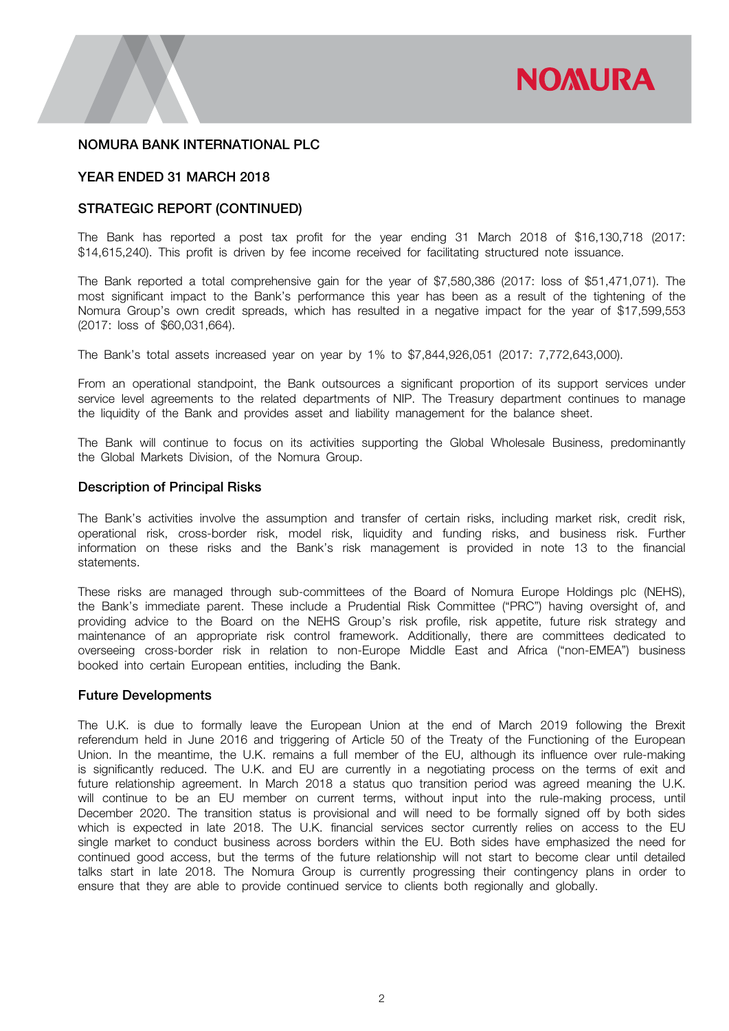

# YEAR ENDED 31 MARCH 2018

# STRATEGIC REPORT (CONTINUED)

The Bank has reported a post tax profit for the year ending 31 March 2018 of \$16,130,718 (2017: \$14,615,240). This profit is driven by fee income received for facilitating structured note issuance.

The Bank reported a total comprehensive gain for the year of \$7,580,386 (2017: loss of \$51,471,071). The most significant impact to the Bank's performance this year has been as a result of the tightening of the Nomura Group's own credit spreads, which has resulted in a negative impact for the year of \$17,599,553 (2017: loss of \$60,031,664).

The Bank's total assets increased year on year by 1% to \$7,844,926,051 (2017: 7,772,643,000).

From an operational standpoint, the Bank outsources a significant proportion of its support services under service level agreements to the related departments of NIP. The Treasury department continues to manage the liquidity of the Bank and provides asset and liability management for the balance sheet.

The Bank will continue to focus on its activities supporting the Global Wholesale Business, predominantly the Global Markets Division, of the Nomura Group.

#### Description of Principal Risks

The Bank's activities involve the assumption and transfer of certain risks, including market risk, credit risk, operational risk, cross-border risk, model risk, liquidity and funding risks, and business risk. Further information on these risks and the Bank's risk management is provided in note 13 to the financial statements.

These risks are managed through sub-committees of the Board of Nomura Europe Holdings plc (NEHS), the Bank's immediate parent. These include a Prudential Risk Committee ("PRC") having oversight of, and providing advice to the Board on the NEHS Group's risk profile, risk appetite, future risk strategy and maintenance of an appropriate risk control framework. Additionally, there are committees dedicated to overseeing cross-border risk in relation to non-Europe Middle East and Africa ("non-EMEA") business booked into certain European entities, including the Bank.

#### Future Developments

The U.K. is due to formally leave the European Union at the end of March 2019 following the Brexit referendum held in June 2016 and triggering of Article 50 of the Treaty of the Functioning of the European Union. In the meantime, the U.K. remains a full member of the EU, although its influence over rule-making is significantly reduced. The U.K. and EU are currently in a negotiating process on the terms of exit and future relationship agreement. In March 2018 a status quo transition period was agreed meaning the U.K. will continue to be an EU member on current terms, without input into the rule-making process, until December 2020. The transition status is provisional and will need to be formally signed off by both sides which is expected in late 2018. The U.K. financial services sector currently relies on access to the EU single market to conduct business across borders within the EU. Both sides have emphasized the need for continued good access, but the terms of the future relationship will not start to become clear until detailed talks start in late 2018. The Nomura Group is currently progressing their contingency plans in order to ensure that they are able to provide continued service to clients both regionally and globally.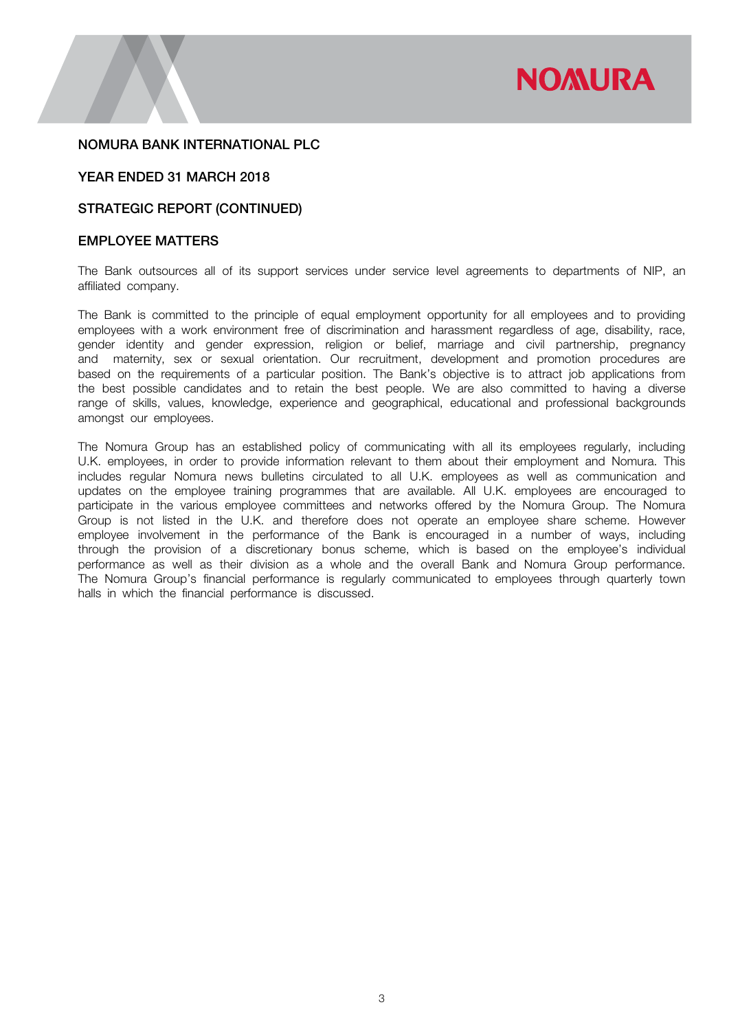

# YEAR ENDED 31 MARCH 2018

### STRATEGIC REPORT (CONTINUED)

### EMPLOYEE MATTERS

The Bank outsources all of its support services under service level agreements to departments of NIP, an affiliated company.

The Bank is committed to the principle of equal employment opportunity for all employees and to providing employees with a work environment free of discrimination and harassment regardless of age, disability, race, gender identity and gender expression, religion or belief, marriage and civil partnership, pregnancy and maternity, sex or sexual orientation. Our recruitment, development and promotion procedures are based on the requirements of a particular position. The Bank's objective is to attract job applications from the best possible candidates and to retain the best people. We are also committed to having a diverse range of skills, values, knowledge, experience and geographical, educational and professional backgrounds amongst our employees.

The Nomura Group has an established policy of communicating with all its employees regularly, including U.K. employees, in order to provide information relevant to them about their employment and Nomura. This includes regular Nomura news bulletins circulated to all U.K. employees as well as communication and updates on the employee training programmes that are available. All U.K. employees are encouraged to participate in the various employee committees and networks offered by the Nomura Group. The Nomura Group is not listed in the U.K. and therefore does not operate an employee share scheme. However employee involvement in the performance of the Bank is encouraged in a number of ways, including through the provision of a discretionary bonus scheme, which is based on the employee's individual performance as well as their division as a whole and the overall Bank and Nomura Group performance. The Nomura Group's financial performance is regularly communicated to employees through quarterly town halls in which the financial performance is discussed.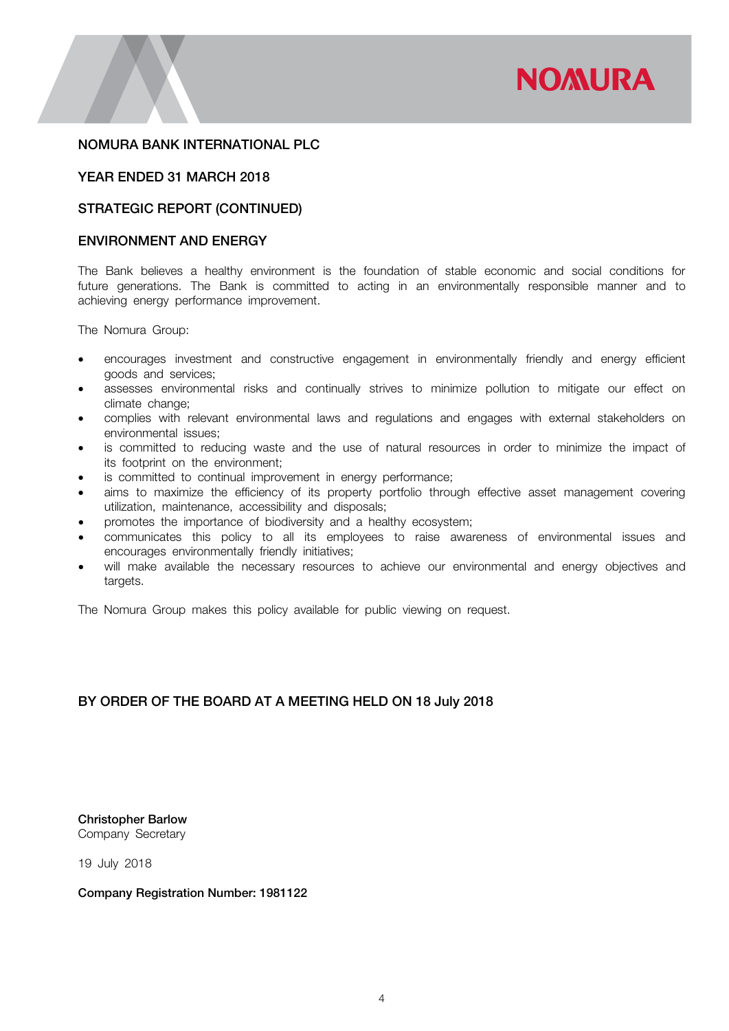

# YEAR ENDED 31 MARCH 2018

### STRATEGIC REPORT (CONTINUED)

#### ENVIRONMENT AND ENERGY

The Bank believes a healthy environment is the foundation of stable economic and social conditions for future generations. The Bank is committed to acting in an environmentally responsible manner and to achieving energy performance improvement.

The Nomura Group:

- encourages investment and constructive engagement in environmentally friendly and energy efficient goods and services;
- assesses environmental risks and continually strives to minimize pollution to mitigate our effect on climate change;
- complies with relevant environmental laws and regulations and engages with external stakeholders on environmental issues;
- is committed to reducing waste and the use of natural resources in order to minimize the impact of its footprint on the environment;
- is committed to continual improvement in energy performance;
- aims to maximize the efficiency of its property portfolio through effective asset management covering utilization, maintenance, accessibility and disposals;
- promotes the importance of biodiversity and a healthy ecosystem;
- communicates this policy to all its employees to raise awareness of environmental issues and encourages environmentally friendly initiatives;
- will make available the necessary resources to achieve our environmental and energy objectives and targets.

The Nomura Group makes this policy available for public viewing on request.

# BY ORDER OF THE BOARD AT A MEETING HELD ON 18 July 2018

Christopher Barlow Company Secretary

19 July 2018

#### Company Registration Number: 1981122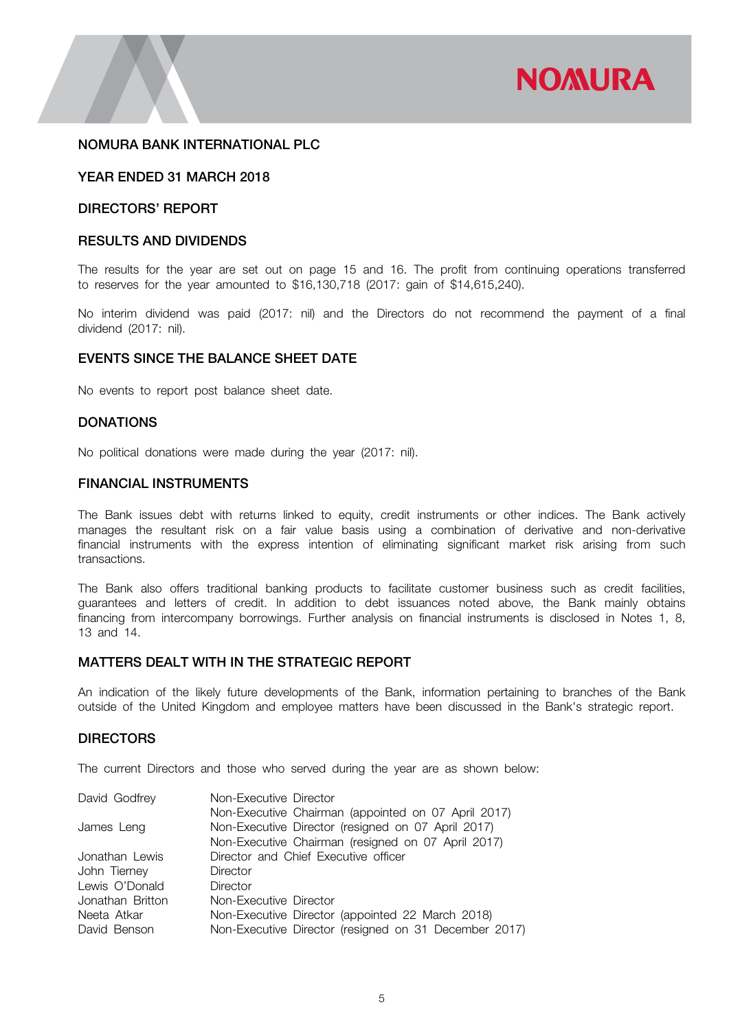

# YEAR ENDED 31 MARCH 2018

# DIRECTORS' REPORT

#### RESULTS AND DIVIDENDS

The results for the year are set out on page 15 and 16. The profit from continuing operations transferred to reserves for the year amounted to \$16,130,718 (2017: gain of \$14,615,240).

No interim dividend was paid (2017: nil) and the Directors do not recommend the payment of a final dividend (2017: nil).

# EVENTS SINCE THE BALANCE SHEET DATE

No events to report post balance sheet date.

# **DONATIONS**

No political donations were made during the year (2017: nil).

#### FINANCIAL INSTRUMENTS

The Bank issues debt with returns linked to equity, credit instruments or other indices. The Bank actively manages the resultant risk on a fair value basis using a combination of derivative and non-derivative financial instruments with the express intention of eliminating significant market risk arising from such transactions.

The Bank also offers traditional banking products to facilitate customer business such as credit facilities, guarantees and letters of credit. In addition to debt issuances noted above, the Bank mainly obtains financing from intercompany borrowings. Further analysis on financial instruments is disclosed in Notes 1, 8, 13 and 14.

# MATTERS DEALT WITH IN THE STRATEGIC REPORT

An indication of the likely future developments of the Bank, information pertaining to branches of the Bank outside of the United Kingdom and employee matters have been discussed in the Bank's strategic report.

#### **DIRECTORS**

The current Directors and those who served during the year are as shown below:

| David Godfrey    | Non-Executive Director                                |
|------------------|-------------------------------------------------------|
|                  | Non-Executive Chairman (appointed on 07 April 2017)   |
| James Leng       | Non-Executive Director (resigned on 07 April 2017)    |
|                  | Non-Executive Chairman (resigned on 07 April 2017)    |
| Jonathan Lewis   | Director and Chief Executive officer                  |
| John Tierney     | Director                                              |
| Lewis O'Donald   | Director                                              |
| Jonathan Britton | Non-Executive Director                                |
| Neeta Atkar      | Non-Executive Director (appointed 22 March 2018)      |
| David Benson     | Non-Executive Director (resigned on 31 December 2017) |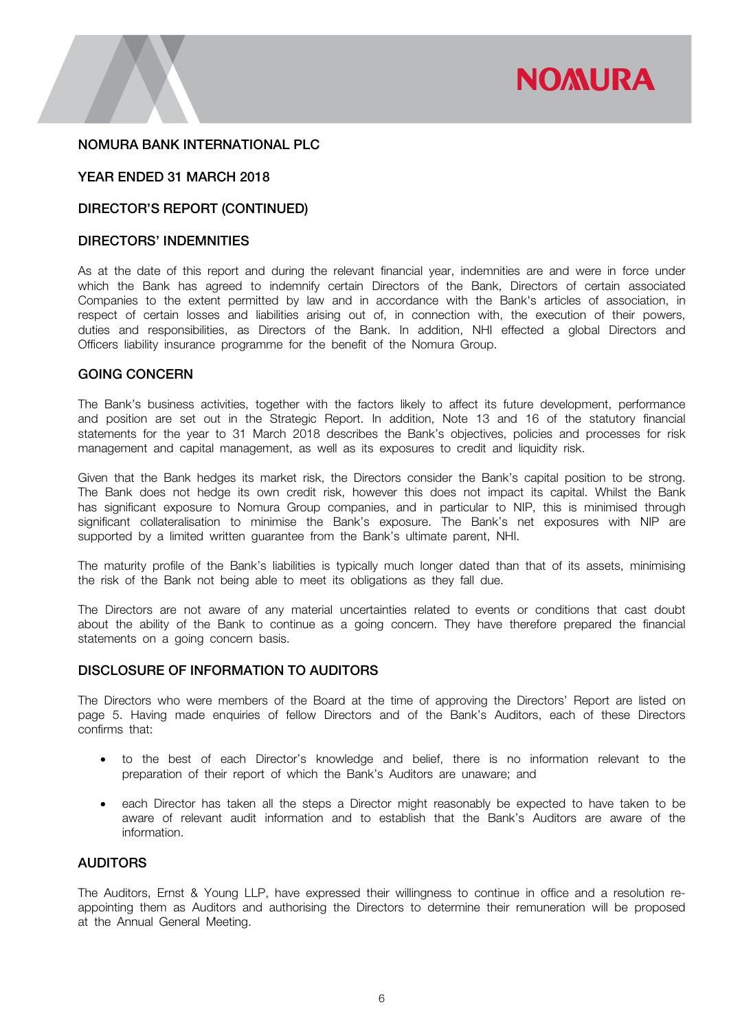

# YEAR ENDED 31 MARCH 2018

#### DIRECTOR'S REPORT (CONTINUED)

#### DIRECTORS' INDEMNITIES

As at the date of this report and during the relevant financial year, indemnities are and were in force under which the Bank has agreed to indemnify certain Directors of the Bank, Directors of certain associated Companies to the extent permitted by law and in accordance with the Bank's articles of association, in respect of certain losses and liabilities arising out of, in connection with, the execution of their powers, duties and responsibilities, as Directors of the Bank. In addition, NHI effected a global Directors and Officers liability insurance programme for the benefit of the Nomura Group.

#### GOING CONCERN

The Bank's business activities, together with the factors likely to affect its future development, performance and position are set out in the Strategic Report. In addition, Note 13 and 16 of the statutory financial statements for the year to 31 March 2018 describes the Bank's objectives, policies and processes for risk management and capital management, as well as its exposures to credit and liquidity risk.

Given that the Bank hedges its market risk, the Directors consider the Bank's capital position to be strong. The Bank does not hedge its own credit risk, however this does not impact its capital. Whilst the Bank has significant exposure to Nomura Group companies, and in particular to NIP, this is minimised through significant collateralisation to minimise the Bank's exposure. The Bank's net exposures with NIP are supported by a limited written guarantee from the Bank's ultimate parent, NHI.

The maturity profile of the Bank's liabilities is typically much longer dated than that of its assets, minimising the risk of the Bank not being able to meet its obligations as they fall due.

The Directors are not aware of any material uncertainties related to events or conditions that cast doubt about the ability of the Bank to continue as a going concern. They have therefore prepared the financial statements on a going concern basis.

#### DISCLOSURE OF INFORMATION TO AUDITORS

The Directors who were members of the Board at the time of approving the Directors' Report are listed on page 5. Having made enquiries of fellow Directors and of the Bank's Auditors, each of these Directors confirms that:

- to the best of each Director's knowledge and belief, there is no information relevant to the preparation of their report of which the Bank's Auditors are unaware; and
- each Director has taken all the steps a Director might reasonably be expected to have taken to be aware of relevant audit information and to establish that the Bank's Auditors are aware of the information.

### AUDITORS

The Auditors, Ernst & Young LLP, have expressed their willingness to continue in office and a resolution reappointing them as Auditors and authorising the Directors to determine their remuneration will be proposed at the Annual General Meeting.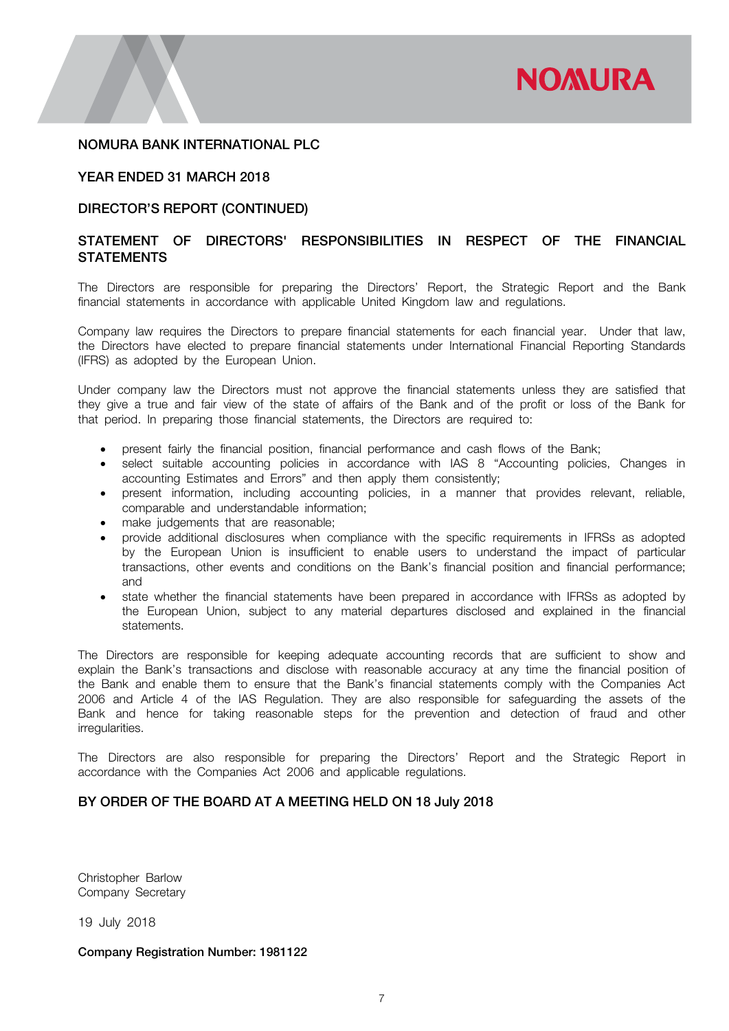

# YEAR ENDED 31 MARCH 2018

### DIRECTOR'S REPORT (CONTINUED)

# STATEMENT OF DIRECTORS' RESPONSIBILITIES IN RESPECT OF THE FINANCIAL **STATEMENTS**

The Directors are responsible for preparing the Directors' Report, the Strategic Report and the Bank financial statements in accordance with applicable United Kingdom law and regulations.

Company law requires the Directors to prepare financial statements for each financial year. Under that law, the Directors have elected to prepare financial statements under International Financial Reporting Standards (IFRS) as adopted by the European Union.

Under company law the Directors must not approve the financial statements unless they are satisfied that they give a true and fair view of the state of affairs of the Bank and of the profit or loss of the Bank for that period. In preparing those financial statements, the Directors are required to:

- present fairly the financial position, financial performance and cash flows of the Bank;
- select suitable accounting policies in accordance with IAS 8 "Accounting policies, Changes in accounting Estimates and Errors" and then apply them consistently;
- present information, including accounting policies, in a manner that provides relevant, reliable, comparable and understandable information;
- make judgements that are reasonable;
- provide additional disclosures when compliance with the specific requirements in IFRSs as adopted by the European Union is insufficient to enable users to understand the impact of particular transactions, other events and conditions on the Bank's financial position and financial performance; and
- state whether the financial statements have been prepared in accordance with IFRSs as adopted by the European Union, subject to any material departures disclosed and explained in the financial statements.

The Directors are responsible for keeping adequate accounting records that are sufficient to show and explain the Bank's transactions and disclose with reasonable accuracy at any time the financial position of the Bank and enable them to ensure that the Bank's financial statements comply with the Companies Act 2006 and Article 4 of the IAS Regulation. They are also responsible for safeguarding the assets of the Bank and hence for taking reasonable steps for the prevention and detection of fraud and other irregularities.

The Directors are also responsible for preparing the Directors' Report and the Strategic Report in accordance with the Companies Act 2006 and applicable regulations.

# BY ORDER OF THE BOARD AT A MEETING HELD ON 18 July 2018

Christopher Barlow Company Secretary

19 July 2018

#### Company Registration Number: 1981122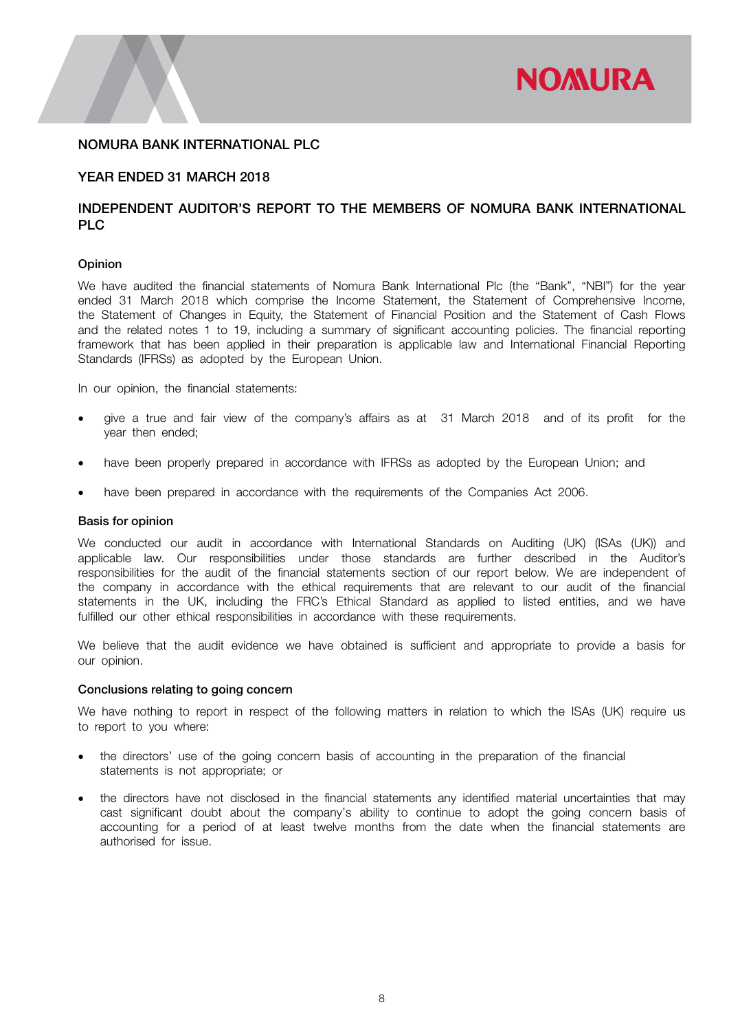

# YEAR ENDED 31 MARCH 2018

# INDEPENDENT AUDITOR'S REPORT TO THE MEMBERS OF NOMURA BANK INTERNATIONAL PLC

#### **Opinion**

We have audited the financial statements of Nomura Bank International Plc (the "Bank", "NBI") for the year ended 31 March 2018 which comprise the Income Statement, the Statement of Comprehensive Income, the Statement of Changes in Equity, the Statement of Financial Position and the Statement of Cash Flows and the related notes 1 to 19, including a summary of significant accounting policies. The financial reporting framework that has been applied in their preparation is applicable law and International Financial Reporting Standards (IFRSs) as adopted by the European Union.

In our opinion, the financial statements:

- give a true and fair view of the company's affairs as at 31 March 2018 and of its profit for the year then ended;
- have been properly prepared in accordance with IFRSs as adopted by the European Union; and
- have been prepared in accordance with the requirements of the Companies Act 2006.

#### Basis for opinion

We conducted our audit in accordance with International Standards on Auditing (UK) (ISAs (UK)) and applicable law. Our responsibilities under those standards are further described in the Auditor's responsibilities for the audit of the financial statements section of our report below. We are independent of the company in accordance with the ethical requirements that are relevant to our audit of the financial statements in the UK, including the FRC's Ethical Standard as applied to listed entities, and we have fulfilled our other ethical responsibilities in accordance with these requirements.

We believe that the audit evidence we have obtained is sufficient and appropriate to provide a basis for our opinion.

#### Conclusions relating to going concern

We have nothing to report in respect of the following matters in relation to which the ISAs (UK) require us to report to you where:

- the directors' use of the going concern basis of accounting in the preparation of the financial statements is not appropriate; or
- the directors have not disclosed in the financial statements any identified material uncertainties that may cast significant doubt about the company's ability to continue to adopt the going concern basis of accounting for a period of at least twelve months from the date when the financial statements are authorised for issue.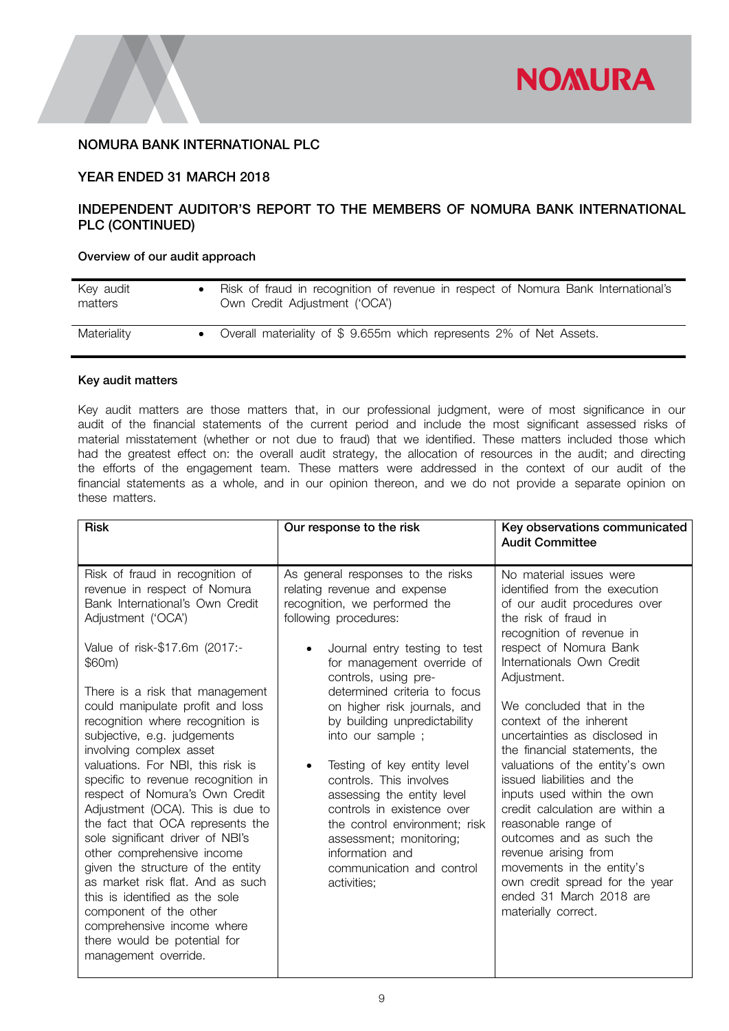

# YEAR ENDED 31 MARCH 2018

# INDEPENDENT AUDITOR'S REPORT TO THE MEMBERS OF NOMURA BANK INTERNATIONAL PLC (CONTINUED)

### Overview of our audit approach

| Key audit<br>matters | • Risk of fraud in recognition of revenue in respect of Nomura Bank International's<br>Own Credit Adjustment ('OCA') |
|----------------------|----------------------------------------------------------------------------------------------------------------------|
| Materiality          | • Overall materiality of \$ 9.655m which represents 2% of Net Assets.                                                |

#### Key audit matters

Key audit matters are those matters that, in our professional judgment, were of most significance in our audit of the financial statements of the current period and include the most significant assessed risks of material misstatement (whether or not due to fraud) that we identified. These matters included those which had the greatest effect on: the overall audit strategy, the allocation of resources in the audit; and directing the efforts of the engagement team. These matters were addressed in the context of our audit of the financial statements as a whole, and in our opinion thereon, and we do not provide a separate opinion on these matters.

| <b>Risk</b>                                                                                                                                                                                                                                                                                                                                                                                                                                                                                                                                                                                                                                                                                                                                                                                        | Our response to the risk                                                                                                                                                                                                                                                                                                                                                                                                                                                                                                                                                                | Key observations communicated<br><b>Audit Committee</b>                                                                                                                                                                                                                                                                                                                                                                                                                                                                                                                                                                                                                   |
|----------------------------------------------------------------------------------------------------------------------------------------------------------------------------------------------------------------------------------------------------------------------------------------------------------------------------------------------------------------------------------------------------------------------------------------------------------------------------------------------------------------------------------------------------------------------------------------------------------------------------------------------------------------------------------------------------------------------------------------------------------------------------------------------------|-----------------------------------------------------------------------------------------------------------------------------------------------------------------------------------------------------------------------------------------------------------------------------------------------------------------------------------------------------------------------------------------------------------------------------------------------------------------------------------------------------------------------------------------------------------------------------------------|---------------------------------------------------------------------------------------------------------------------------------------------------------------------------------------------------------------------------------------------------------------------------------------------------------------------------------------------------------------------------------------------------------------------------------------------------------------------------------------------------------------------------------------------------------------------------------------------------------------------------------------------------------------------------|
| Risk of fraud in recognition of<br>revenue in respect of Nomura<br>Bank International's Own Credit<br>Adjustment ('OCA')<br>Value of risk-\$17.6m (2017:-<br>\$60m)<br>There is a risk that management<br>could manipulate profit and loss<br>recognition where recognition is<br>subjective, e.g. judgements<br>involving complex asset<br>valuations. For NBI, this risk is<br>specific to revenue recognition in<br>respect of Nomura's Own Credit<br>Adjustment (OCA). This is due to<br>the fact that OCA represents the<br>sole significant driver of NBI's<br>other comprehensive income<br>given the structure of the entity<br>as market risk flat. And as such<br>this is identified as the sole<br>component of the other<br>comprehensive income where<br>there would be potential for | As general responses to the risks<br>relating revenue and expense<br>recognition, we performed the<br>following procedures:<br>Journal entry testing to test<br>for management override of<br>controls, using pre-<br>determined criteria to focus<br>on higher risk journals, and<br>by building unpredictability<br>into our sample;<br>Testing of key entity level<br>controls. This involves<br>assessing the entity level<br>controls in existence over<br>the control environment; risk<br>assessment; monitoring;<br>information and<br>communication and control<br>activities; | No material issues were<br>identified from the execution<br>of our audit procedures over<br>the risk of fraud in<br>recognition of revenue in<br>respect of Nomura Bank<br>Internationals Own Credit<br>Adjustment.<br>We concluded that in the<br>context of the inherent<br>uncertainties as disclosed in<br>the financial statements, the<br>valuations of the entity's own<br>issued liabilities and the<br>inputs used within the own<br>credit calculation are within a<br>reasonable range of<br>outcomes and as such the<br>revenue arising from<br>movements in the entity's<br>own credit spread for the year<br>ended 31 March 2018 are<br>materially correct. |
| management override.                                                                                                                                                                                                                                                                                                                                                                                                                                                                                                                                                                                                                                                                                                                                                                               |                                                                                                                                                                                                                                                                                                                                                                                                                                                                                                                                                                                         |                                                                                                                                                                                                                                                                                                                                                                                                                                                                                                                                                                                                                                                                           |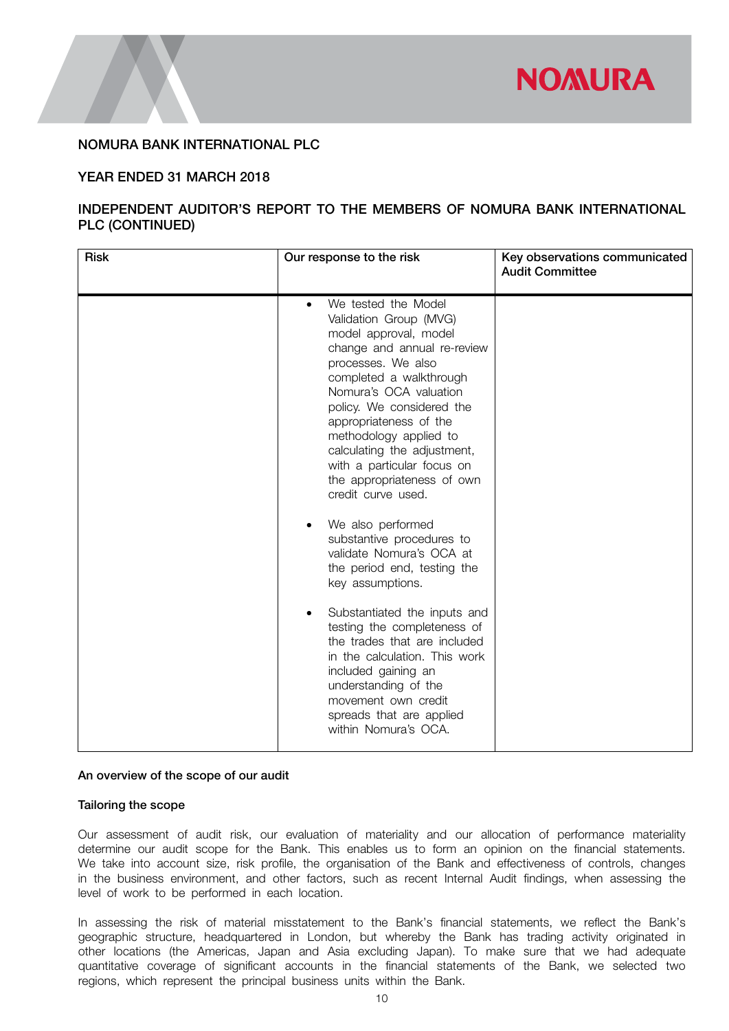

# YEAR ENDED 31 MARCH 2018

# INDEPENDENT AUDITOR'S REPORT TO THE MEMBERS OF NOMURA BANK INTERNATIONAL PLC (CONTINUED)

| <b>Risk</b> | Our response to the risk                                                                                                                                                                                                                                                                                                                                                                                                                                                                                                                                                                                                                                                                                                                                                                   | Key observations communicated<br><b>Audit Committee</b> |
|-------------|--------------------------------------------------------------------------------------------------------------------------------------------------------------------------------------------------------------------------------------------------------------------------------------------------------------------------------------------------------------------------------------------------------------------------------------------------------------------------------------------------------------------------------------------------------------------------------------------------------------------------------------------------------------------------------------------------------------------------------------------------------------------------------------------|---------------------------------------------------------|
|             | We tested the Model<br>$\bullet$<br>Validation Group (MVG)<br>model approval, model<br>change and annual re-review<br>processes. We also<br>completed a walkthrough<br>Nomura's OCA valuation<br>policy. We considered the<br>appropriateness of the<br>methodology applied to<br>calculating the adjustment,<br>with a particular focus on<br>the appropriateness of own<br>credit curve used.<br>We also performed<br>substantive procedures to<br>validate Nomura's OCA at<br>the period end, testing the<br>key assumptions.<br>Substantiated the inputs and<br>testing the completeness of<br>the trades that are included<br>in the calculation. This work<br>included gaining an<br>understanding of the<br>movement own credit<br>spreads that are applied<br>within Nomura's OCA. |                                                         |

### An overview of the scope of our audit

#### Tailoring the scope

Our assessment of audit risk, our evaluation of materiality and our allocation of performance materiality determine our audit scope for the Bank. This enables us to form an opinion on the financial statements. We take into account size, risk profile, the organisation of the Bank and effectiveness of controls, changes in the business environment, and other factors, such as recent Internal Audit findings, when assessing the level of work to be performed in each location.

In assessing the risk of material misstatement to the Bank's financial statements, we reflect the Bank's geographic structure, headquartered in London, but whereby the Bank has trading activity originated in other locations (the Americas, Japan and Asia excluding Japan). To make sure that we had adequate quantitative coverage of significant accounts in the financial statements of the Bank, we selected two regions, which represent the principal business units within the Bank.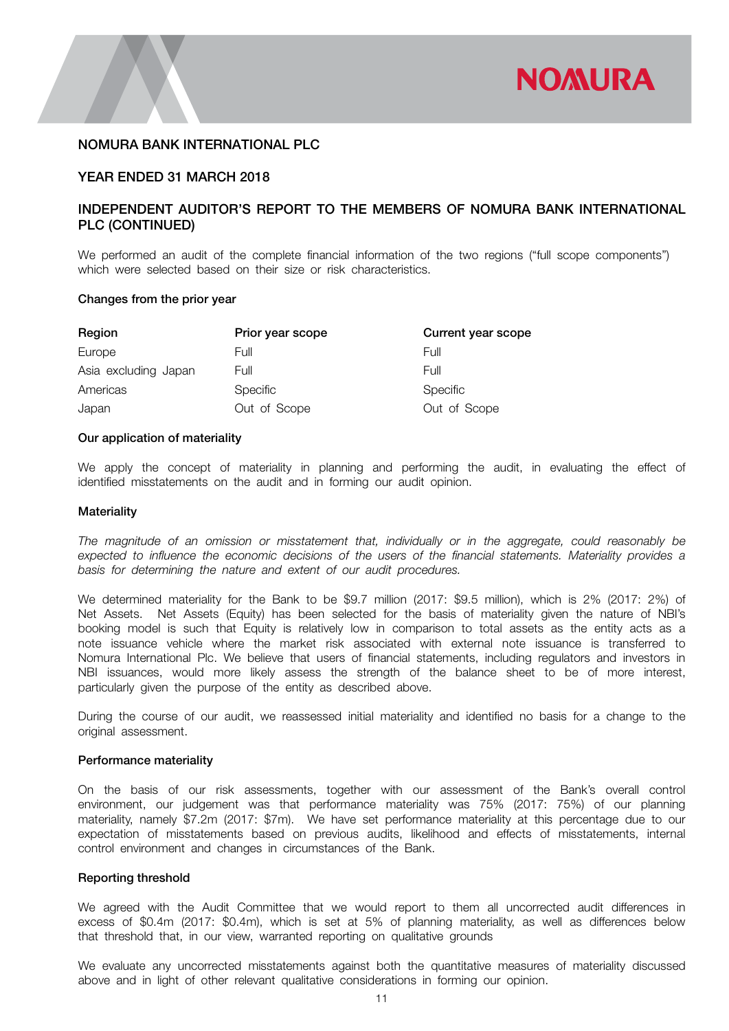

# YEAR ENDED 31 MARCH 2018

# INDEPENDENT AUDITOR'S REPORT TO THE MEMBERS OF NOMURA BANK INTERNATIONAL PLC (CONTINUED)

We performed an audit of the complete financial information of the two regions ("full scope components") which were selected based on their size or risk characteristics.

#### Changes from the prior year

| Region               | Prior year scope | Current year scope |
|----------------------|------------------|--------------------|
| Europe               | Full             | Full               |
| Asia excluding Japan | Full             | Full               |
| Americas             | <b>Specific</b>  | Specific           |
| Japan                | Out of Scope     | Out of Scope       |

#### Our application of materiality

We apply the concept of materiality in planning and performing the audit, in evaluating the effect of identified misstatements on the audit and in forming our audit opinion.

#### **Materiality**

*The magnitude of an omission or misstatement that, individually or in the aggregate, could reasonably be expected to influence the economic decisions of the users of the financial statements. Materiality provides a basis for determining the nature and extent of our audit procedures.*

We determined materiality for the Bank to be \$9.7 million (2017: \$9.5 million), which is 2% (2017: 2%) of Net Assets. Net Assets (Equity) has been selected for the basis of materiality given the nature of NBI's booking model is such that Equity is relatively low in comparison to total assets as the entity acts as a note issuance vehicle where the market risk associated with external note issuance is transferred to Nomura International Plc. We believe that users of financial statements, including regulators and investors in NBI issuances, would more likely assess the strength of the balance sheet to be of more interest, particularly given the purpose of the entity as described above.

During the course of our audit, we reassessed initial materiality and identified no basis for a change to the original assessment.

#### Performance materiality

On the basis of our risk assessments, together with our assessment of the Bank's overall control environment, our judgement was that performance materiality was 75% (2017: 75%) of our planning materiality, namely \$7.2m (2017: \$7m). We have set performance materiality at this percentage due to our expectation of misstatements based on previous audits, likelihood and effects of misstatements, internal control environment and changes in circumstances of the Bank.

#### Reporting threshold

We agreed with the Audit Committee that we would report to them all uncorrected audit differences in excess of \$0.4m (2017: \$0.4m), which is set at 5% of planning materiality, as well as differences below that threshold that, in our view, warranted reporting on qualitative grounds

We evaluate any uncorrected misstatements against both the quantitative measures of materiality discussed above and in light of other relevant qualitative considerations in forming our opinion.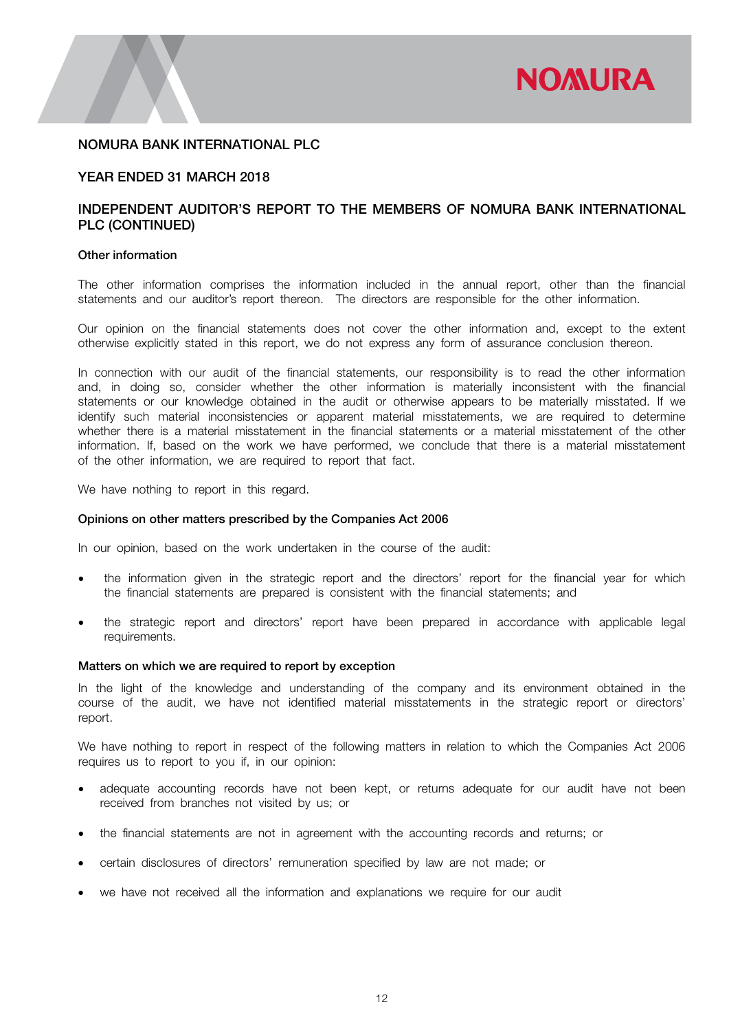

# YEAR ENDED 31 MARCH 2018

# INDEPENDENT AUDITOR'S REPORT TO THE MEMBERS OF NOMURA BANK INTERNATIONAL PLC (CONTINUED)

### Other information

The other information comprises the information included in the annual report, other than the financial statements and our auditor's report thereon. The directors are responsible for the other information.

Our opinion on the financial statements does not cover the other information and, except to the extent otherwise explicitly stated in this report, we do not express any form of assurance conclusion thereon.

In connection with our audit of the financial statements, our responsibility is to read the other information and, in doing so, consider whether the other information is materially inconsistent with the financial statements or our knowledge obtained in the audit or otherwise appears to be materially misstated. If we identify such material inconsistencies or apparent material misstatements, we are required to determine whether there is a material misstatement in the financial statements or a material misstatement of the other information. If, based on the work we have performed, we conclude that there is a material misstatement of the other information, we are required to report that fact.

We have nothing to report in this regard.

#### Opinions on other matters prescribed by the Companies Act 2006

In our opinion, based on the work undertaken in the course of the audit:

- the information given in the strategic report and the directors' report for the financial year for which the financial statements are prepared is consistent with the financial statements; and
- the strategic report and directors' report have been prepared in accordance with applicable legal requirements.

#### Matters on which we are required to report by exception

In the light of the knowledge and understanding of the company and its environment obtained in the course of the audit, we have not identified material misstatements in the strategic report or directors' report.

We have nothing to report in respect of the following matters in relation to which the Companies Act 2006 requires us to report to you if, in our opinion:

- adequate accounting records have not been kept, or returns adequate for our audit have not been received from branches not visited by us; or
- the financial statements are not in agreement with the accounting records and returns; or
- certain disclosures of directors' remuneration specified by law are not made; or
- we have not received all the information and explanations we require for our audit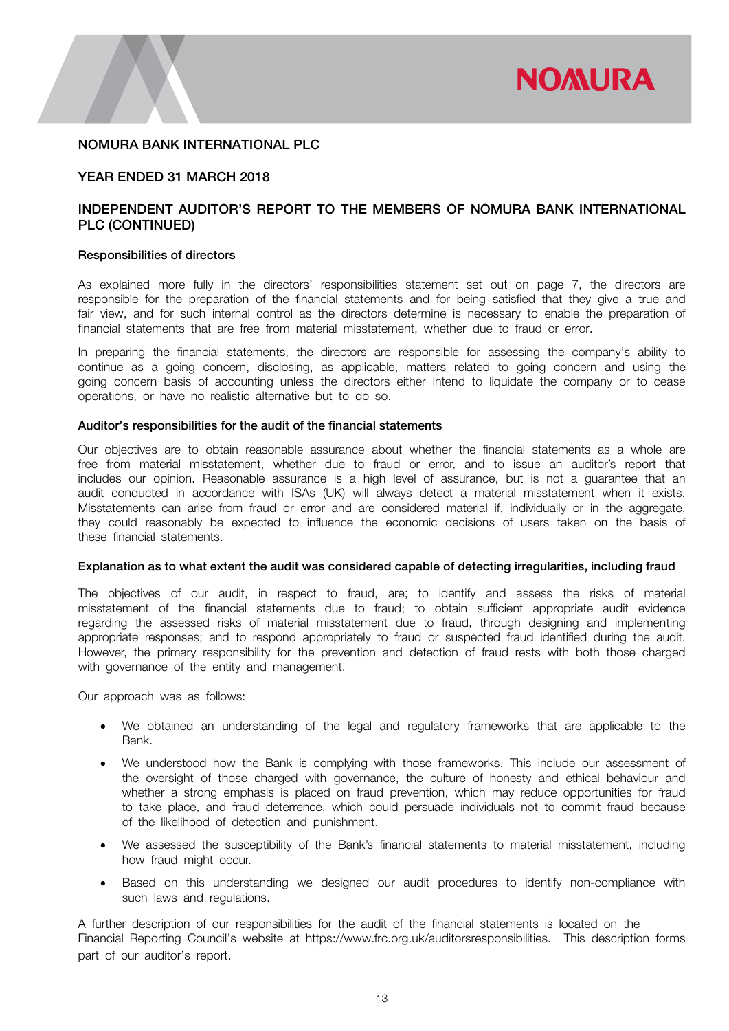

# YEAR ENDED 31 MARCH 2018

# INDEPENDENT AUDITOR'S REPORT TO THE MEMBERS OF NOMURA BANK INTERNATIONAL PLC (CONTINUED)

#### Responsibilities of directors

As explained more fully in the directors' responsibilities statement set out on page 7, the directors are responsible for the preparation of the financial statements and for being satisfied that they give a true and fair view, and for such internal control as the directors determine is necessary to enable the preparation of financial statements that are free from material misstatement, whether due to fraud or error.

In preparing the financial statements, the directors are responsible for assessing the company's ability to continue as a going concern, disclosing, as applicable, matters related to going concern and using the going concern basis of accounting unless the directors either intend to liquidate the company or to cease operations, or have no realistic alternative but to do so.

#### Auditor's responsibilities for the audit of the financial statements

Our objectives are to obtain reasonable assurance about whether the financial statements as a whole are free from material misstatement, whether due to fraud or error, and to issue an auditor's report that includes our opinion. Reasonable assurance is a high level of assurance, but is not a guarantee that an audit conducted in accordance with ISAs (UK) will always detect a material misstatement when it exists. Misstatements can arise from fraud or error and are considered material if, individually or in the aggregate, they could reasonably be expected to influence the economic decisions of users taken on the basis of these financial statements.

#### Explanation as to what extent the audit was considered capable of detecting irregularities, including fraud

The objectives of our audit, in respect to fraud, are; to identify and assess the risks of material misstatement of the financial statements due to fraud; to obtain sufficient appropriate audit evidence regarding the assessed risks of material misstatement due to fraud, through designing and implementing appropriate responses; and to respond appropriately to fraud or suspected fraud identified during the audit. However, the primary responsibility for the prevention and detection of fraud rests with both those charged with governance of the entity and management.

Our approach was as follows:

- We obtained an understanding of the legal and regulatory frameworks that are applicable to the Bank.
- We understood how the Bank is complying with those frameworks. This include our assessment of the oversight of those charged with governance, the culture of honesty and ethical behaviour and whether a strong emphasis is placed on fraud prevention, which may reduce opportunities for fraud to take place, and fraud deterrence, which could persuade individuals not to commit fraud because of the likelihood of detection and punishment.
- We assessed the susceptibility of the Bank's financial statements to material misstatement, including how fraud might occur.
- Based on this understanding we designed our audit procedures to identify non-compliance with such laws and regulations.

A further description of our responsibilities for the audit of the financial statements is located on the Financial Reporting Council's website at https://www.frc.org.uk/auditorsresponsibilities. This description forms part of our auditor's report.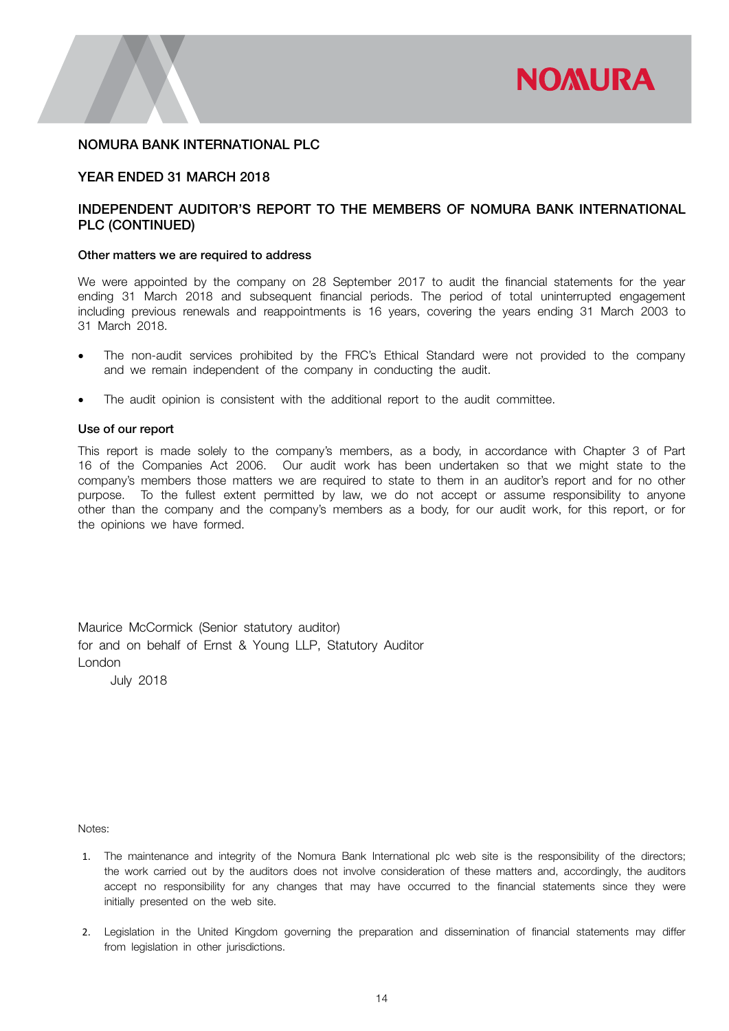

# YEAR ENDED 31 MARCH 2018

# INDEPENDENT AUDITOR'S REPORT TO THE MEMBERS OF NOMURA BANK INTERNATIONAL PLC (CONTINUED)

#### Other matters we are required to address

We were appointed by the company on 28 September 2017 to audit the financial statements for the year ending 31 March 2018 and subsequent financial periods. The period of total uninterrupted engagement including previous renewals and reappointments is 16 years, covering the years ending 31 March 2003 to 31 March 2018.

- The non-audit services prohibited by the FRC's Ethical Standard were not provided to the company and we remain independent of the company in conducting the audit.
- The audit opinion is consistent with the additional report to the audit committee.

#### Use of our report

This report is made solely to the company's members, as a body, in accordance with Chapter 3 of Part 16 of the Companies Act 2006. Our audit work has been undertaken so that we might state to the company's members those matters we are required to state to them in an auditor's report and for no other purpose. To the fullest extent permitted by law, we do not accept or assume responsibility to anyone other than the company and the company's members as a body, for our audit work, for this report, or for the opinions we have formed.

Maurice McCormick (Senior statutory auditor) for and on behalf of Ernst & Young LLP, Statutory Auditor London

July 2018

Notes:

- 1. The maintenance and integrity of the Nomura Bank International plc web site is the responsibility of the directors; the work carried out by the auditors does not involve consideration of these matters and, accordingly, the auditors accept no responsibility for any changes that may have occurred to the financial statements since they were initially presented on the web site.
- 2. Legislation in the United Kingdom governing the preparation and dissemination of financial statements may differ from legislation in other jurisdictions.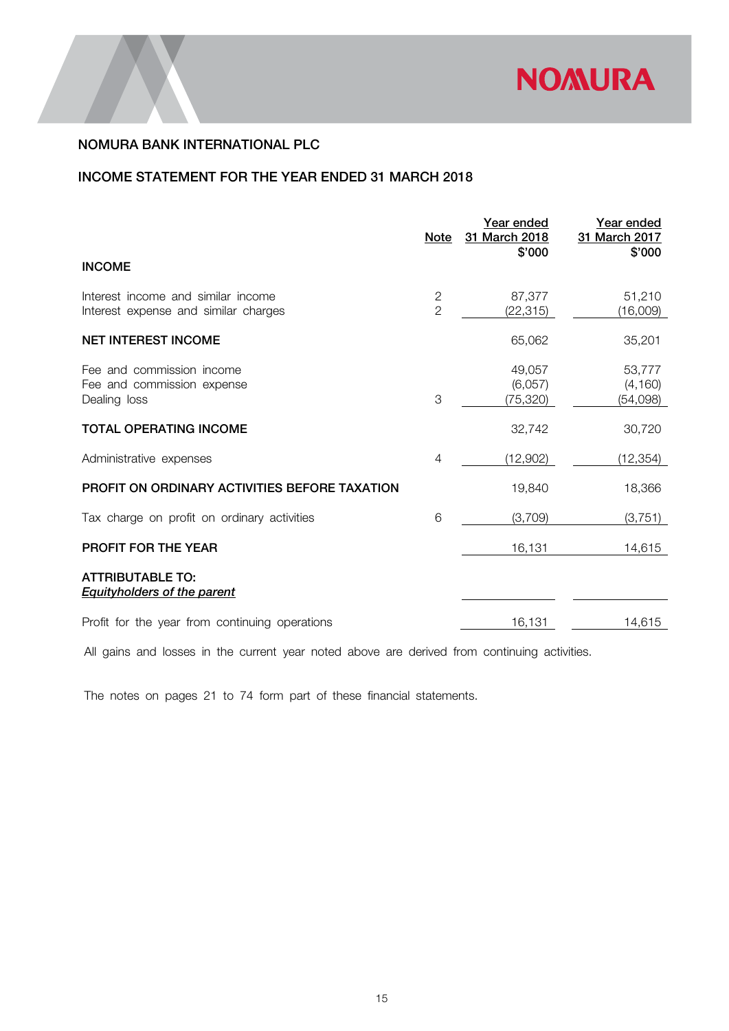

# INCOME STATEMENT FOR THE YEAR ENDED 31 MARCH 2018

|                                                                            | Note                           | Year ended<br>31 March 2018<br>\$'000 | Year ended<br>31 March 2017<br>\$'000 |
|----------------------------------------------------------------------------|--------------------------------|---------------------------------------|---------------------------------------|
| <b>INCOME</b>                                                              |                                |                                       |                                       |
| Interest income and similar income<br>Interest expense and similar charges | $\mathbf{2}$<br>$\overline{2}$ | 87,377<br>(22, 315)                   | 51.210<br>(16,009)                    |
| <b>NET INTEREST INCOME</b>                                                 |                                | 65,062                                | 35,201                                |
| Fee and commission income<br>Fee and commission expense<br>Dealing loss    | 3                              | 49,057<br>(6,057)<br>(75, 320)        | 53.777<br>(4, 160)<br>(54,098)        |
| <b>TOTAL OPERATING INCOME</b>                                              |                                | 32,742                                | 30,720                                |
| Administrative expenses                                                    | $\overline{4}$                 | (12,902)                              | (12, 354)                             |
| PROFIT ON ORDINARY ACTIVITIES BEFORE TAXATION                              |                                | 19,840                                | 18,366                                |
| Tax charge on profit on ordinary activities                                | 6                              | (3,709)                               | (3,751)                               |
| <b>PROFIT FOR THE YEAR</b>                                                 |                                | 16,131                                | 14,615                                |
| <b>ATTRIBUTABLE TO:</b><br><b>Equityholders of the parent</b>              |                                |                                       |                                       |
| Profit for the year from continuing operations                             |                                | 16,131                                | 14,615                                |

All gains and losses in the current year noted above are derived from continuing activities.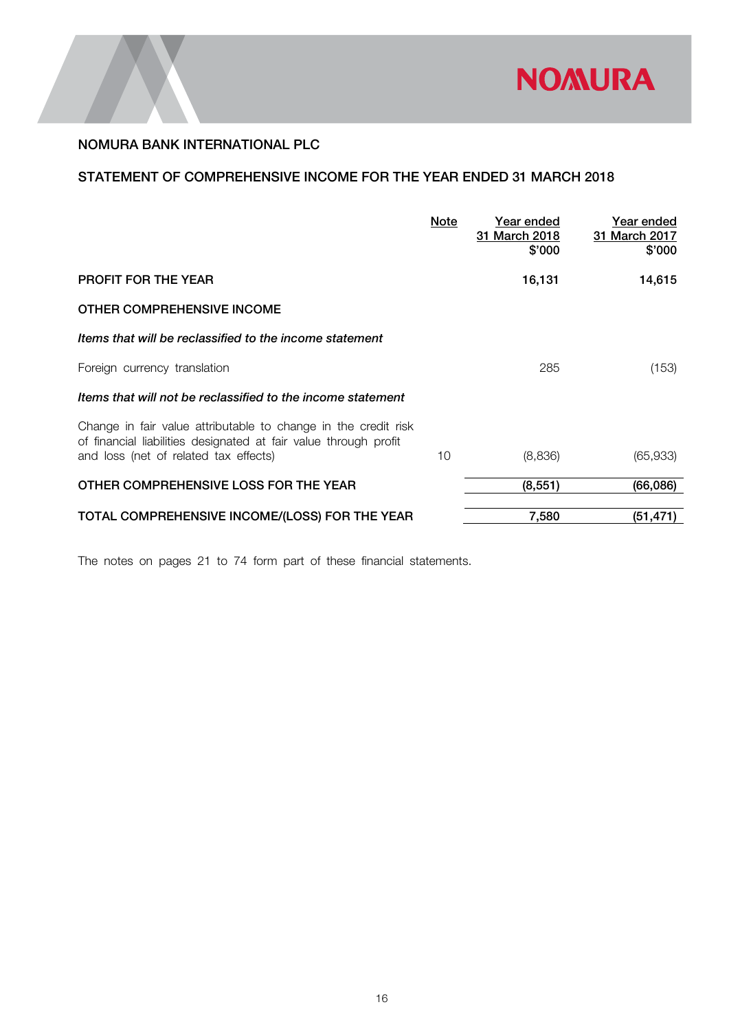

# STATEMENT OF COMPREHENSIVE INCOME FOR THE YEAR ENDED 31 MARCH 2018

|                                                                                                                                                                             | <b>Note</b> | Year ended<br>31 March 2018<br>\$'000 | Year ended<br>31 March 2017<br>\$'000 |
|-----------------------------------------------------------------------------------------------------------------------------------------------------------------------------|-------------|---------------------------------------|---------------------------------------|
| <b>PROFIT FOR THE YEAR</b>                                                                                                                                                  |             | 16,131                                | 14,615                                |
| OTHER COMPREHENSIVE INCOME                                                                                                                                                  |             |                                       |                                       |
| Items that will be reclassified to the income statement                                                                                                                     |             |                                       |                                       |
| Foreign currency translation                                                                                                                                                |             | 285                                   | (153)                                 |
| Items that will not be reclassified to the income statement                                                                                                                 |             |                                       |                                       |
| Change in fair value attributable to change in the credit risk<br>of financial liabilities designated at fair value through profit<br>and loss (net of related tax effects) | 10          | (8,836)                               | (65,933)                              |
| OTHER COMPREHENSIVE LOSS FOR THE YEAR                                                                                                                                       |             | (8,551)                               | (66,086)                              |
| TOTAL COMPREHENSIVE INCOME/(LOSS) FOR THE YEAR                                                                                                                              |             | 7.580                                 | (51,471)                              |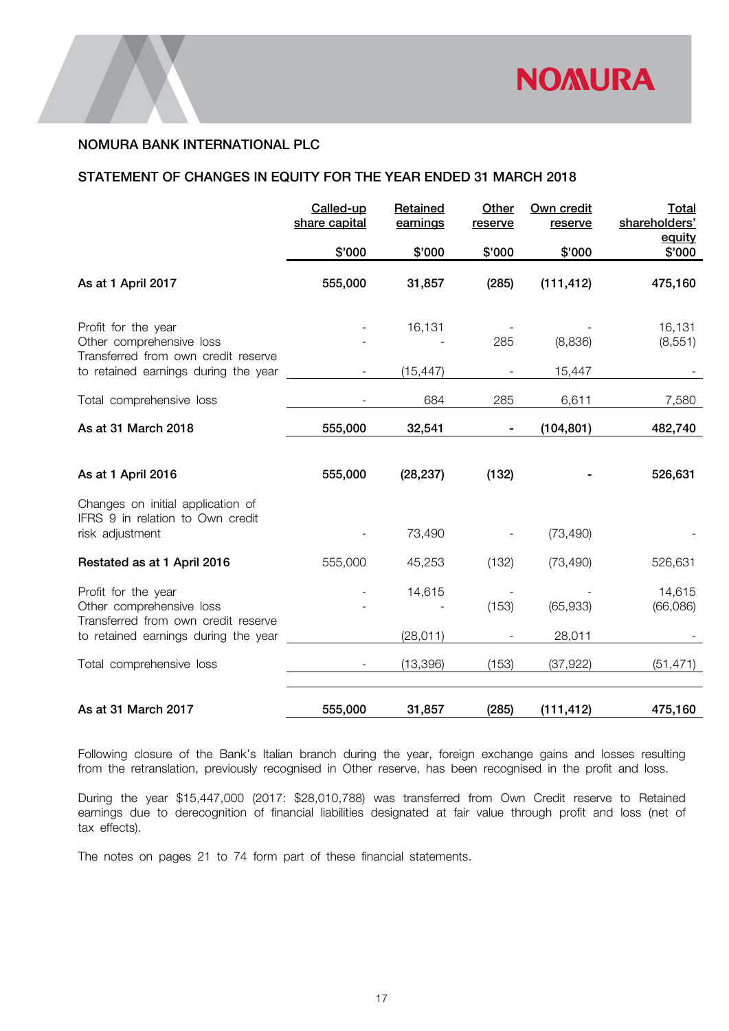

# STATEMENT OF CHANGES IN EQUITY FOR THE YEAR ENDED 31 MARCH 2018

|                                                                                          | Called-up<br>share capital | Retained<br>earnings | Other<br>reserve | Own credit<br>reserve | Total<br>shareholders'<br>equity |
|------------------------------------------------------------------------------------------|----------------------------|----------------------|------------------|-----------------------|----------------------------------|
|                                                                                          | \$'000                     | \$'000               | \$'000           | \$'000                | \$'000                           |
| As at 1 April 2017                                                                       | 555,000                    | 31,857               | (285)            | (111, 412)            | 475,160                          |
| Profit for the year<br>Other comprehensive loss<br>Transferred from own credit reserve   |                            | 16,131               | 285              | (8,836)               | 16,131<br>(8, 551)               |
| to retained earnings during the year                                                     |                            | (15, 447)            |                  | 15,447                |                                  |
| Total comprehensive loss                                                                 |                            | 684                  | 285              | 6,611                 | 7,580                            |
| As at 31 March 2018                                                                      | 555,000                    | 32,541               |                  | (104, 801)            | 482,740                          |
| As at 1 April 2016                                                                       | 555,000                    | (28, 237)            | (132)            |                       | 526,631                          |
| Changes on initial application of<br>IFRS 9 in relation to Own credit<br>risk adjustment |                            | 73,490               |                  | (73, 490)             |                                  |
| Restated as at 1 April 2016                                                              | 555,000                    | 45,253               | (132)            | (73, 490)             | 526,631                          |
| Profit for the year<br>Other comprehensive loss<br>Transferred from own credit reserve   |                            | 14,615               | (153)            | (65, 933)             | 14,615<br>(66,086)               |
| to retained earnings during the year                                                     |                            | (28, 011)            |                  | 28,011                |                                  |
| Total comprehensive loss                                                                 |                            | (13, 396)            | (153)            | (37, 922)             | (51, 471)                        |
| As at 31 March 2017                                                                      | 555,000                    | 31,857               | (285)            | (111, 412)            | 475,160                          |

Following closure of the Bank's Italian branch during the year, foreign exchange gains and losses resulting from the retranslation, previously recognised in Other reserve, has been recognised in the profit and loss.

During the year \$15,447,000 (2017: \$28,010,788) was transferred from Own Credit reserve to Retained earnings due to derecognition of financial liabilities designated at fair value through profit and loss (net of tax effects).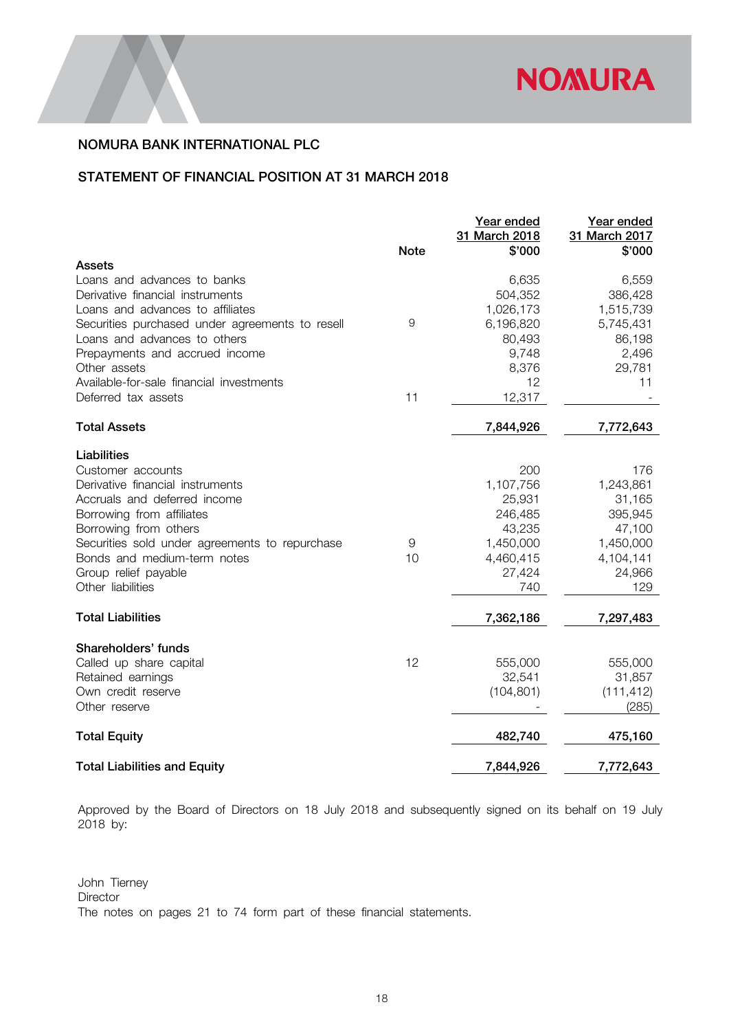

# STATEMENT OF FINANCIAL POSITION AT 31 MARCH 2018

|                                                 | <b>Note</b> | Year ended<br>31 March 2018<br>\$'000 | Year ended<br>31 March 2017<br>\$'000 |
|-------------------------------------------------|-------------|---------------------------------------|---------------------------------------|
| Assets                                          |             |                                       |                                       |
| Loans and advances to banks                     |             | 6,635                                 | 6,559                                 |
| Derivative financial instruments                |             | 504,352                               | 386,428                               |
| Loans and advances to affiliates                |             | 1,026,173                             | 1,515,739                             |
| Securities purchased under agreements to resell | 9           | 6,196,820                             | 5,745,431                             |
| Loans and advances to others                    |             | 80,493                                | 86,198                                |
| Prepayments and accrued income                  |             | 9,748                                 | 2,496                                 |
| Other assets                                    |             | 8,376                                 | 29,781                                |
| Available-for-sale financial investments        |             | 12                                    | 11                                    |
| Deferred tax assets                             | 11          | 12,317                                |                                       |
| <b>Total Assets</b>                             |             | 7,844,926                             | 7,772,643                             |
| Liabilities                                     |             |                                       |                                       |
| Customer accounts                               |             | 200                                   | 176                                   |
| Derivative financial instruments                |             | 1,107,756                             | 1,243,861                             |
| Accruals and deferred income                    |             | 25,931                                | 31,165                                |
| Borrowing from affiliates                       |             | 246,485                               | 395,945                               |
| Borrowing from others                           |             | 43,235                                | 47,100                                |
| Securities sold under agreements to repurchase  | 9           | 1,450,000                             | 1,450,000                             |
| Bonds and medium-term notes                     | 10          | 4,460,415                             | 4,104,141                             |
| Group relief payable                            |             | 27,424                                | 24,966                                |
| Other liabilities                               |             | 740                                   | 129                                   |
| <b>Total Liabilities</b>                        |             | 7,362,186                             | 7,297,483                             |
| Shareholders' funds                             |             |                                       |                                       |
| Called up share capital                         | 12          | 555,000                               | 555,000                               |
| Retained earnings                               |             | 32,541                                | 31,857                                |
| Own credit reserve                              |             | (104, 801)                            | (111, 412)                            |
| Other reserve                                   |             |                                       | (285)                                 |
| <b>Total Equity</b>                             |             | 482,740                               | 475,160                               |
| <b>Total Liabilities and Equity</b>             |             | 7,844,926                             | 7,772,643                             |

Approved by the Board of Directors on 18 July 2018 and subsequently signed on its behalf on 19 July 2018 by:

John Tierney **Director** The notes on pages 21 to 74 form part of these financial statements.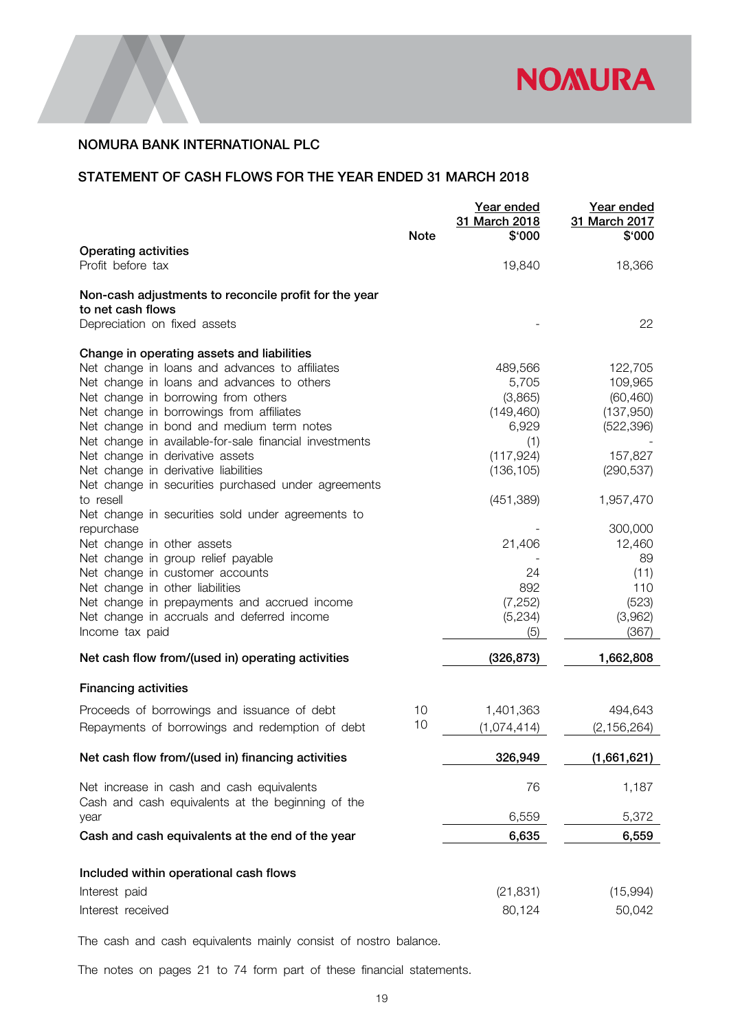

# STATEMENT OF CASH FLOWS FOR THE YEAR ENDED 31 MARCH 2018

|                                                                                                                                                                                                                                                                                                                                                                                                                                                                                                                                                                                                                                                                                                                                                                                                                  |             | Year ended<br>31 March 2018                                                                                                                              | Year ended<br>31 March 2017                                                                                                                                              |
|------------------------------------------------------------------------------------------------------------------------------------------------------------------------------------------------------------------------------------------------------------------------------------------------------------------------------------------------------------------------------------------------------------------------------------------------------------------------------------------------------------------------------------------------------------------------------------------------------------------------------------------------------------------------------------------------------------------------------------------------------------------------------------------------------------------|-------------|----------------------------------------------------------------------------------------------------------------------------------------------------------|--------------------------------------------------------------------------------------------------------------------------------------------------------------------------|
|                                                                                                                                                                                                                                                                                                                                                                                                                                                                                                                                                                                                                                                                                                                                                                                                                  | <b>Note</b> | \$'000                                                                                                                                                   | \$'000                                                                                                                                                                   |
| <b>Operating activities</b><br>Profit before tax                                                                                                                                                                                                                                                                                                                                                                                                                                                                                                                                                                                                                                                                                                                                                                 |             | 19,840                                                                                                                                                   | 18,366                                                                                                                                                                   |
| Non-cash adjustments to reconcile profit for the year<br>to net cash flows<br>Depreciation on fixed assets                                                                                                                                                                                                                                                                                                                                                                                                                                                                                                                                                                                                                                                                                                       |             |                                                                                                                                                          | 22                                                                                                                                                                       |
| Change in operating assets and liabilities<br>Net change in loans and advances to affiliates<br>Net change in loans and advances to others<br>Net change in borrowing from others<br>Net change in borrowings from affiliates<br>Net change in bond and medium term notes<br>Net change in available-for-sale financial investments<br>Net change in derivative assets<br>Net change in derivative liabilities<br>Net change in securities purchased under agreements<br>to resell<br>Net change in securities sold under agreements to<br>repurchase<br>Net change in other assets<br>Net change in group relief payable<br>Net change in customer accounts<br>Net change in other liabilities<br>Net change in prepayments and accrued income<br>Net change in accruals and deferred income<br>Income tax paid |             | 489,566<br>5,705<br>(3,865)<br>(149, 460)<br>6,929<br>(1)<br>(117, 924)<br>(136, 105)<br>(451, 389)<br>21,406<br>24<br>892<br>(7, 252)<br>(5,234)<br>(5) | 122,705<br>109,965<br>(60, 460)<br>(137, 950)<br>(522, 396)<br>157,827<br>(290, 537)<br>1,957,470<br>300,000<br>12,460<br>89<br>(11)<br>110<br>(523)<br>(3,962)<br>(367) |
| Net cash flow from/(used in) operating activities                                                                                                                                                                                                                                                                                                                                                                                                                                                                                                                                                                                                                                                                                                                                                                |             | (326, 873)                                                                                                                                               | 1,662,808                                                                                                                                                                |
| <b>Financing activities</b>                                                                                                                                                                                                                                                                                                                                                                                                                                                                                                                                                                                                                                                                                                                                                                                      |             |                                                                                                                                                          |                                                                                                                                                                          |
| Proceeds of borrowings and issuance of debt<br>Repayments of borrowings and redemption of debt                                                                                                                                                                                                                                                                                                                                                                                                                                                                                                                                                                                                                                                                                                                   | 10<br>10    | 1,401,363<br>(1,074,414)                                                                                                                                 | 494,643<br>(2, 156, 264)                                                                                                                                                 |
| Net cash flow from/(used in) financing activities                                                                                                                                                                                                                                                                                                                                                                                                                                                                                                                                                                                                                                                                                                                                                                |             | 326,949                                                                                                                                                  | (1,661,621)                                                                                                                                                              |
| Net increase in cash and cash equivalents<br>Cash and cash equivalents at the beginning of the                                                                                                                                                                                                                                                                                                                                                                                                                                                                                                                                                                                                                                                                                                                   |             | 76                                                                                                                                                       | 1,187                                                                                                                                                                    |
| year                                                                                                                                                                                                                                                                                                                                                                                                                                                                                                                                                                                                                                                                                                                                                                                                             |             | 6,559                                                                                                                                                    | 5,372                                                                                                                                                                    |
| Cash and cash equivalents at the end of the year                                                                                                                                                                                                                                                                                                                                                                                                                                                                                                                                                                                                                                                                                                                                                                 |             | 6,635                                                                                                                                                    | 6,559                                                                                                                                                                    |
| Included within operational cash flows                                                                                                                                                                                                                                                                                                                                                                                                                                                                                                                                                                                                                                                                                                                                                                           |             |                                                                                                                                                          |                                                                                                                                                                          |
| Interest paid                                                                                                                                                                                                                                                                                                                                                                                                                                                                                                                                                                                                                                                                                                                                                                                                    |             | (21, 831)                                                                                                                                                | (15,994)                                                                                                                                                                 |
| Interest received                                                                                                                                                                                                                                                                                                                                                                                                                                                                                                                                                                                                                                                                                                                                                                                                |             | 80,124                                                                                                                                                   | 50,042                                                                                                                                                                   |

The cash and cash equivalents mainly consist of nostro balance.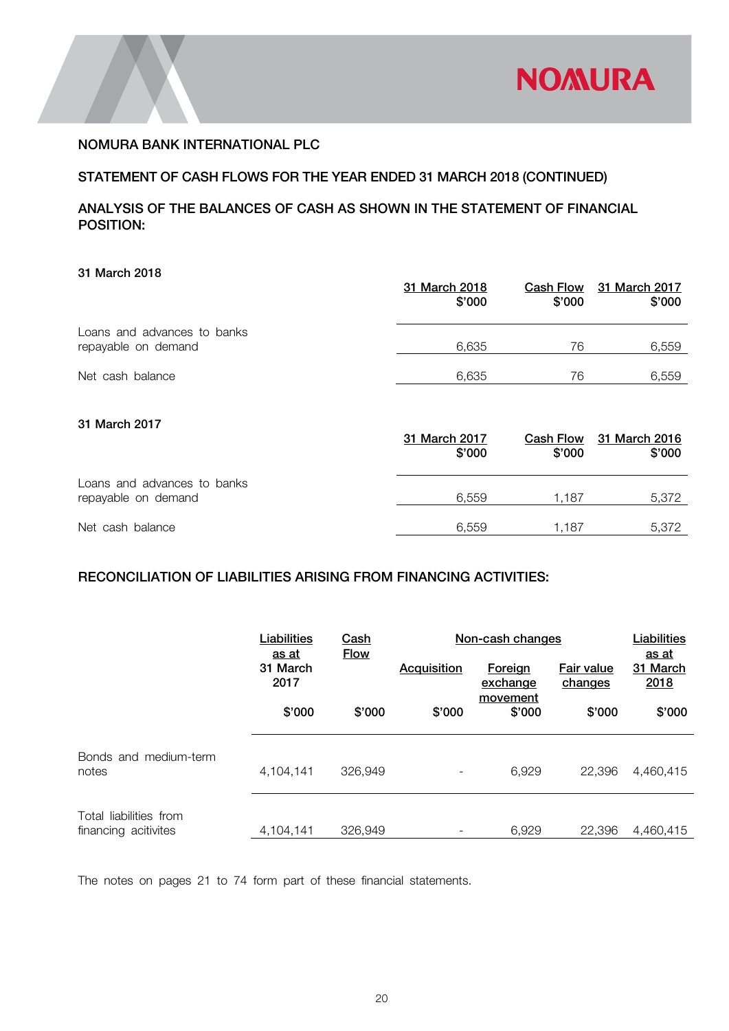

# STATEMENT OF CASH FLOWS FOR THE YEAR ENDED 31 MARCH 2018 (CONTINUED)

# ANALYSIS OF THE BALANCES OF CASH AS SHOWN IN THE STATEMENT OF FINANCIAL POSITION:

### 31 March 2018

|                                                    | 31 March 2018<br>\$'000 | <b>Cash Flow</b><br>\$'000 | 31 March 2017<br>\$'000 |
|----------------------------------------------------|-------------------------|----------------------------|-------------------------|
| Loans and advances to banks<br>repayable on demand | 6,635                   | 76                         | 6,559                   |
| Net cash balance                                   | 6,635                   | 76                         | 6,559                   |
| 31 March 2017                                      | 31 March 2017<br>\$'000 | <b>Cash Flow</b><br>\$'000 | 31 March 2016<br>\$'000 |
| Loans and advances to banks<br>repayable on demand | 6,559                   | 1,187                      | 5,372                   |
| Net cash balance                                   | 6,559                   | 1,187                      | 5,372                   |

# RECONCILIATION OF LIABILITIES ARISING FROM FINANCING ACTIVITIES:

|                                                | Liabilities<br><b>Cash</b><br><b>Flow</b> |         |                    | Non-cash changes                  |                              | Liabilities               |
|------------------------------------------------|-------------------------------------------|---------|--------------------|-----------------------------------|------------------------------|---------------------------|
|                                                | as at<br>31 March<br>2017                 |         | <b>Acquisition</b> | <b>Foreign</b><br><u>exchange</u> | Fair value<br><u>changes</u> | as at<br>31 March<br>2018 |
|                                                | \$'000                                    | \$'000  | \$'000             | movement<br>\$'000                | \$'000                       | \$'000                    |
| Bonds and medium-term<br>notes                 | 4.104.141                                 | 326,949 |                    | 6,929                             | 22,396                       | 4,460,415                 |
| Total liabilities from<br>financing acitivites | 4,104,141                                 | 326,949 |                    | 6,929                             | 22,396                       | 4,460,415                 |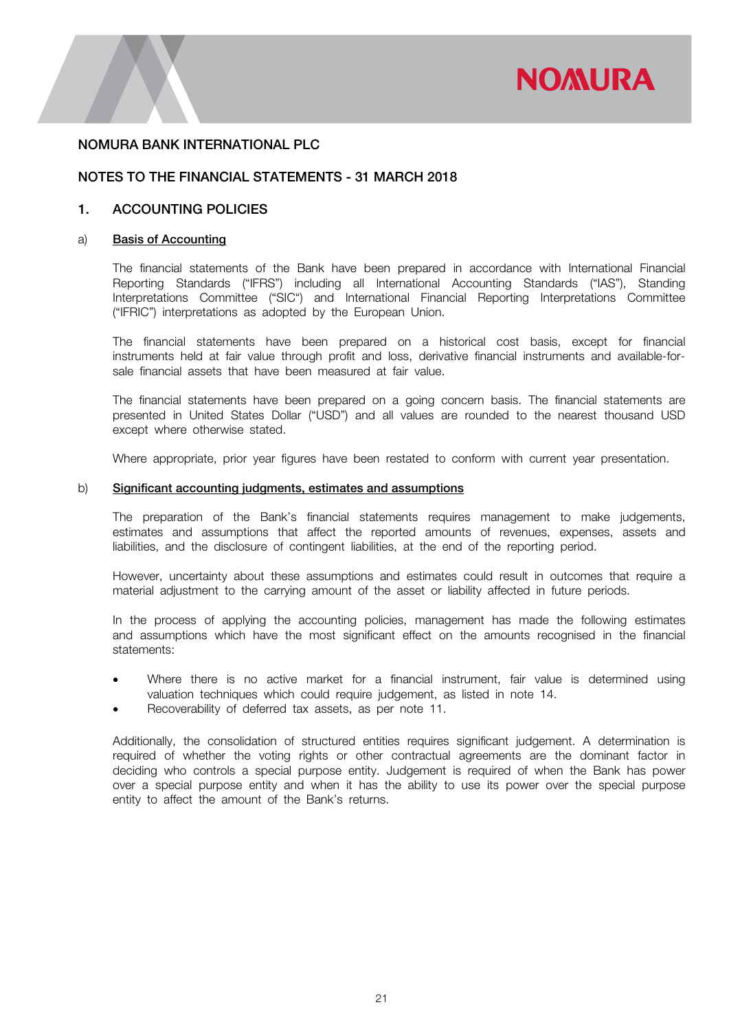

### NOTES TO THE FINANCIAL STATEMENTS - 31 MARCH 2018

# 1. ACCOUNTING POLICIES

#### a) Basis of Accounting

The financial statements of the Bank have been prepared in accordance with International Financial Reporting Standards ("IFRS") including all International Accounting Standards ("IAS"), Standing Interpretations Committee ("SIC") and International Financial Reporting Interpretations Committee ("IFRIC") interpretations as adopted by the European Union.

The financial statements have been prepared on a historical cost basis, except for financial instruments held at fair value through profit and loss, derivative financial instruments and available-forsale financial assets that have been measured at fair value.

The financial statements have been prepared on a going concern basis. The financial statements are presented in United States Dollar ("USD") and all values are rounded to the nearest thousand USD except where otherwise stated.

Where appropriate, prior year figures have been restated to conform with current year presentation.

#### b) Significant accounting judgments, estimates and assumptions

The preparation of the Bank's financial statements requires management to make judgements, estimates and assumptions that affect the reported amounts of revenues, expenses, assets and liabilities, and the disclosure of contingent liabilities, at the end of the reporting period.

However, uncertainty about these assumptions and estimates could result in outcomes that require a material adjustment to the carrying amount of the asset or liability affected in future periods.

In the process of applying the accounting policies, management has made the following estimates and assumptions which have the most significant effect on the amounts recognised in the financial statements:

- Where there is no active market for a financial instrument, fair value is determined using valuation techniques which could require judgement, as listed in note 14.
- Recoverability of deferred tax assets, as per note 11.

Additionally, the consolidation of structured entities requires significant judgement. A determination is required of whether the voting rights or other contractual agreements are the dominant factor in deciding who controls a special purpose entity. Judgement is required of when the Bank has power over a special purpose entity and when it has the ability to use its power over the special purpose entity to affect the amount of the Bank's returns.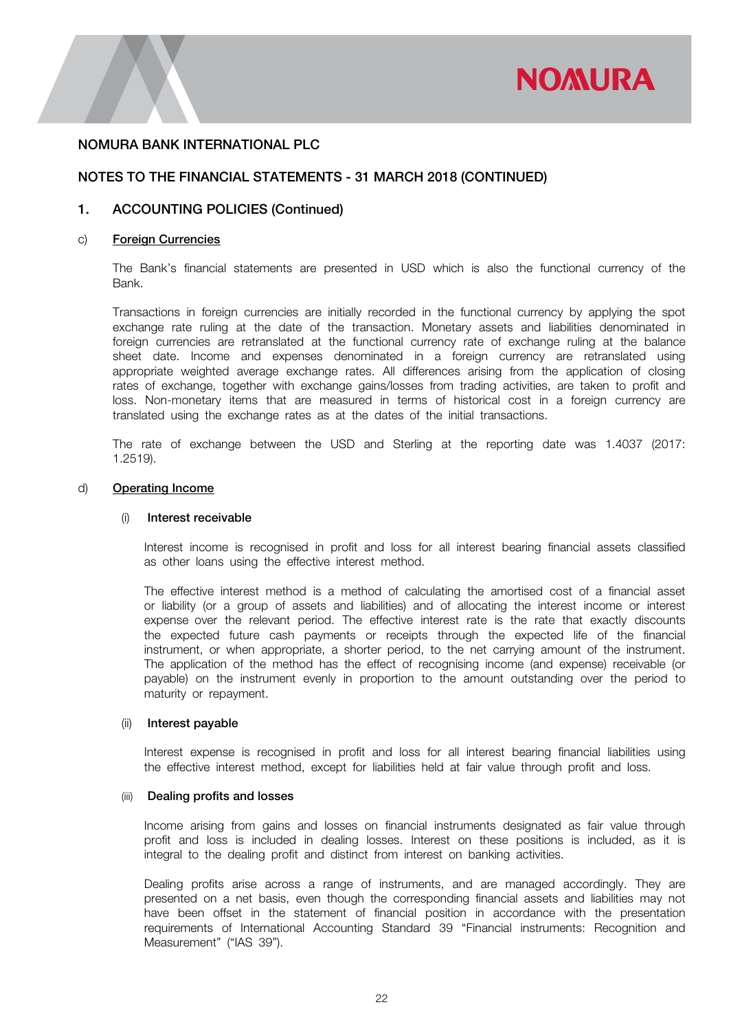

### NOTES TO THE FINANCIAL STATEMENTS - 31 MARCH 2018 (CONTINUED)

### 1. ACCOUNTING POLICIES (Continued)

#### c) Foreign Currencies

The Bank's financial statements are presented in USD which is also the functional currency of the Bank.

Transactions in foreign currencies are initially recorded in the functional currency by applying the spot exchange rate ruling at the date of the transaction. Monetary assets and liabilities denominated in foreign currencies are retranslated at the functional currency rate of exchange ruling at the balance sheet date. Income and expenses denominated in a foreign currency are retranslated using appropriate weighted average exchange rates. All differences arising from the application of closing rates of exchange, together with exchange gains/losses from trading activities, are taken to profit and loss. Non-monetary items that are measured in terms of historical cost in a foreign currency are translated using the exchange rates as at the dates of the initial transactions.

The rate of exchange between the USD and Sterling at the reporting date was 1.4037 (2017: 1.2519).

### d) Operating Income

#### (i) Interest receivable

Interest income is recognised in profit and loss for all interest bearing financial assets classified as other loans using the effective interest method.

The effective interest method is a method of calculating the amortised cost of a financial asset or liability (or a group of assets and liabilities) and of allocating the interest income or interest expense over the relevant period. The effective interest rate is the rate that exactly discounts the expected future cash payments or receipts through the expected life of the financial instrument, or when appropriate, a shorter period, to the net carrying amount of the instrument. The application of the method has the effect of recognising income (and expense) receivable (or payable) on the instrument evenly in proportion to the amount outstanding over the period to maturity or repayment.

#### (ii) Interest payable

Interest expense is recognised in profit and loss for all interest bearing financial liabilities using the effective interest method, except for liabilities held at fair value through profit and loss.

#### (iii) Dealing profits and losses

Income arising from gains and losses on financial instruments designated as fair value through profit and loss is included in dealing losses. Interest on these positions is included, as it is integral to the dealing profit and distinct from interest on banking activities.

Dealing profits arise across a range of instruments, and are managed accordingly. They are presented on a net basis, even though the corresponding financial assets and liabilities may not have been offset in the statement of financial position in accordance with the presentation requirements of International Accounting Standard 39 "Financial instruments: Recognition and Measurement" ("IAS 39").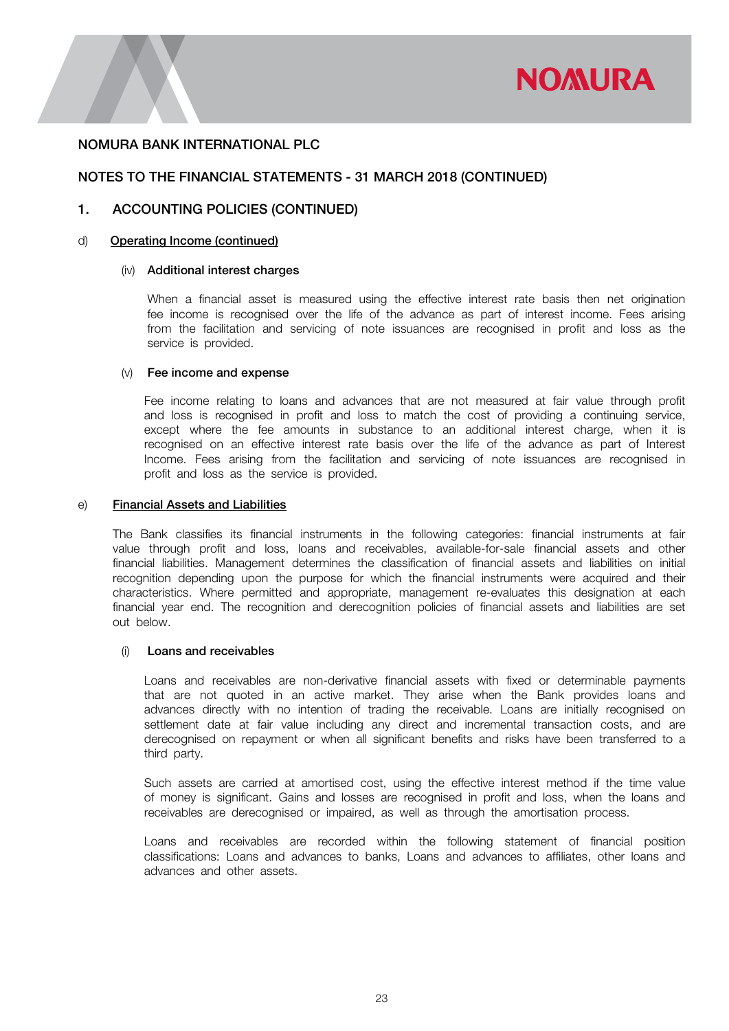

### NOTES TO THE FINANCIAL STATEMENTS - 31 MARCH 2018 (CONTINUED)

### 1. ACCOUNTING POLICIES (CONTINUED)

#### d) Operating Income (continued)

#### (iv) Additional interest charges

When a financial asset is measured using the effective interest rate basis then net origination fee income is recognised over the life of the advance as part of interest income. Fees arising from the facilitation and servicing of note issuances are recognised in profit and loss as the service is provided.

#### (v) Fee income and expense

Fee income relating to loans and advances that are not measured at fair value through profit and loss is recognised in profit and loss to match the cost of providing a continuing service, except where the fee amounts in substance to an additional interest charge, when it is recognised on an effective interest rate basis over the life of the advance as part of Interest Income. Fees arising from the facilitation and servicing of note issuances are recognised in profit and loss as the service is provided.

#### e) Financial Assets and Liabilities

The Bank classifies its financial instruments in the following categories: financial instruments at fair value through profit and loss, loans and receivables, available-for-sale financial assets and other financial liabilities. Management determines the classification of financial assets and liabilities on initial recognition depending upon the purpose for which the financial instruments were acquired and their characteristics. Where permitted and appropriate, management re-evaluates this designation at each financial year end. The recognition and derecognition policies of financial assets and liabilities are set out below.

### (i) Loans and receivables

Loans and receivables are non-derivative financial assets with fixed or determinable payments that are not quoted in an active market. They arise when the Bank provides loans and advances directly with no intention of trading the receivable. Loans are initially recognised on settlement date at fair value including any direct and incremental transaction costs, and are derecognised on repayment or when all significant benefits and risks have been transferred to a third party.

Such assets are carried at amortised cost, using the effective interest method if the time value of money is significant. Gains and losses are recognised in profit and loss, when the loans and receivables are derecognised or impaired, as well as through the amortisation process.

Loans and receivables are recorded within the following statement of financial position classifications: Loans and advances to banks, Loans and advances to affiliates, other loans and advances and other assets.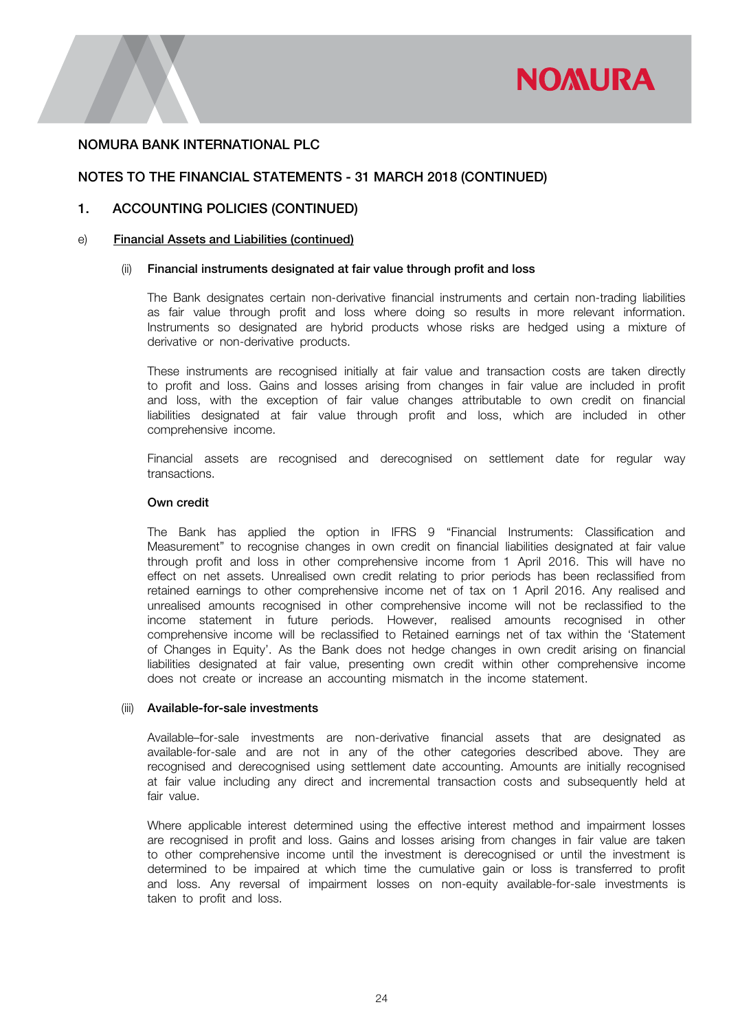

### NOTES TO THE FINANCIAL STATEMENTS - 31 MARCH 2018 (CONTINUED)

### 1. ACCOUNTING POLICIES (CONTINUED)

#### e) Financial Assets and Liabilities (continued)

#### (ii) Financial instruments designated at fair value through profit and loss

The Bank designates certain non-derivative financial instruments and certain non-trading liabilities as fair value through profit and loss where doing so results in more relevant information. Instruments so designated are hybrid products whose risks are hedged using a mixture of derivative or non-derivative products.

These instruments are recognised initially at fair value and transaction costs are taken directly to profit and loss. Gains and losses arising from changes in fair value are included in profit and loss, with the exception of fair value changes attributable to own credit on financial liabilities designated at fair value through profit and loss, which are included in other comprehensive income.

Financial assets are recognised and derecognised on settlement date for regular way transactions.

### Own credit

The Bank has applied the option in IFRS 9 "Financial Instruments: Classification and Measurement" to recognise changes in own credit on financial liabilities designated at fair value through profit and loss in other comprehensive income from 1 April 2016. This will have no effect on net assets. Unrealised own credit relating to prior periods has been reclassified from retained earnings to other comprehensive income net of tax on 1 April 2016. Any realised and unrealised amounts recognised in other comprehensive income will not be reclassified to the income statement in future periods. However, realised amounts recognised in other comprehensive income will be reclassified to Retained earnings net of tax within the 'Statement of Changes in Equity'. As the Bank does not hedge changes in own credit arising on financial liabilities designated at fair value, presenting own credit within other comprehensive income does not create or increase an accounting mismatch in the income statement.

#### (iii) Available-for-sale investments

Available–for-sale investments are non-derivative financial assets that are designated as available-for-sale and are not in any of the other categories described above. They are recognised and derecognised using settlement date accounting. Amounts are initially recognised at fair value including any direct and incremental transaction costs and subsequently held at fair value.

Where applicable interest determined using the effective interest method and impairment losses are recognised in profit and loss. Gains and losses arising from changes in fair value are taken to other comprehensive income until the investment is derecognised or until the investment is determined to be impaired at which time the cumulative gain or loss is transferred to profit and loss. Any reversal of impairment losses on non-equity available-for-sale investments is taken to profit and loss.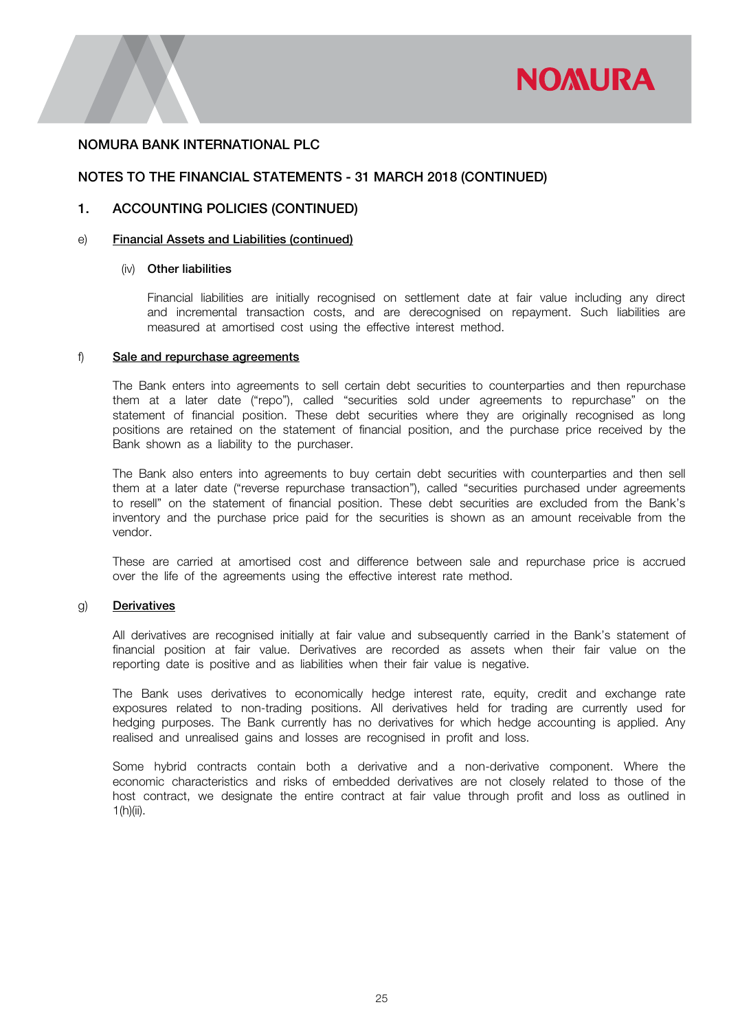

### NOTES TO THE FINANCIAL STATEMENTS - 31 MARCH 2018 (CONTINUED)

### 1. ACCOUNTING POLICIES (CONTINUED)

#### e) Financial Assets and Liabilities (continued)

#### (iv) Other liabilities

Financial liabilities are initially recognised on settlement date at fair value including any direct and incremental transaction costs, and are derecognised on repayment. Such liabilities are measured at amortised cost using the effective interest method.

#### f) Sale and repurchase agreements

The Bank enters into agreements to sell certain debt securities to counterparties and then repurchase them at a later date ("repo"), called "securities sold under agreements to repurchase" on the statement of financial position. These debt securities where they are originally recognised as long positions are retained on the statement of financial position, and the purchase price received by the Bank shown as a liability to the purchaser.

The Bank also enters into agreements to buy certain debt securities with counterparties and then sell them at a later date ("reverse repurchase transaction"), called "securities purchased under agreements to resell" on the statement of financial position. These debt securities are excluded from the Bank's inventory and the purchase price paid for the securities is shown as an amount receivable from the vendor.

These are carried at amortised cost and difference between sale and repurchase price is accrued over the life of the agreements using the effective interest rate method.

### g) Derivatives

All derivatives are recognised initially at fair value and subsequently carried in the Bank's statement of financial position at fair value. Derivatives are recorded as assets when their fair value on the reporting date is positive and as liabilities when their fair value is negative.

The Bank uses derivatives to economically hedge interest rate, equity, credit and exchange rate exposures related to non-trading positions. All derivatives held for trading are currently used for hedging purposes. The Bank currently has no derivatives for which hedge accounting is applied. Any realised and unrealised gains and losses are recognised in profit and loss.

Some hybrid contracts contain both a derivative and a non-derivative component. Where the economic characteristics and risks of embedded derivatives are not closely related to those of the host contract, we designate the entire contract at fair value through profit and loss as outlined in 1(h)(ii).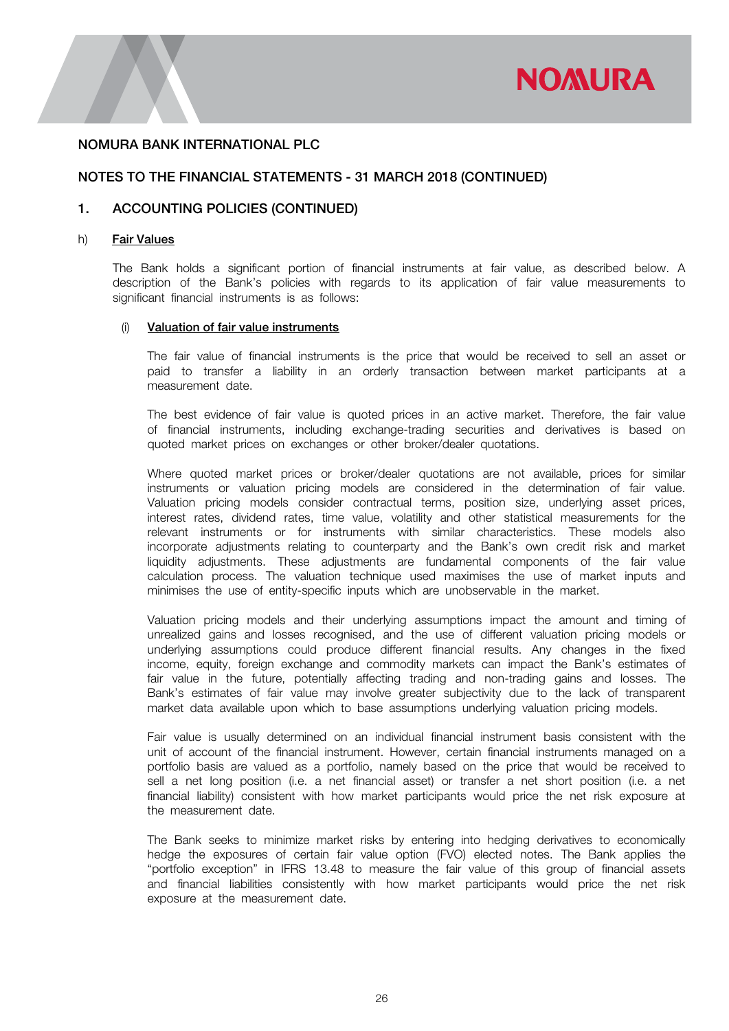

### NOTES TO THE FINANCIAL STATEMENTS - 31 MARCH 2018 (CONTINUED)

# 1. ACCOUNTING POLICIES (CONTINUED)

#### h) Fair Values

The Bank holds a significant portion of financial instruments at fair value, as described below. A description of the Bank's policies with regards to its application of fair value measurements to significant financial instruments is as follows:

#### (i) Valuation of fair value instruments

The fair value of financial instruments is the price that would be received to sell an asset or paid to transfer a liability in an orderly transaction between market participants at a measurement date.

The best evidence of fair value is quoted prices in an active market. Therefore, the fair value of financial instruments, including exchange-trading securities and derivatives is based on quoted market prices on exchanges or other broker/dealer quotations.

Where quoted market prices or broker/dealer quotations are not available, prices for similar instruments or valuation pricing models are considered in the determination of fair value. Valuation pricing models consider contractual terms, position size, underlying asset prices, interest rates, dividend rates, time value, volatility and other statistical measurements for the relevant instruments or for instruments with similar characteristics. These models also incorporate adjustments relating to counterparty and the Bank's own credit risk and market liquidity adjustments. These adjustments are fundamental components of the fair value calculation process. The valuation technique used maximises the use of market inputs and minimises the use of entity-specific inputs which are unobservable in the market.

Valuation pricing models and their underlying assumptions impact the amount and timing of unrealized gains and losses recognised, and the use of different valuation pricing models or underlying assumptions could produce different financial results. Any changes in the fixed income, equity, foreign exchange and commodity markets can impact the Bank's estimates of fair value in the future, potentially affecting trading and non-trading gains and losses. The Bank's estimates of fair value may involve greater subjectivity due to the lack of transparent market data available upon which to base assumptions underlying valuation pricing models.

Fair value is usually determined on an individual financial instrument basis consistent with the unit of account of the financial instrument. However, certain financial instruments managed on a portfolio basis are valued as a portfolio, namely based on the price that would be received to sell a net long position (i.e. a net financial asset) or transfer a net short position (i.e. a net financial liability) consistent with how market participants would price the net risk exposure at the measurement date.

The Bank seeks to minimize market risks by entering into hedging derivatives to economically hedge the exposures of certain fair value option (FVO) elected notes. The Bank applies the "portfolio exception" in IFRS 13.48 to measure the fair value of this group of financial assets and financial liabilities consistently with how market participants would price the net risk exposure at the measurement date.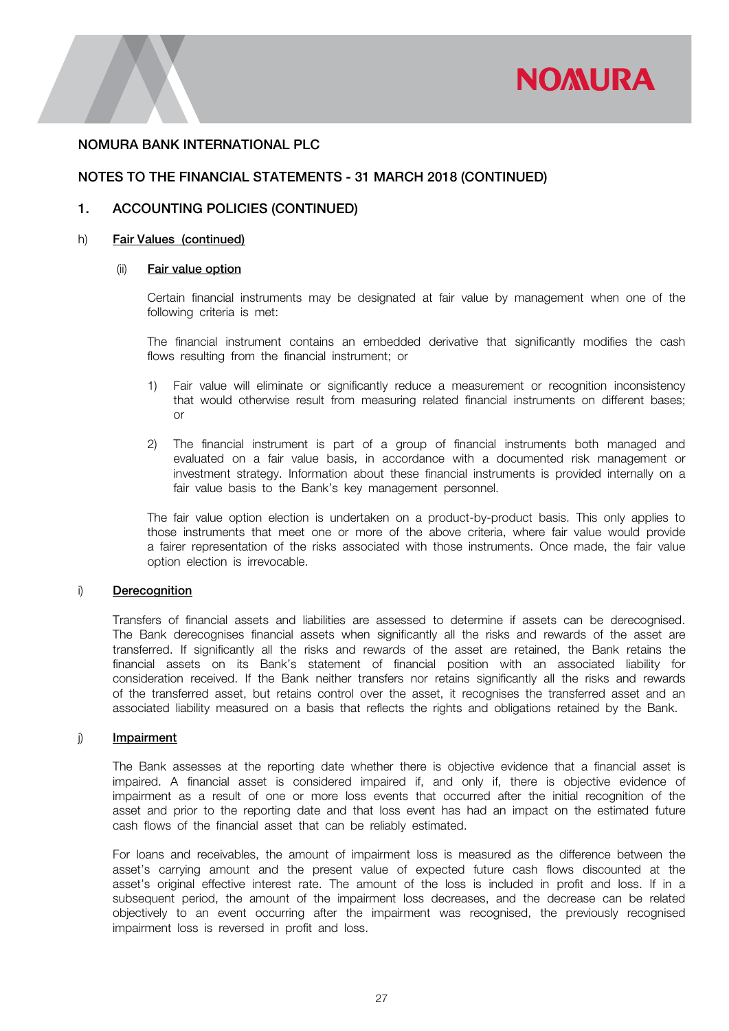

### NOTES TO THE FINANCIAL STATEMENTS - 31 MARCH 2018 (CONTINUED)

### 1. ACCOUNTING POLICIES (CONTINUED)

#### h) Fair Values (continued)

#### (ii) Fair value option

Certain financial instruments may be designated at fair value by management when one of the following criteria is met:

The financial instrument contains an embedded derivative that significantly modifies the cash flows resulting from the financial instrument; or

- 1) Fair value will eliminate or significantly reduce a measurement or recognition inconsistency that would otherwise result from measuring related financial instruments on different bases; or
- 2) The financial instrument is part of a group of financial instruments both managed and evaluated on a fair value basis, in accordance with a documented risk management or investment strategy. Information about these financial instruments is provided internally on a fair value basis to the Bank's key management personnel.

The fair value option election is undertaken on a product-by-product basis. This only applies to those instruments that meet one or more of the above criteria, where fair value would provide a fairer representation of the risks associated with those instruments. Once made, the fair value option election is irrevocable.

#### i) Derecognition

Transfers of financial assets and liabilities are assessed to determine if assets can be derecognised. The Bank derecognises financial assets when significantly all the risks and rewards of the asset are transferred. If significantly all the risks and rewards of the asset are retained, the Bank retains the financial assets on its Bank's statement of financial position with an associated liability for consideration received. If the Bank neither transfers nor retains significantly all the risks and rewards of the transferred asset, but retains control over the asset, it recognises the transferred asset and an associated liability measured on a basis that reflects the rights and obligations retained by the Bank.

#### j) Impairment

The Bank assesses at the reporting date whether there is objective evidence that a financial asset is impaired. A financial asset is considered impaired if, and only if, there is objective evidence of impairment as a result of one or more loss events that occurred after the initial recognition of the asset and prior to the reporting date and that loss event has had an impact on the estimated future cash flows of the financial asset that can be reliably estimated.

For loans and receivables, the amount of impairment loss is measured as the difference between the asset's carrying amount and the present value of expected future cash flows discounted at the asset's original effective interest rate. The amount of the loss is included in profit and loss. If in a subsequent period, the amount of the impairment loss decreases, and the decrease can be related objectively to an event occurring after the impairment was recognised, the previously recognised impairment loss is reversed in profit and loss.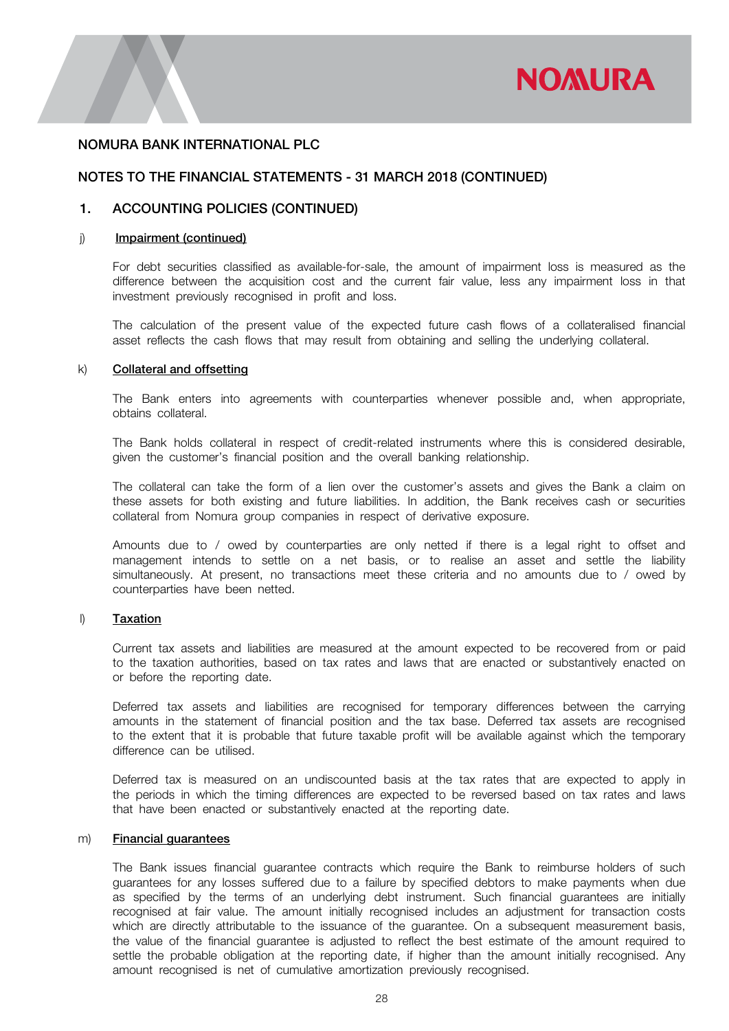

### NOTES TO THE FINANCIAL STATEMENTS - 31 MARCH 2018 (CONTINUED)

### 1. ACCOUNTING POLICIES (CONTINUED)

#### j) Impairment (continued)

For debt securities classified as available-for-sale, the amount of impairment loss is measured as the difference between the acquisition cost and the current fair value, less any impairment loss in that investment previously recognised in profit and loss.

The calculation of the present value of the expected future cash flows of a collateralised financial asset reflects the cash flows that may result from obtaining and selling the underlying collateral.

### k) Collateral and offsetting

The Bank enters into agreements with counterparties whenever possible and, when appropriate, obtains collateral.

The Bank holds collateral in respect of credit-related instruments where this is considered desirable, given the customer's financial position and the overall banking relationship.

The collateral can take the form of a lien over the customer's assets and gives the Bank a claim on these assets for both existing and future liabilities. In addition, the Bank receives cash or securities collateral from Nomura group companies in respect of derivative exposure.

Amounts due to / owed by counterparties are only netted if there is a legal right to offset and management intends to settle on a net basis, or to realise an asset and settle the liability simultaneously. At present, no transactions meet these criteria and no amounts due to / owed by counterparties have been netted.

#### l) Taxation

Current tax assets and liabilities are measured at the amount expected to be recovered from or paid to the taxation authorities, based on tax rates and laws that are enacted or substantively enacted on or before the reporting date.

Deferred tax assets and liabilities are recognised for temporary differences between the carrying amounts in the statement of financial position and the tax base. Deferred tax assets are recognised to the extent that it is probable that future taxable profit will be available against which the temporary difference can be utilised.

Deferred tax is measured on an undiscounted basis at the tax rates that are expected to apply in the periods in which the timing differences are expected to be reversed based on tax rates and laws that have been enacted or substantively enacted at the reporting date.

#### m) Financial guarantees

The Bank issues financial guarantee contracts which require the Bank to reimburse holders of such guarantees for any losses suffered due to a failure by specified debtors to make payments when due as specified by the terms of an underlying debt instrument. Such financial guarantees are initially recognised at fair value. The amount initially recognised includes an adjustment for transaction costs which are directly attributable to the issuance of the guarantee. On a subsequent measurement basis, the value of the financial guarantee is adjusted to reflect the best estimate of the amount required to settle the probable obligation at the reporting date, if higher than the amount initially recognised. Any amount recognised is net of cumulative amortization previously recognised.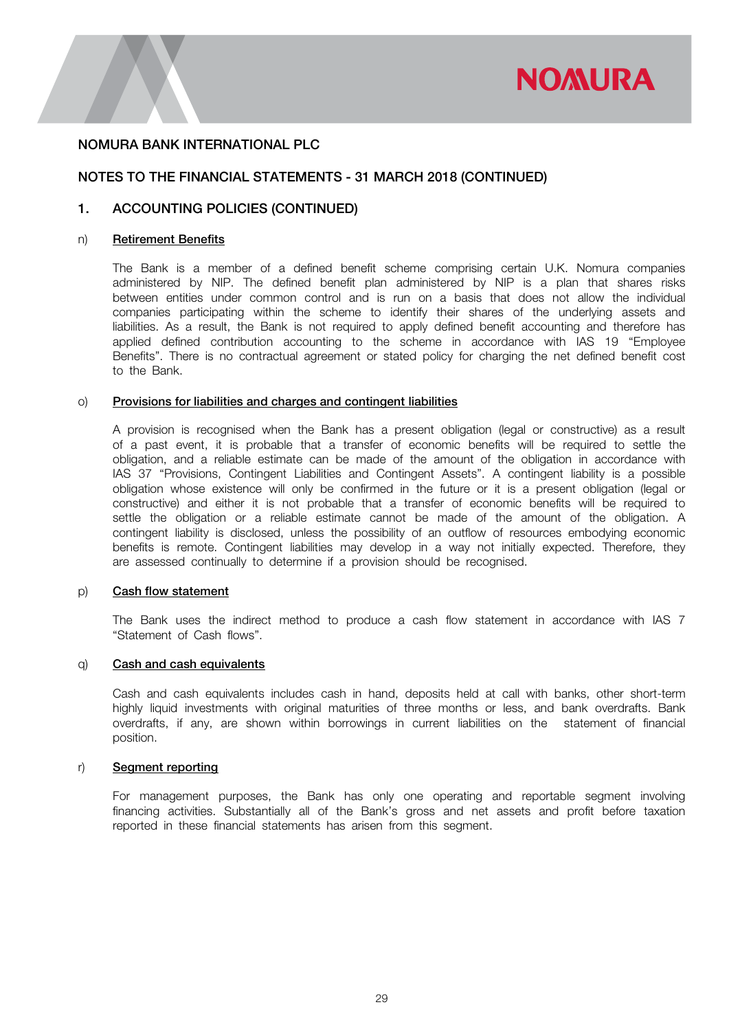

# NOTES TO THE FINANCIAL STATEMENTS - 31 MARCH 2018 (CONTINUED)

# 1. ACCOUNTING POLICIES (CONTINUED)

#### n) Retirement Benefits

The Bank is a member of a defined benefit scheme comprising certain U.K. Nomura companies administered by NIP. The defined benefit plan administered by NIP is a plan that shares risks between entities under common control and is run on a basis that does not allow the individual companies participating within the scheme to identify their shares of the underlying assets and liabilities. As a result, the Bank is not required to apply defined benefit accounting and therefore has applied defined contribution accounting to the scheme in accordance with IAS 19 "Employee Benefits". There is no contractual agreement or stated policy for charging the net defined benefit cost to the Bank.

#### o) Provisions for liabilities and charges and contingent liabilities

A provision is recognised when the Bank has a present obligation (legal or constructive) as a result of a past event, it is probable that a transfer of economic benefits will be required to settle the obligation, and a reliable estimate can be made of the amount of the obligation in accordance with IAS 37 "Provisions, Contingent Liabilities and Contingent Assets". A contingent liability is a possible obligation whose existence will only be confirmed in the future or it is a present obligation (legal or constructive) and either it is not probable that a transfer of economic benefits will be required to settle the obligation or a reliable estimate cannot be made of the amount of the obligation. A contingent liability is disclosed, unless the possibility of an outflow of resources embodying economic benefits is remote. Contingent liabilities may develop in a way not initially expected. Therefore, they are assessed continually to determine if a provision should be recognised.

#### p) Cash flow statement

The Bank uses the indirect method to produce a cash flow statement in accordance with IAS 7 "Statement of Cash flows".

# q) Cash and cash equivalents

Cash and cash equivalents includes cash in hand, deposits held at call with banks, other short-term highly liquid investments with original maturities of three months or less, and bank overdrafts. Bank overdrafts, if any, are shown within borrowings in current liabilities on the statement of financial position.

#### r) Segment reporting

For management purposes, the Bank has only one operating and reportable segment involving financing activities. Substantially all of the Bank's gross and net assets and profit before taxation reported in these financial statements has arisen from this segment.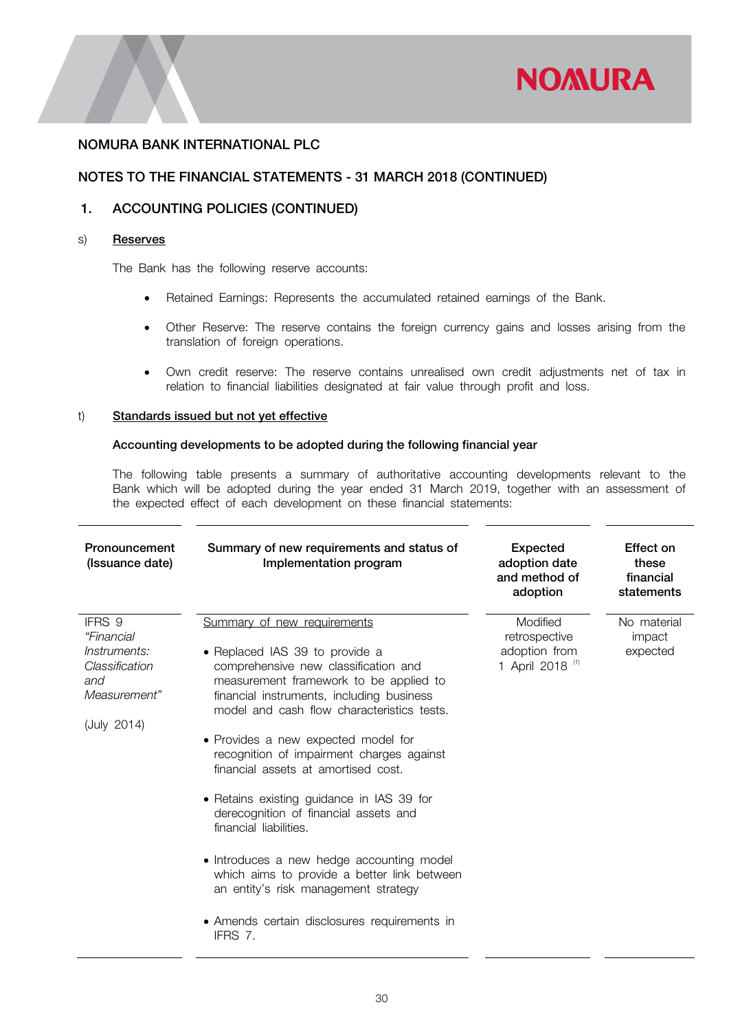

# NOTES TO THE FINANCIAL STATEMENTS - 31 MARCH 2018 (CONTINUED)

# 1. ACCOUNTING POLICIES (CONTINUED)

### s) Reserves

The Bank has the following reserve accounts:

- Retained Earnings: Represents the accumulated retained earnings of the Bank.
- Other Reserve: The reserve contains the foreign currency gains and losses arising from the translation of foreign operations.
- Own credit reserve: The reserve contains unrealised own credit adjustments net of tax in relation to financial liabilities designated at fair value through profit and loss.

#### t) Standards issued but not yet effective

### Accounting developments to be adopted during the following financial year

The following table presents a summary of authoritative accounting developments relevant to the Bank which will be adopted during the year ended 31 March 2019, together with an assessment of the expected effect of each development on these financial statements:

| Pronouncement<br>(Issuance date)                                                             | Summary of new requirements and status of<br>Implementation program                                                                                                                                                                                                                                                                                                                                                                                                                                                                                                                                                                                                                  | <b>Expected</b><br>adoption date<br>and method of<br>adoption             | Effect on<br>these<br>financial<br>statements |
|----------------------------------------------------------------------------------------------|--------------------------------------------------------------------------------------------------------------------------------------------------------------------------------------------------------------------------------------------------------------------------------------------------------------------------------------------------------------------------------------------------------------------------------------------------------------------------------------------------------------------------------------------------------------------------------------------------------------------------------------------------------------------------------------|---------------------------------------------------------------------------|-----------------------------------------------|
| IFRS 9<br>"Financial<br>Instruments:<br>Classification<br>and<br>Measurement"<br>(July 2014) | Summary of new requirements<br>• Replaced IAS 39 to provide a<br>comprehensive new classification and<br>measurement framework to be applied to<br>financial instruments, including business<br>model and cash flow characteristics tests.<br>• Provides a new expected model for<br>recognition of impairment charges against<br>financial assets at amortised cost.<br>• Retains existing guidance in IAS 39 for<br>derecognition of financial assets and<br>financial liabilities.<br>• Introduces a new hedge accounting model<br>which aims to provide a better link between<br>an entity's risk management strategy<br>• Amends certain disclosures requirements in<br>IFRS 7. | Modified<br>retrospective<br>adoption from<br>1 April 2018 <sup>(1)</sup> | No material<br>impact<br>expected             |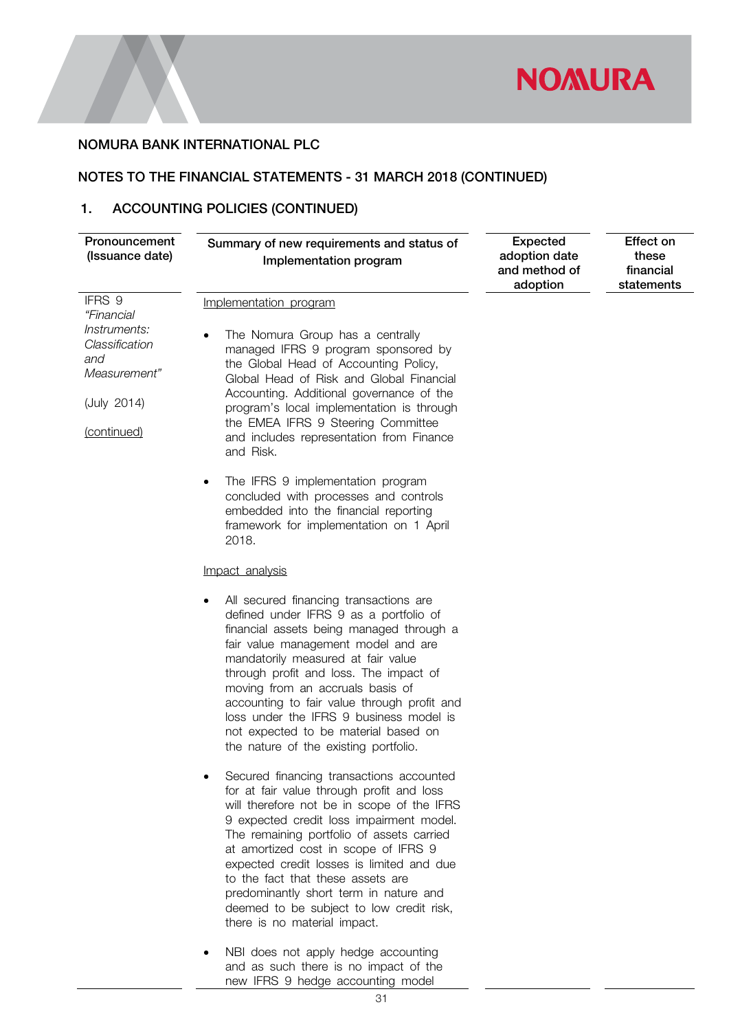

# NOTES TO THE FINANCIAL STATEMENTS - 31 MARCH 2018 (CONTINUED)

# 1. ACCOUNTING POLICIES (CONTINUED)

| Pronouncement<br>(Issuance date)                                                                            | Summary of new requirements and status of<br>Implementation program                                                                                                                                                                                                                                                                                                                                                                                                                                                                                                    | <b>Expected</b><br>adoption date<br>and method of<br>adoption | <b>Effect on</b><br>these<br>financial<br>statements |
|-------------------------------------------------------------------------------------------------------------|------------------------------------------------------------------------------------------------------------------------------------------------------------------------------------------------------------------------------------------------------------------------------------------------------------------------------------------------------------------------------------------------------------------------------------------------------------------------------------------------------------------------------------------------------------------------|---------------------------------------------------------------|------------------------------------------------------|
| IFRS 9<br>"Financial<br>Instruments:<br>Classification<br>and<br>Measurement"<br>(July 2014)<br>(continued) | Implementation program<br>The Nomura Group has a centrally<br>managed IFRS 9 program sponsored by<br>the Global Head of Accounting Policy,<br>Global Head of Risk and Global Financial<br>Accounting. Additional governance of the<br>program's local implementation is through<br>the EMEA IFRS 9 Steering Committee<br>and includes representation from Finance<br>and Risk.<br>The IFRS 9 implementation program<br>$\bullet$<br>concluded with processes and controls<br>embedded into the financial reporting<br>framework for implementation on 1 April<br>2018. |                                                               |                                                      |
|                                                                                                             | Impact analysis                                                                                                                                                                                                                                                                                                                                                                                                                                                                                                                                                        |                                                               |                                                      |
|                                                                                                             | All secured financing transactions are<br>$\bullet$<br>defined under IFRS 9 as a portfolio of<br>financial assets being managed through a<br>fair value management model and are<br>mandatorily measured at fair value<br>through profit and loss. The impact of<br>moving from an accruals basis of<br>accounting to fair value through profit and<br>loss under the IFRS 9 business model is<br>not expected to be material based on<br>the nature of the existing portfolio.                                                                                        |                                                               |                                                      |
|                                                                                                             | Secured financing transactions accounted<br>for at fair value through profit and loss<br>will therefore not be in scope of the IFRS<br>9 expected credit loss impairment model.<br>The remaining portfolio of assets carried<br>at amortized cost in scope of IFRS 9<br>expected credit losses is limited and due<br>to the fact that these assets are<br>predominantly short term in nature and<br>deemed to be subject to low credit risk,<br>there is no material impact.                                                                                           |                                                               |                                                      |
|                                                                                                             | NBI does not apply hedge accounting<br>and as such there is no impact of the                                                                                                                                                                                                                                                                                                                                                                                                                                                                                           |                                                               |                                                      |

new IFRS 9 hedge accounting model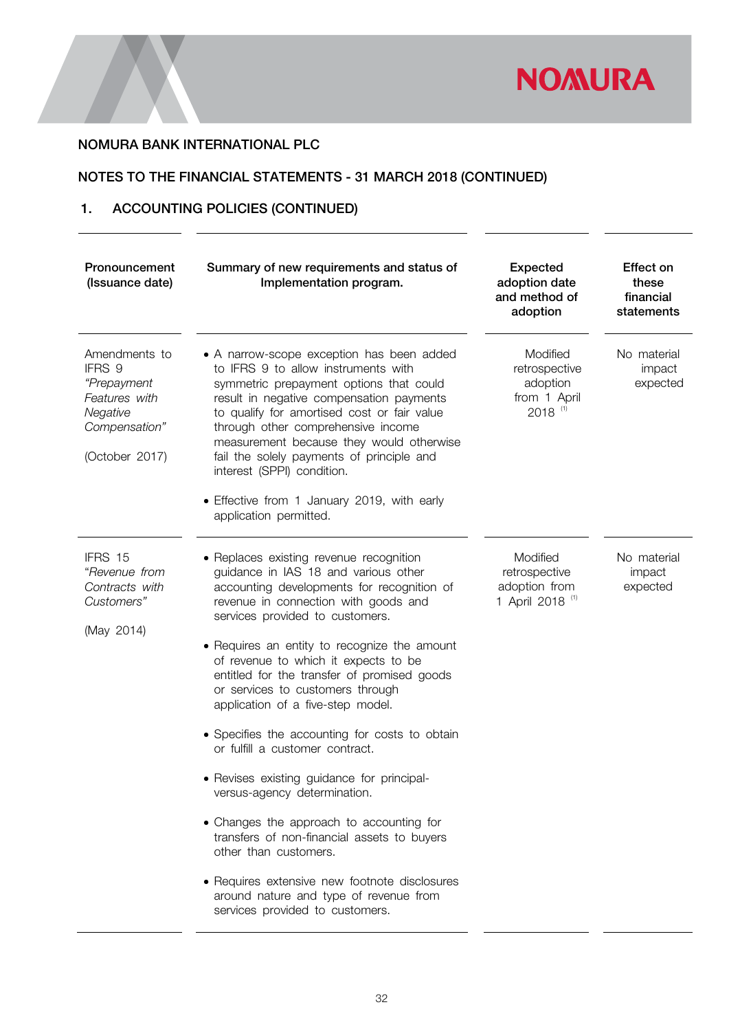

# NOTES TO THE FINANCIAL STATEMENTS - 31 MARCH 2018 (CONTINUED)

# 1. ACCOUNTING POLICIES (CONTINUED)

| Pronouncement<br>(Issuance date)                                                                       | Summary of new requirements and status of<br>Implementation program.                                                                                                                                                                                                                                                                                                                                                                                                                                                                                                                                                                                                                   | <b>Expected</b><br>adoption date<br>and method of<br>adoption                  | Effect on<br>these<br>financial<br>statements |
|--------------------------------------------------------------------------------------------------------|----------------------------------------------------------------------------------------------------------------------------------------------------------------------------------------------------------------------------------------------------------------------------------------------------------------------------------------------------------------------------------------------------------------------------------------------------------------------------------------------------------------------------------------------------------------------------------------------------------------------------------------------------------------------------------------|--------------------------------------------------------------------------------|-----------------------------------------------|
| Amendments to<br>IFRS 9<br>"Prepayment<br>Features with<br>Negative<br>Compensation"<br>(October 2017) | • A narrow-scope exception has been added<br>to IFRS 9 to allow instruments with<br>symmetric prepayment options that could<br>result in negative compensation payments<br>to qualify for amortised cost or fair value<br>through other comprehensive income<br>measurement because they would otherwise<br>fail the solely payments of principle and<br>interest (SPPI) condition.<br>• Effective from 1 January 2019, with early                                                                                                                                                                                                                                                     | Modified<br>retrospective<br>adoption<br>from 1 April<br>$2018$ <sup>(1)</sup> | No material<br>impact<br>expected             |
|                                                                                                        | application permitted.                                                                                                                                                                                                                                                                                                                                                                                                                                                                                                                                                                                                                                                                 |                                                                                |                                               |
| IFRS 15<br><i>"Revenue from</i><br>Contracts with<br>Customers"<br>(May 2014)                          | • Replaces existing revenue recognition<br>guidance in IAS 18 and various other<br>accounting developments for recognition of<br>revenue in connection with goods and<br>services provided to customers.<br>• Requires an entity to recognize the amount<br>of revenue to which it expects to be<br>entitled for the transfer of promised goods<br>or services to customers through<br>application of a five-step model.<br>• Specifies the accounting for costs to obtain<br>or fulfill a customer contract.<br>• Revises existing guidance for principal-<br>versus-agency determination.<br>• Changes the approach to accounting for<br>transfers of non-financial assets to buyers | Modified<br>retrospective<br>adoption from<br>1 April 2018 <sup>(1)</sup>      | No material<br>impact<br>expected             |
|                                                                                                        | other than customers.<br>• Requires extensive new footnote disclosures<br>around nature and type of revenue from<br>services provided to customers.                                                                                                                                                                                                                                                                                                                                                                                                                                                                                                                                    |                                                                                |                                               |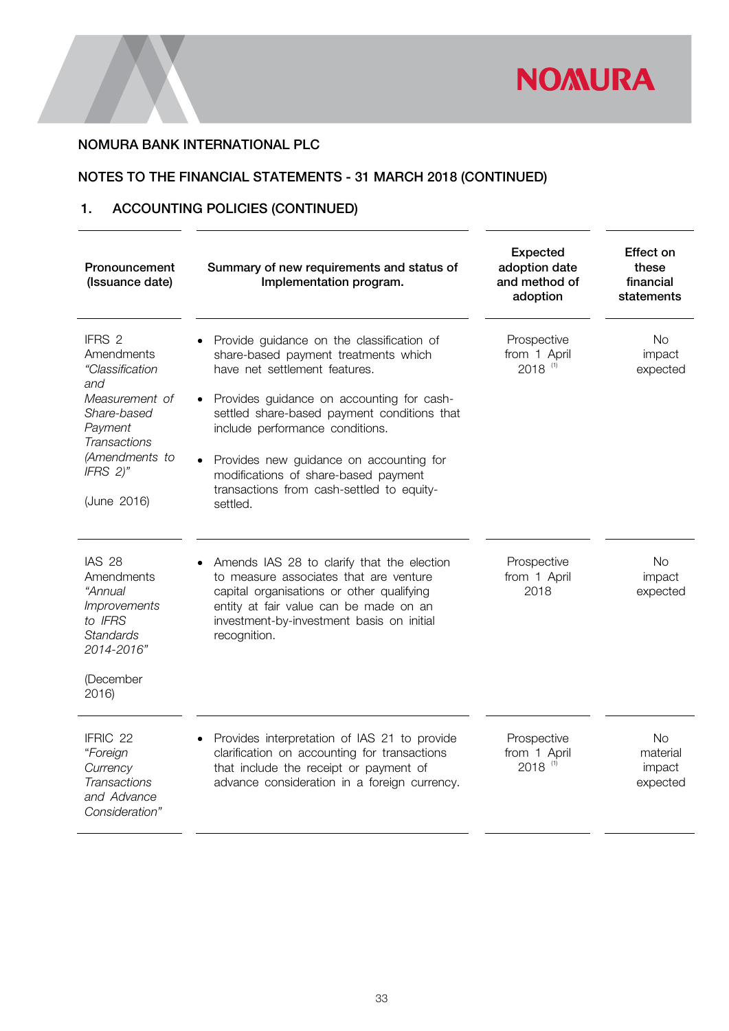

# NOTES TO THE FINANCIAL STATEMENTS - 31 MARCH 2018 (CONTINUED)

# 1. ACCOUNTING POLICIES (CONTINUED)

| Pronouncement<br>(Issuance date)                                                                                                | Summary of new requirements and status of<br>Implementation program.                                                                                                                                                                     | <b>Expected</b><br>adoption date<br>and method of<br>adoption | Effect on<br>these<br>financial<br>statements |
|---------------------------------------------------------------------------------------------------------------------------------|------------------------------------------------------------------------------------------------------------------------------------------------------------------------------------------------------------------------------------------|---------------------------------------------------------------|-----------------------------------------------|
| IFRS 2<br>Amendments<br>"Classification<br>and                                                                                  | Provide guidance on the classification of<br>share-based payment treatments which<br>have net settlement features.                                                                                                                       | Prospective<br>from 1 April<br>$2018$ <sup>(1)</sup>          | <b>No</b><br>impact<br>expected               |
| Measurement of<br>Share-based<br>Payment<br>Transactions                                                                        | Provides guidance on accounting for cash-<br>settled share-based payment conditions that<br>include performance conditions.                                                                                                              |                                                               |                                               |
| (Amendments to<br>IFRS 2"<br>(June 2016)                                                                                        | Provides new guidance on accounting for<br>$\bullet$<br>modifications of share-based payment<br>transactions from cash-settled to equity-<br>settled.                                                                                    |                                                               |                                               |
| <b>IAS 28</b><br>Amendments<br>"Annual<br><i><b>Improvements</b></i><br>to IFRS<br>Standards<br>2014-2016"<br>(December<br>2016 | Amends IAS 28 to clarify that the election<br>to measure associates that are venture<br>capital organisations or other qualifying<br>entity at fair value can be made on an<br>investment-by-investment basis on initial<br>recognition. | Prospective<br>from 1 April<br>2018                           | <b>No</b><br>impact<br>expected               |
| IFRIC 22<br>"Foreign<br>Currency<br><b>Transactions</b><br>and Advance<br>Consideration"                                        | Provides interpretation of IAS 21 to provide<br>clarification on accounting for transactions<br>that include the receipt or payment of<br>advance consideration in a foreign currency.                                                   | Prospective<br>from 1 April<br>2018 (1)                       | No.<br>material<br>impact<br>expected         |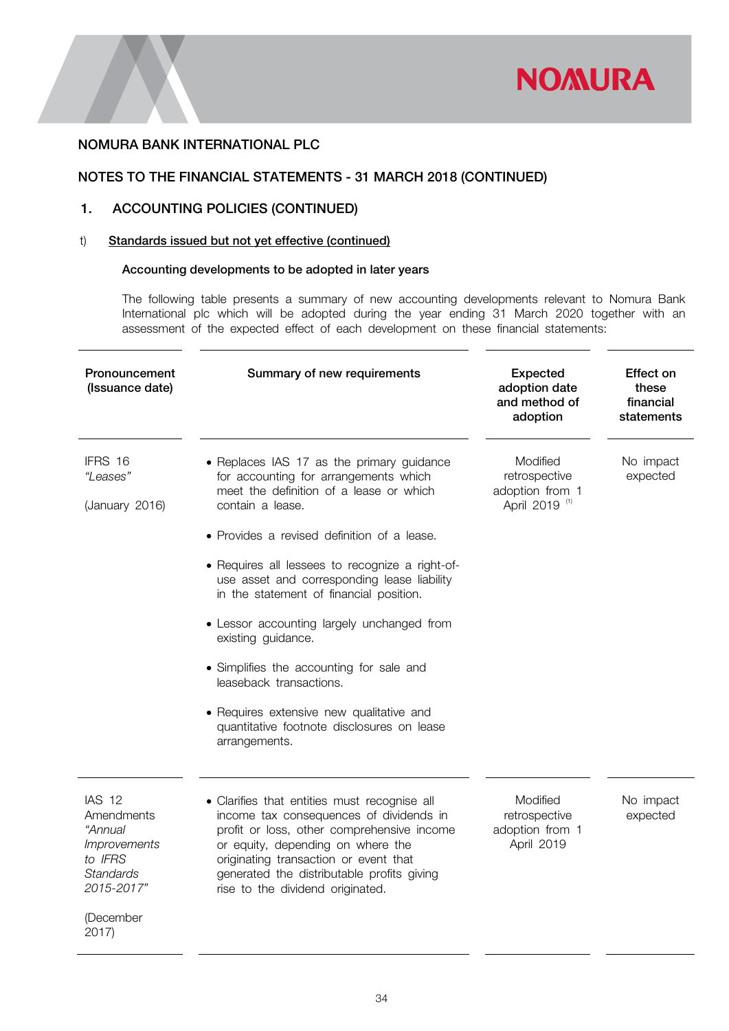

# NOTES TO THE FINANCIAL STATEMENTS - 31 MARCH 2018 (CONTINUED)

# 1. ACCOUNTING POLICIES (CONTINUED)

# t) Standards issued but not yet effective (continued)

### Accounting developments to be adopted in later years

The following table presents a summary of new accounting developments relevant to Nomura Bank International plc which will be adopted during the year ending 31 March 2020 together with an assessment of the expected effect of each development on these financial statements:

| Pronouncement<br>(Issuance date)                                                                                                        | Summary of new requirements                                                                                                                                                                                                                                                                                                                                                                                                                                                                                                                                                                         | Expected<br>adoption date<br>and method of<br>adoption                    | Effect on<br>these<br>financial<br>statements |
|-----------------------------------------------------------------------------------------------------------------------------------------|-----------------------------------------------------------------------------------------------------------------------------------------------------------------------------------------------------------------------------------------------------------------------------------------------------------------------------------------------------------------------------------------------------------------------------------------------------------------------------------------------------------------------------------------------------------------------------------------------------|---------------------------------------------------------------------------|-----------------------------------------------|
| IFRS 16<br>"Leases"<br>(January 2016)                                                                                                   | • Replaces IAS 17 as the primary guidance<br>for accounting for arrangements which<br>meet the definition of a lease or which<br>contain a lease.<br>• Provides a revised definition of a lease.<br>• Requires all lessees to recognize a right-of-<br>use asset and corresponding lease liability<br>in the statement of financial position.<br>• Lessor accounting largely unchanged from<br>existing guidance.<br>• Simplifies the accounting for sale and<br>leaseback transactions.<br>• Requires extensive new qualitative and<br>quantitative footnote disclosures on lease<br>arrangements. | Modified<br>retrospective<br>adoption from 1<br>April 2019 <sup>(1)</sup> | No impact<br>expected                         |
| <b>IAS 12</b><br>Amendments<br>"Annual<br><i><b>Improvements</b></i><br>to IFRS<br><b>Standards</b><br>2015-2017"<br>(December<br>2017) | • Clarifies that entities must recognise all<br>income tax consequences of dividends in<br>profit or loss, other comprehensive income<br>or equity, depending on where the<br>originating transaction or event that<br>generated the distributable profits giving<br>rise to the dividend originated.                                                                                                                                                                                                                                                                                               | Modified<br>retrospective<br>adoption from 1<br>April 2019                | No impact<br>expected                         |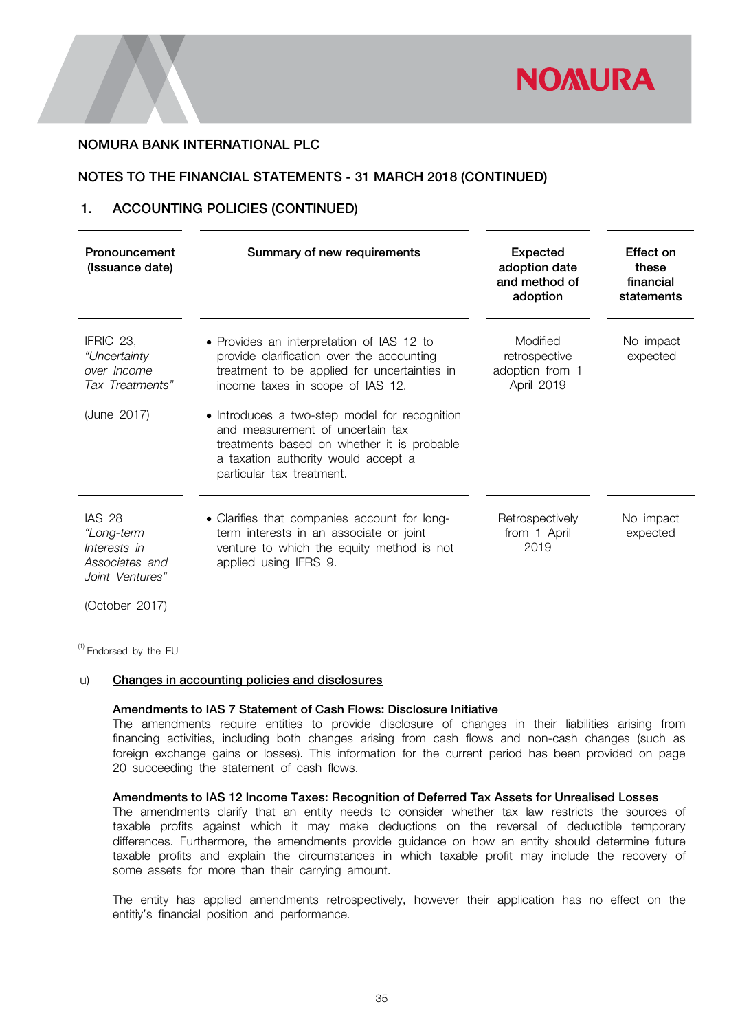

# NOTES TO THE FINANCIAL STATEMENTS - 31 MARCH 2018 (CONTINUED)

# 1. ACCOUNTING POLICIES (CONTINUED)

| Pronouncement<br>(Issuance date)                                                 | Summary of new requirements                                                                                                                                                                         | Expected<br>adoption date<br>and method of<br>adoption     | Effect on<br>these<br>financial<br>statements |
|----------------------------------------------------------------------------------|-----------------------------------------------------------------------------------------------------------------------------------------------------------------------------------------------------|------------------------------------------------------------|-----------------------------------------------|
| IFRIC 23,<br>"Uncertainty<br>over Income<br>Tax Treatments"                      | • Provides an interpretation of IAS 12 to<br>provide clarification over the accounting<br>treatment to be applied for uncertainties in<br>income taxes in scope of IAS 12.                          | Modified<br>retrospective<br>adoption from 1<br>April 2019 | No impact<br>expected                         |
| (June 2017)                                                                      | • Introduces a two-step model for recognition<br>and measurement of uncertain tax<br>treatments based on whether it is probable<br>a taxation authority would accept a<br>particular tax treatment. |                                                            |                                               |
| <b>IAS 28</b><br>"Long-term<br>Interests in<br>Associates and<br>Joint Ventures" | • Clarifies that companies account for long-<br>term interests in an associate or joint<br>venture to which the equity method is not<br>applied using IFRS 9.                                       | Retrospectively<br>from 1 April<br>2019                    | No impact<br>expected                         |
| (October 2017)                                                                   |                                                                                                                                                                                                     |                                                            |                                               |

(1) Endorsed by the EU

#### u) Changes in accounting policies and disclosures

#### Amendments to IAS 7 Statement of Cash Flows: Disclosure Initiative

The amendments require entities to provide disclosure of changes in their liabilities arising from financing activities, including both changes arising from cash flows and non-cash changes (such as foreign exchange gains or losses). This information for the current period has been provided on page 20 succeeding the statement of cash flows.

#### Amendments to IAS 12 Income Taxes: Recognition of Deferred Tax Assets for Unrealised Losses

The amendments clarify that an entity needs to consider whether tax law restricts the sources of taxable profits against which it may make deductions on the reversal of deductible temporary differences. Furthermore, the amendments provide guidance on how an entity should determine future taxable profits and explain the circumstances in which taxable profit may include the recovery of some assets for more than their carrying amount.

The entity has applied amendments retrospectively, however their application has no effect on the entitiy's financial position and performance.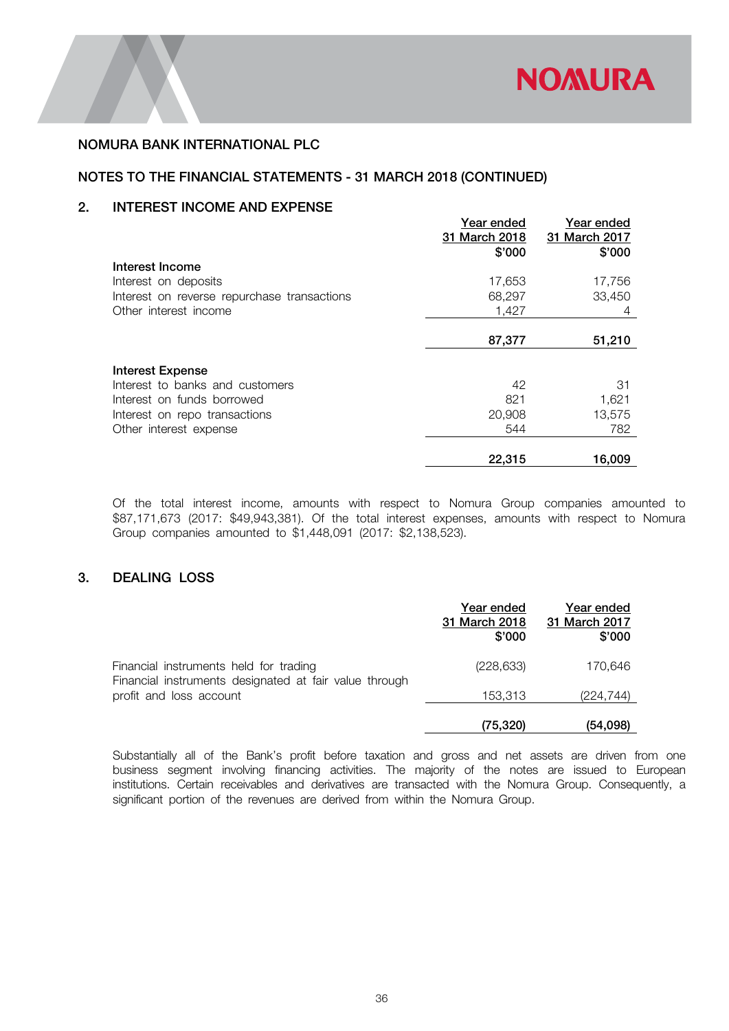

### NOTES TO THE FINANCIAL STATEMENTS - 31 MARCH 2018 (CONTINUED)

### 2. INTEREST INCOME AND EXPENSE

|                                             | Year ended    | Year ended    |
|---------------------------------------------|---------------|---------------|
|                                             | 31 March 2018 | 31 March 2017 |
|                                             | \$'000        | \$'000        |
| Interest Income                             |               |               |
| Interest on deposits                        | 17,653        | 17,756        |
| Interest on reverse repurchase transactions | 68,297        | 33,450        |
| Other interest income                       | 1,427         | 4             |
|                                             |               |               |
|                                             | 87,377        | 51,210        |
|                                             |               |               |
| Interest Expense                            |               |               |
| Interest to banks and customers             | 42            | 31            |
| Interest on funds borrowed                  | 821           | 1,621         |
| Interest on repo transactions               | 20,908        | 13,575        |
| Other interest expense                      | 544           | 782           |
|                                             |               |               |
|                                             | 22,315        | 16,009        |

Of the total interest income, amounts with respect to Nomura Group companies amounted to \$87,171,673 (2017: \$49,943,381). Of the total interest expenses, amounts with respect to Nomura Group companies amounted to \$1,448,091 (2017: \$2,138,523).

### 3. DEALING LOSS

|                                                                                                  | Year ended<br>31 March 2018<br>\$'000 | Year ended<br>31 March 2017<br>\$'000 |
|--------------------------------------------------------------------------------------------------|---------------------------------------|---------------------------------------|
| Financial instruments held for trading<br>Financial instruments designated at fair value through | (228, 633)                            | 170,646                               |
| profit and loss account                                                                          | 153.313                               | (224,744)                             |
|                                                                                                  | (75,320)                              | (54,098)                              |

Substantially all of the Bank's profit before taxation and gross and net assets are driven from one business segment involving financing activities. The majority of the notes are issued to European institutions. Certain receivables and derivatives are transacted with the Nomura Group. Consequently, a significant portion of the revenues are derived from within the Nomura Group.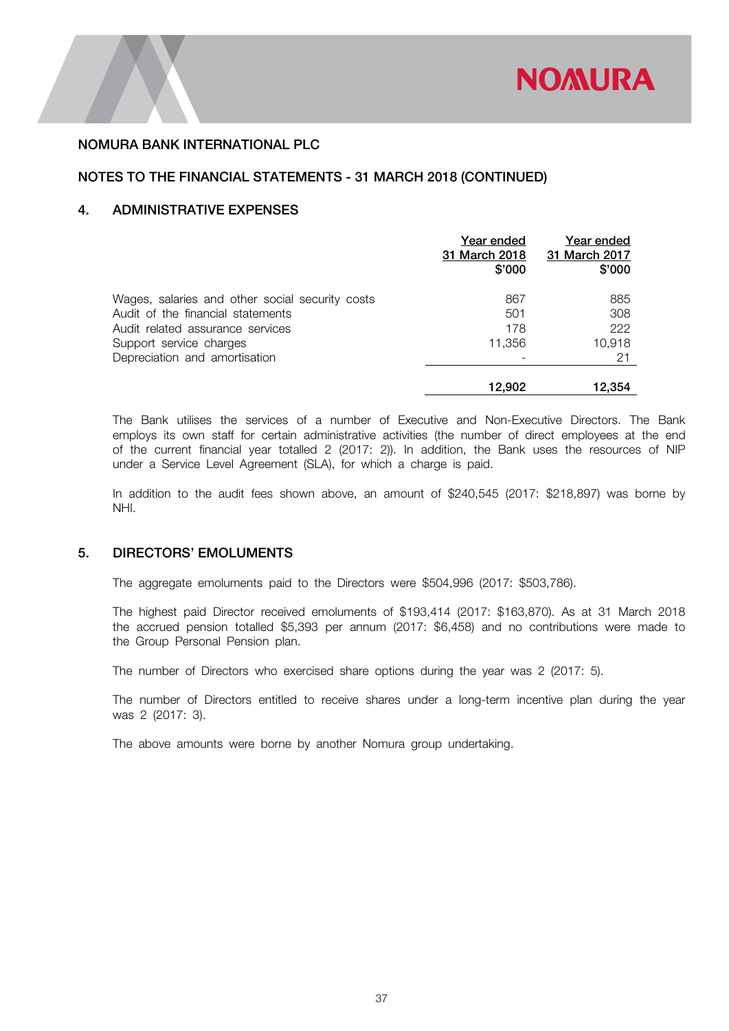

### NOTES TO THE FINANCIAL STATEMENTS - 31 MARCH 2018 (CONTINUED)

### 4. ADMINISTRATIVE EXPENSES

|                                                                       | Year ended<br>31 March 2018<br>\$'000 | Year ended<br>31 March 2017<br>\$'000 |
|-----------------------------------------------------------------------|---------------------------------------|---------------------------------------|
| Wages, salaries and other social security costs                       | 867                                   | 885                                   |
| Audit of the financial statements<br>Audit related assurance services | 501<br>178                            | 308<br>222                            |
| Support service charges<br>Depreciation and amortisation              | 11,356                                | 10,918<br>21                          |
|                                                                       | 12.902                                | 12.354                                |

The Bank utilises the services of a number of Executive and Non-Executive Directors. The Bank employs its own staff for certain administrative activities (the number of direct employees at the end of the current financial year totalled 2 (2017: 2)). In addition, the Bank uses the resources of NIP under a Service Level Agreement (SLA), for which a charge is paid.

In addition to the audit fees shown above, an amount of \$240,545 (2017: \$218,897) was borne by NHI.

### 5. DIRECTORS' EMOLUMENTS

The aggregate emoluments paid to the Directors were \$504,996 (2017: \$503,786).

The highest paid Director received emoluments of \$193,414 (2017: \$163,870). As at 31 March 2018 the accrued pension totalled \$5,393 per annum (2017: \$6,458) and no contributions were made to the Group Personal Pension plan.

The number of Directors who exercised share options during the year was 2 (2017: 5).

The number of Directors entitled to receive shares under a long-term incentive plan during the year was 2 (2017: 3).

The above amounts were borne by another Nomura group undertaking.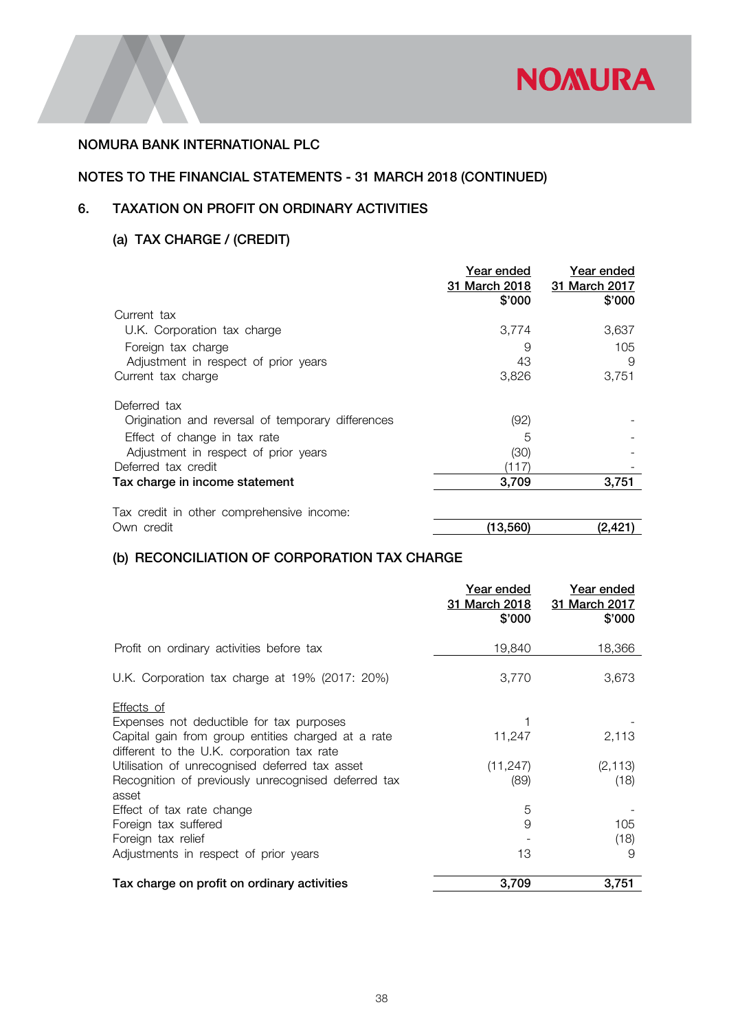

# NOTES TO THE FINANCIAL STATEMENTS - 31 MARCH 2018 (CONTINUED)

# 6. TAXATION ON PROFIT ON ORDINARY ACTIVITIES

# (a) TAX CHARGE / (CREDIT)

|                                                   | Year ended<br>31 March 2018<br>\$'000 | Year ended<br>31 March 2017<br>\$'000 |
|---------------------------------------------------|---------------------------------------|---------------------------------------|
| Current tax                                       |                                       |                                       |
| U.K. Corporation tax charge                       | 3,774                                 | 3,637                                 |
| Foreign tax charge                                | 9                                     | 105                                   |
| Adjustment in respect of prior years              | 43                                    | 9                                     |
| Current tax charge                                | 3,826                                 | 3,751                                 |
| Deferred tax                                      |                                       |                                       |
| Origination and reversal of temporary differences | (92)                                  |                                       |
| Effect of change in tax rate                      | 5                                     |                                       |
| Adjustment in respect of prior years              | (30)                                  |                                       |
| Deferred tax credit                               | (117)                                 |                                       |
| Tax charge in income statement                    | 3,709                                 | 3,751                                 |
| Tax credit in other comprehensive income:         |                                       |                                       |
| Own credit                                        | (13, 560)                             | (2, 421)                              |

# (b) RECONCILIATION OF CORPORATION TAX CHARGE

|                                                                                                                                                            | Year ended<br>31 March 2018<br>\$'000 | Year ended<br>31 March 2017<br>\$'000 |
|------------------------------------------------------------------------------------------------------------------------------------------------------------|---------------------------------------|---------------------------------------|
| Profit on ordinary activities before tax                                                                                                                   | 19,840                                | 18,366                                |
| U.K. Corporation tax charge at 19% (2017: 20%)                                                                                                             | 3,770                                 | 3,673                                 |
| Effects of<br>Expenses not deductible for tax purposes<br>Capital gain from group entities charged at a rate<br>different to the U.K. corporation tax rate | 11,247                                | 2,113                                 |
| Utilisation of unrecognised deferred tax asset<br>Recognition of previously unrecognised deferred tax<br>asset                                             | (11, 247)<br>(89)                     | (2, 113)<br>(18)                      |
| Effect of tax rate change<br>Foreign tax suffered                                                                                                          | 5<br>9                                | 105                                   |
| Foreign tax relief<br>Adjustments in respect of prior years                                                                                                | 13                                    | (18)<br>9                             |
| Tax charge on profit on ordinary activities                                                                                                                | 3,709                                 | 3,751                                 |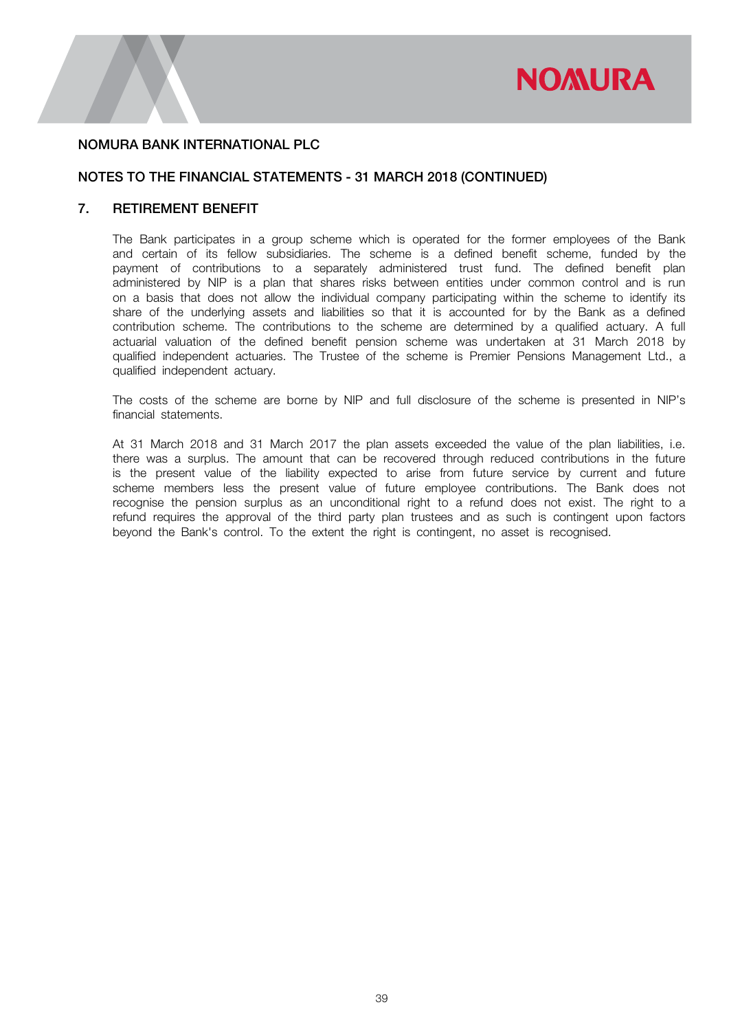

### NOTES TO THE FINANCIAL STATEMENTS - 31 MARCH 2018 (CONTINUED)

### 7. RETIREMENT BENEFIT

The Bank participates in a group scheme which is operated for the former employees of the Bank and certain of its fellow subsidiaries. The scheme is a defined benefit scheme, funded by the payment of contributions to a separately administered trust fund. The defined benefit plan administered by NIP is a plan that shares risks between entities under common control and is run on a basis that does not allow the individual company participating within the scheme to identify its share of the underlying assets and liabilities so that it is accounted for by the Bank as a defined contribution scheme. The contributions to the scheme are determined by a qualified actuary. A full actuarial valuation of the defined benefit pension scheme was undertaken at 31 March 2018 by qualified independent actuaries. The Trustee of the scheme is Premier Pensions Management Ltd., a qualified independent actuary.

The costs of the scheme are borne by NIP and full disclosure of the scheme is presented in NIP's financial statements.

At 31 March 2018 and 31 March 2017 the plan assets exceeded the value of the plan liabilities, i.e. there was a surplus. The amount that can be recovered through reduced contributions in the future is the present value of the liability expected to arise from future service by current and future scheme members less the present value of future employee contributions. The Bank does not recognise the pension surplus as an unconditional right to a refund does not exist. The right to a refund requires the approval of the third party plan trustees and as such is contingent upon factors beyond the Bank's control. To the extent the right is contingent, no asset is recognised.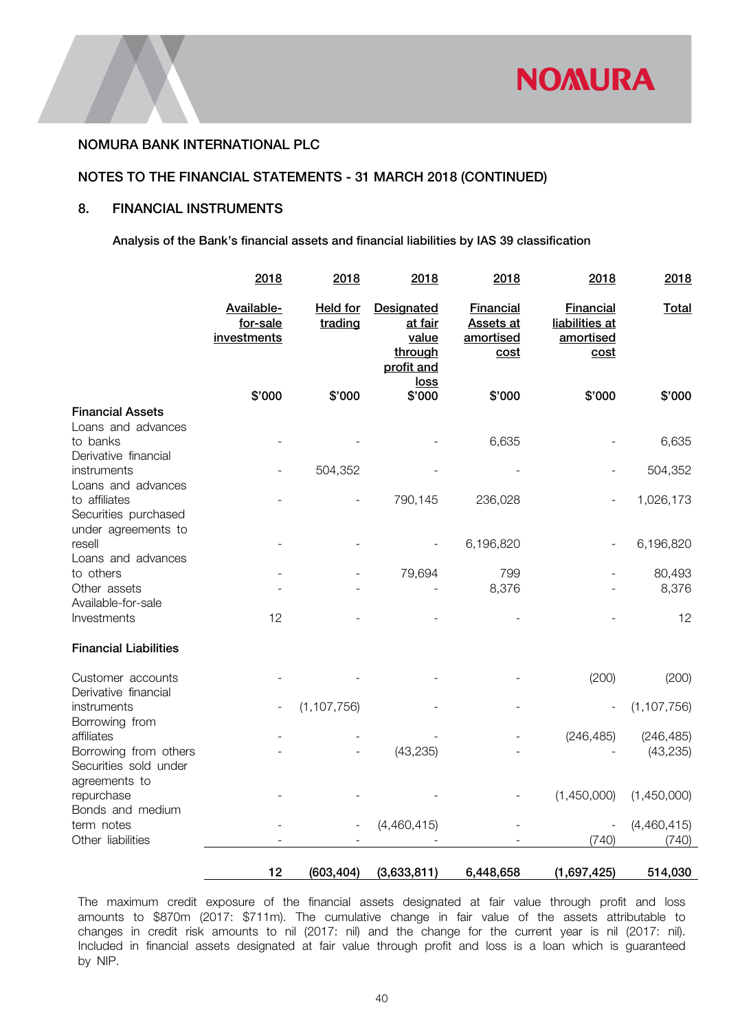

# NOTES TO THE FINANCIAL STATEMENTS - 31 MARCH 2018 (CONTINUED)

# 8. FINANCIAL INSTRUMENTS

Analysis of the Bank's financial assets and financial liabilities by IAS 39 classification

|                                                                       | 2018                                  | 2018                       | 2018                                                                   | 2018                                                      | 2018                                                    | 2018                 |
|-----------------------------------------------------------------------|---------------------------------------|----------------------------|------------------------------------------------------------------------|-----------------------------------------------------------|---------------------------------------------------------|----------------------|
|                                                                       | Available-<br>for-sale<br>investments | <b>Held for</b><br>trading | Designated<br>at fair<br>value<br>through<br>profit and<br><u>loss</u> | <b>Financial</b><br><b>Assets at</b><br>amortised<br>cost | <b>Financial</b><br>liabilities at<br>amortised<br>cost | Total                |
|                                                                       | \$'000                                | \$'000                     | \$'000                                                                 | \$'000                                                    | \$'000                                                  | \$'000               |
| <b>Financial Assets</b>                                               |                                       |                            |                                                                        |                                                           |                                                         |                      |
| Loans and advances<br>to banks                                        |                                       |                            |                                                                        | 6,635                                                     |                                                         | 6,635                |
| Derivative financial<br>instruments                                   |                                       | 504,352                    |                                                                        |                                                           |                                                         | 504,352              |
| Loans and advances<br>to affiliates<br>Securities purchased           |                                       |                            | 790,145                                                                | 236,028                                                   |                                                         | 1,026,173            |
| under agreements to<br>resell                                         |                                       |                            |                                                                        | 6,196,820                                                 |                                                         | 6,196,820            |
| Loans and advances<br>to others<br>Other assets<br>Available-for-sale |                                       |                            | 79,694                                                                 | 799<br>8,376                                              |                                                         | 80,493<br>8,376      |
| Investments                                                           | 12                                    |                            |                                                                        |                                                           |                                                         | 12                   |
| <b>Financial Liabilities</b>                                          |                                       |                            |                                                                        |                                                           |                                                         |                      |
| Customer accounts<br>Derivative financial                             |                                       |                            |                                                                        |                                                           | (200)                                                   | (200)                |
| instruments<br>Borrowing from                                         |                                       | (1, 107, 756)              |                                                                        |                                                           |                                                         | (1, 107, 756)        |
| affiliates                                                            |                                       |                            |                                                                        |                                                           | (246, 485)                                              | (246, 485)           |
| Borrowing from others<br>Securities sold under<br>agreements to       |                                       |                            | (43, 235)                                                              |                                                           |                                                         | (43, 235)            |
| repurchase<br>Bonds and medium                                        |                                       |                            |                                                                        |                                                           | (1,450,000)                                             | (1,450,000)          |
| term notes<br>Other liabilities                                       |                                       |                            | (4,460,415)                                                            |                                                           | (740)                                                   | (4,460,415)<br>(740) |
|                                                                       |                                       |                            |                                                                        |                                                           |                                                         |                      |
|                                                                       | 12                                    | (603, 404)                 | (3,633,811)                                                            | 6,448,658                                                 | (1,697,425)                                             | 514,030              |

The maximum credit exposure of the financial assets designated at fair value through profit and loss amounts to \$870m (2017: \$711m). The cumulative change in fair value of the assets attributable to changes in credit risk amounts to nil (2017: nil) and the change for the current year is nil (2017: nil). Included in financial assets designated at fair value through profit and loss is a loan which is guaranteed by NIP.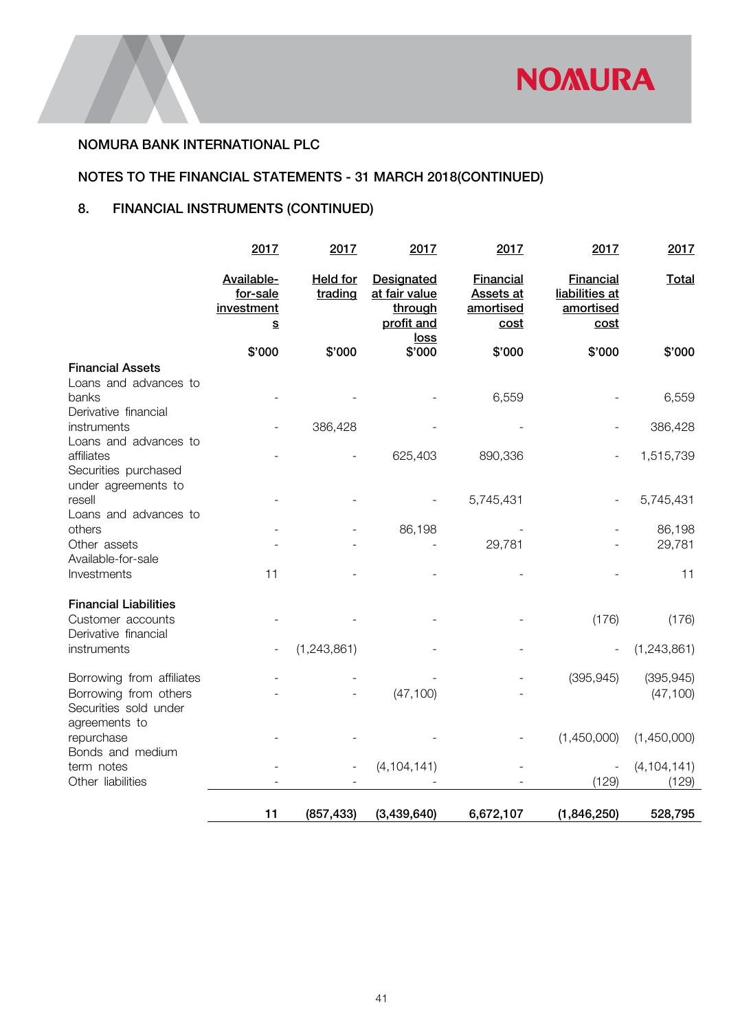

# NOTES TO THE FINANCIAL STATEMENTS - 31 MARCH 2018(CONTINUED)

# 8. FINANCIAL INSTRUMENTS (CONTINUED)

|                                                           | 2017                                                             | 2017                       | 2017                                                                | 2017                                               | 2017                                                    | 2017                    |
|-----------------------------------------------------------|------------------------------------------------------------------|----------------------------|---------------------------------------------------------------------|----------------------------------------------------|---------------------------------------------------------|-------------------------|
|                                                           | Available-<br>for-sale<br>investment<br>$\underline{\mathbf{S}}$ | <b>Held for</b><br>trading | Designated<br>at fair value<br>through<br>profit and<br><u>loss</u> | <b>Financial</b><br>Assets at<br>amortised<br>cost | <b>Financial</b><br>liabilities at<br>amortised<br>cost | Total                   |
|                                                           | \$'000                                                           | \$'000                     | \$'000                                                              | \$'000                                             | \$'000                                                  | \$'000                  |
| <b>Financial Assets</b><br>Loans and advances to<br>banks |                                                                  |                            |                                                                     | 6,559                                              |                                                         | 6,559                   |
| Derivative financial                                      |                                                                  |                            |                                                                     |                                                    |                                                         |                         |
| instruments<br>Loans and advances to                      |                                                                  | 386,428                    |                                                                     |                                                    |                                                         | 386,428                 |
| affiliates<br>Securities purchased<br>under agreements to |                                                                  |                            | 625,403                                                             | 890,336                                            |                                                         | 1,515,739               |
| resell                                                    |                                                                  |                            |                                                                     | 5,745,431                                          |                                                         | 5,745,431               |
| Loans and advances to<br>others                           |                                                                  |                            | 86,198                                                              |                                                    |                                                         | 86,198                  |
| Other assets<br>Available-for-sale                        |                                                                  |                            |                                                                     | 29,781                                             |                                                         | 29,781                  |
| Investments                                               | 11                                                               |                            |                                                                     |                                                    |                                                         | 11                      |
| <b>Financial Liabilities</b>                              |                                                                  |                            |                                                                     |                                                    |                                                         |                         |
| Customer accounts<br>Derivative financial                 |                                                                  |                            |                                                                     |                                                    | (176)                                                   | (176)                   |
| instruments                                               |                                                                  | (1,243,861)                |                                                                     |                                                    | $\overline{\phantom{a}}$                                | (1,243,861)             |
| Borrowing from affiliates<br>Borrowing from others        |                                                                  |                            | (47, 100)                                                           |                                                    | (395, 945)                                              | (395, 945)<br>(47, 100) |
| Securities sold under<br>agreements to                    |                                                                  |                            |                                                                     |                                                    |                                                         |                         |
| repurchase<br>Bonds and medium                            |                                                                  |                            |                                                                     |                                                    | (1,450,000)                                             | (1,450,000)             |
| term notes<br>Other liabilities                           |                                                                  |                            | (4, 104, 141)                                                       |                                                    | (129)                                                   | (4, 104, 141)<br>(129)  |
|                                                           | 11                                                               | (857, 433)                 | (3,439,640)                                                         | 6,672,107                                          | (1,846,250)                                             | 528,795                 |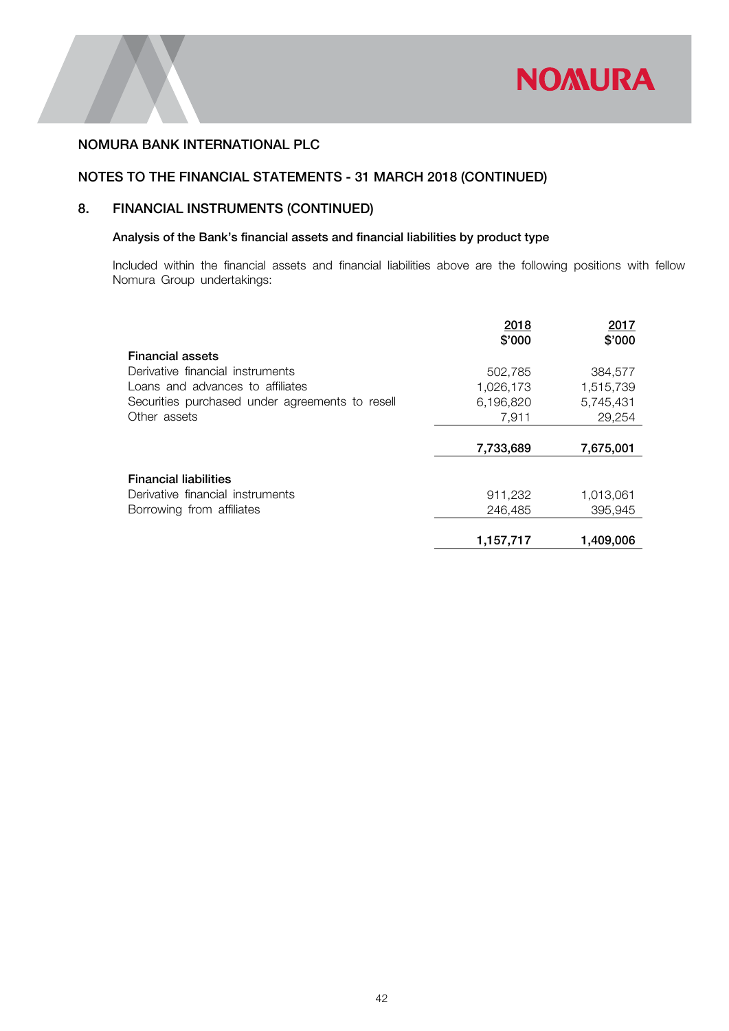

# NOTES TO THE FINANCIAL STATEMENTS - 31 MARCH 2018 (CONTINUED)

# 8. FINANCIAL INSTRUMENTS (CONTINUED)

### Analysis of the Bank's financial assets and financial liabilities by product type

Included within the financial assets and financial liabilities above are the following positions with fellow Nomura Group undertakings:

|                                                 | 2018<br>\$'000 | 2017<br>\$'000 |
|-------------------------------------------------|----------------|----------------|
| <b>Financial assets</b>                         |                |                |
| Derivative financial instruments                | 502,785        | 384,577        |
| Loans and advances to affiliates                | 1,026,173      | 1,515,739      |
| Securities purchased under agreements to resell | 6,196,820      | 5.745.431      |
| Other assets                                    | 7,911          | 29,254         |
|                                                 |                |                |
|                                                 | 7,733,689      | 7,675,001      |
|                                                 |                |                |
| <b>Financial liabilities</b>                    |                |                |
| Derivative financial instruments                | 911,232        | 1.013.061      |
| Borrowing from affiliates                       | 246,485        | 395.945        |
|                                                 |                |                |
|                                                 | 1,157,717      | 1,409,006      |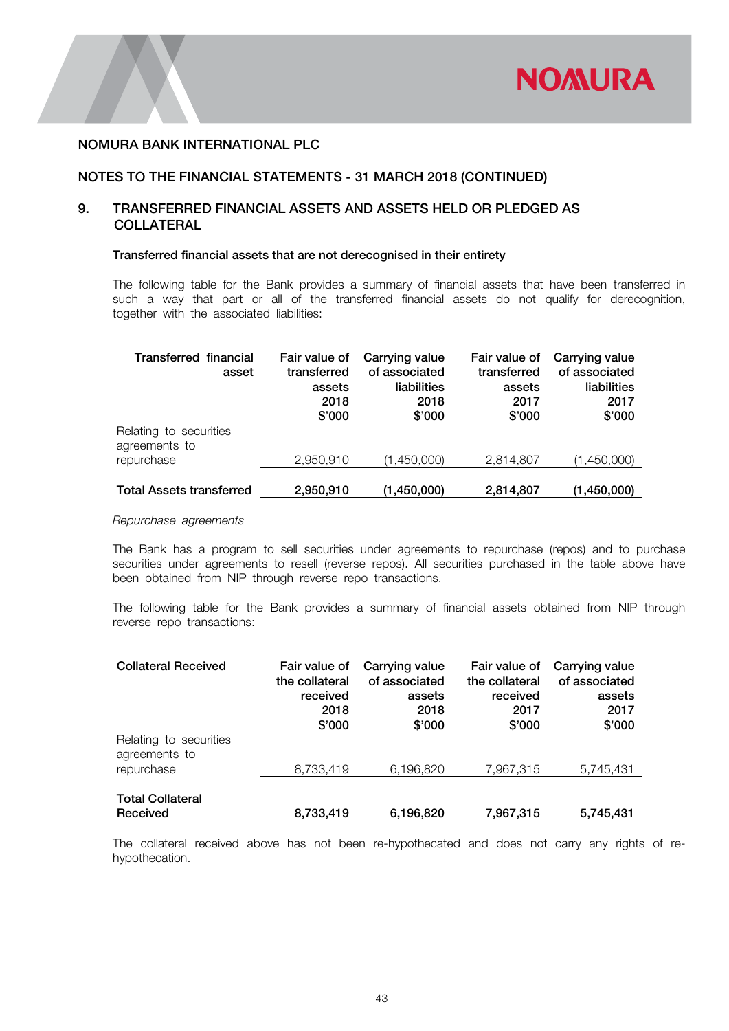

### NOTES TO THE FINANCIAL STATEMENTS - 31 MARCH 2018 (CONTINUED)

### 9. TRANSFERRED FINANCIAL ASSETS AND ASSETS HELD OR PLEDGED AS COLLATERAL

#### Transferred financial assets that are not derecognised in their entirety

The following table for the Bank provides a summary of financial assets that have been transferred in such a way that part or all of the transferred financial assets do not qualify for derecognition, together with the associated liabilities:

| <b>Transferred financial</b><br>asset   | Fair value of<br>transferred<br>assets<br>2018<br>\$'000 | Carrying value<br>of associated<br>liabilities<br>2018<br>\$'000 | Fair value of<br>transferred<br>assets<br>2017<br>\$'000 | Carrying value<br>of associated<br>liabilities<br>2017<br>\$'000 |
|-----------------------------------------|----------------------------------------------------------|------------------------------------------------------------------|----------------------------------------------------------|------------------------------------------------------------------|
| Relating to securities<br>agreements to |                                                          |                                                                  |                                                          |                                                                  |
| repurchase                              | 2,950,910                                                | (1,450,000)                                                      | 2,814,807                                                | (1,450,000)                                                      |
| <b>Total Assets transferred</b>         | 2,950,910                                                | (1,450,000)                                                      | 2,814,807                                                | (1,450,000)                                                      |

#### *Repurchase agreements*

The Bank has a program to sell securities under agreements to repurchase (repos) and to purchase securities under agreements to resell (reverse repos). All securities purchased in the table above have been obtained from NIP through reverse repo transactions.

The following table for the Bank provides a summary of financial assets obtained from NIP through reverse repo transactions:

| <b>Collateral Received</b>              | Fair value of<br>the collateral<br>received<br>2018<br>\$'000 | Carrying value<br>of associated<br>assets<br>2018<br>\$'000 | Fair value of<br>the collateral<br>received<br>2017<br>\$'000 | Carrying value<br>of associated<br>assets<br>2017<br>\$'000 |
|-----------------------------------------|---------------------------------------------------------------|-------------------------------------------------------------|---------------------------------------------------------------|-------------------------------------------------------------|
| Relating to securities<br>agreements to |                                                               |                                                             |                                                               |                                                             |
| repurchase                              | 8,733,419                                                     | 6,196,820                                                   | 7,967,315                                                     | 5,745,431                                                   |
| <b>Total Collateral</b><br>Received     | 8,733,419                                                     | 6,196,820                                                   | 7,967,315                                                     | 5,745,431                                                   |

The collateral received above has not been re-hypothecated and does not carry any rights of rehypothecation.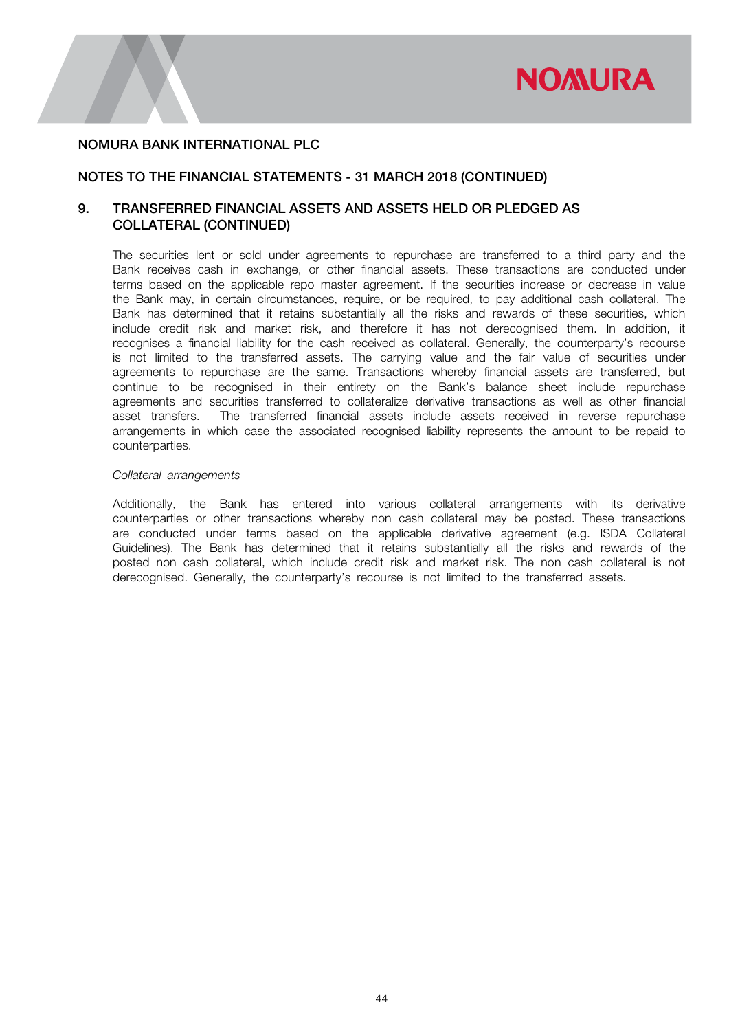

### NOTES TO THE FINANCIAL STATEMENTS - 31 MARCH 2018 (CONTINUED)

# 9. TRANSFERRED FINANCIAL ASSETS AND ASSETS HELD OR PLEDGED AS COLLATERAL (CONTINUED)

The securities lent or sold under agreements to repurchase are transferred to a third party and the Bank receives cash in exchange, or other financial assets. These transactions are conducted under terms based on the applicable repo master agreement. If the securities increase or decrease in value the Bank may, in certain circumstances, require, or be required, to pay additional cash collateral. The Bank has determined that it retains substantially all the risks and rewards of these securities, which include credit risk and market risk, and therefore it has not derecognised them. In addition, it recognises a financial liability for the cash received as collateral. Generally, the counterparty's recourse is not limited to the transferred assets. The carrying value and the fair value of securities under agreements to repurchase are the same. Transactions whereby financial assets are transferred, but continue to be recognised in their entirety on the Bank's balance sheet include repurchase agreements and securities transferred to collateralize derivative transactions as well as other financial asset transfers. The transferred financial assets include assets received in reverse repurchase arrangements in which case the associated recognised liability represents the amount to be repaid to counterparties.

#### *Collateral arrangements*

Additionally, the Bank has entered into various collateral arrangements with its derivative counterparties or other transactions whereby non cash collateral may be posted. These transactions are conducted under terms based on the applicable derivative agreement (e.g. ISDA Collateral Guidelines). The Bank has determined that it retains substantially all the risks and rewards of the posted non cash collateral, which include credit risk and market risk. The non cash collateral is not derecognised. Generally, the counterparty's recourse is not limited to the transferred assets.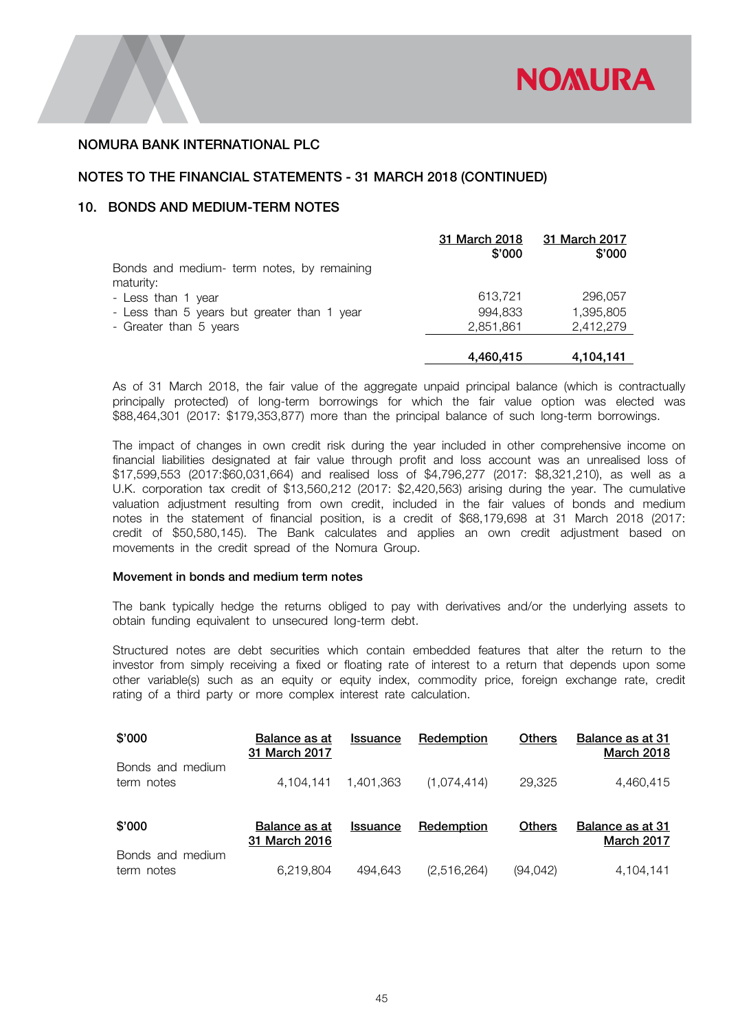

### NOTES TO THE FINANCIAL STATEMENTS - 31 MARCH 2018 (CONTINUED)

### 10. BONDS AND MEDIUM-TERM NOTES

|                                             | 31 March 2018<br>\$'000 | 31 March 2017<br>\$'000 |
|---------------------------------------------|-------------------------|-------------------------|
| Bonds and medium- term notes, by remaining  |                         |                         |
| maturity:                                   |                         |                         |
| - Less than 1 year                          | 613,721                 | 296,057                 |
| - Less than 5 years but greater than 1 year | 994.833                 | 1,395,805               |
| - Greater than 5 years                      | 2,851,861               | 2,412,279               |
|                                             |                         |                         |
|                                             | 4,460,415               | 4,104,141               |

As of 31 March 2018, the fair value of the aggregate unpaid principal balance (which is contractually principally protected) of long-term borrowings for which the fair value option was elected was \$88,464,301 (2017: \$179,353,877) more than the principal balance of such long-term borrowings.

The impact of changes in own credit risk during the year included in other comprehensive income on financial liabilities designated at fair value through profit and loss account was an unrealised loss of \$17,599,553 (2017:\$60,031,664) and realised loss of \$4,796,277 (2017: \$8,321,210), as well as a U.K. corporation tax credit of \$13,560,212 (2017: \$2,420,563) arising during the year. The cumulative valuation adjustment resulting from own credit, included in the fair values of bonds and medium notes in the statement of financial position, is a credit of \$68,179,698 at 31 March 2018 (2017: credit of \$50,580,145). The Bank calculates and applies an own credit adjustment based on movements in the credit spread of the Nomura Group.

#### Movement in bonds and medium term notes

The bank typically hedge the returns obliged to pay with derivatives and/or the underlying assets to obtain funding equivalent to unsecured long-term debt.

Structured notes are debt securities which contain embedded features that alter the return to the investor from simply receiving a fixed or floating rate of interest to a return that depends upon some other variable(s) such as an equity or equity index, commodity price, foreign exchange rate, credit rating of a third party or more complex interest rate calculation.

| \$'000                         | Balance as at<br>31 March 2017 | <b>Issuance</b> | Redemption  | <b>Others</b> | Balance as at 31<br><b>March 2018</b> |
|--------------------------------|--------------------------------|-----------------|-------------|---------------|---------------------------------------|
| Bonds and medium<br>term notes | 4.104.141                      | 1.401.363       | (1,074,414) | 29.325        | 4,460,415                             |
| \$'000                         | Balance as at<br>31 March 2016 | Issuance        | Redemption  | <b>Others</b> | Balance as at 31<br><b>March 2017</b> |
| Bonds and medium<br>term notes | 6,219,804                      | 494.643         | (2,516,264) | (94, 042)     | 4,104,141                             |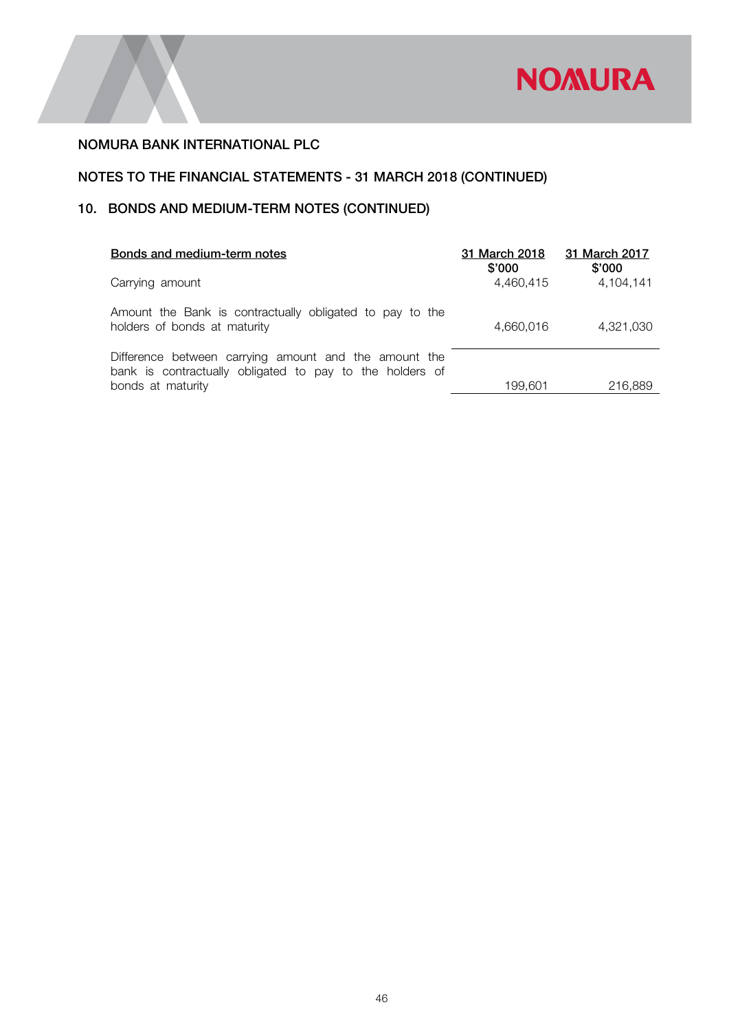

# NOTES TO THE FINANCIAL STATEMENTS - 31 MARCH 2018 (CONTINUED)

# 10. BONDS AND MEDIUM-TERM NOTES (CONTINUED)

| <b>Bonds and medium-term notes</b>                                                                                | 31 March 2018<br>\$'000 | 31 March 2017<br>\$'000 |
|-------------------------------------------------------------------------------------------------------------------|-------------------------|-------------------------|
| Carrying amount                                                                                                   | 4,460,415               | 4,104,141               |
| Amount the Bank is contractually obligated to pay to the<br>holders of bonds at maturity                          | 4.660.016               | 4,321,030               |
| Difference between carrying amount and the amount the<br>bank is contractually obligated to pay to the holders of |                         |                         |
| bonds at maturity                                                                                                 | 199.601                 | 216,889                 |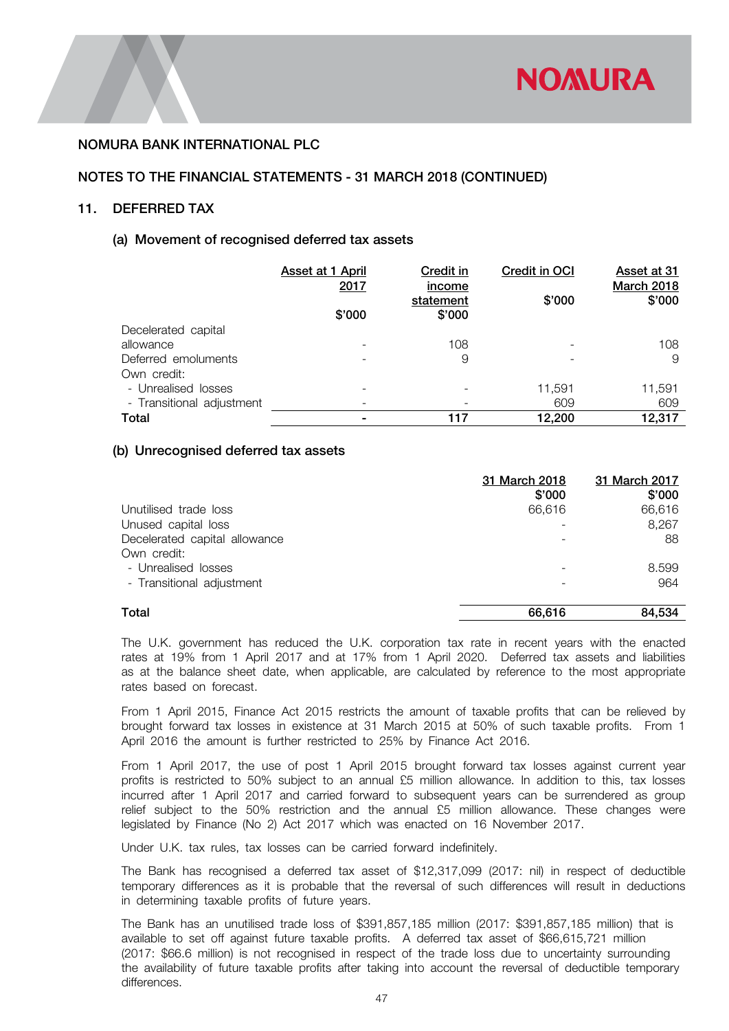

### NOTES TO THE FINANCIAL STATEMENTS - 31 MARCH 2018 (CONTINUED)

### 11. DEFERRED TAX

#### (a) Movement of recognised deferred tax assets

|                           | Asset at 1 April<br>2017 | Credit in<br>income<br>statement | Credit in OCI<br>\$'000 | Asset at 31<br><b>March 2018</b><br>\$'000 |
|---------------------------|--------------------------|----------------------------------|-------------------------|--------------------------------------------|
|                           | \$'000                   | \$'000                           |                         |                                            |
| Decelerated capital       |                          |                                  |                         |                                            |
| allowance                 |                          | 108                              |                         | 108                                        |
| Deferred emoluments       |                          | 9                                |                         | 9                                          |
| Own credit:               |                          |                                  |                         |                                            |
| - Unrealised losses       |                          |                                  | 11,591                  | 11,591                                     |
| - Transitional adjustment |                          |                                  | 609                     | 609                                        |
| Total                     |                          | 117                              | 12,200                  | 12,317                                     |

### (b) Unrecognised deferred tax assets

|                               | 31 March 2018 | 31 March 2017 |
|-------------------------------|---------------|---------------|
|                               | \$'000        | \$'000        |
| Unutilised trade loss         | 66,616        | 66,616        |
| Unused capital loss           |               | 8,267         |
| Decelerated capital allowance |               | 88            |
| Own credit:                   |               |               |
| - Unrealised losses           |               | 8.599         |
| - Transitional adjustment     |               | 964           |
| Total                         | 66,616        | 84.534        |

The U.K. government has reduced the U.K. corporation tax rate in recent years with the enacted rates at 19% from 1 April 2017 and at 17% from 1 April 2020. Deferred tax assets and liabilities as at the balance sheet date, when applicable, are calculated by reference to the most appropriate rates based on forecast.

From 1 April 2015, Finance Act 2015 restricts the amount of taxable profits that can be relieved by brought forward tax losses in existence at 31 March 2015 at 50% of such taxable profits. From 1 April 2016 the amount is further restricted to 25% by Finance Act 2016.

From 1 April 2017, the use of post 1 April 2015 brought forward tax losses against current year profits is restricted to 50% subject to an annual £5 million allowance. In addition to this, tax losses incurred after 1 April 2017 and carried forward to subsequent years can be surrendered as group relief subject to the 50% restriction and the annual £5 million allowance. These changes were legislated by Finance (No 2) Act 2017 which was enacted on 16 November 2017.

Under U.K. tax rules, tax losses can be carried forward indefinitely.

The Bank has recognised a deferred tax asset of \$12,317,099 (2017: nil) in respect of deductible temporary differences as it is probable that the reversal of such differences will result in deductions in determining taxable profits of future years.

The Bank has an unutilised trade loss of \$391,857,185 million (2017: \$391,857,185 million) that is available to set off against future taxable profits. A deferred tax asset of \$66,615,721 million (2017: \$66.6 million) is not recognised in respect of the trade loss due to uncertainty surrounding the availability of future taxable profits after taking into account the reversal of deductible temporary differences.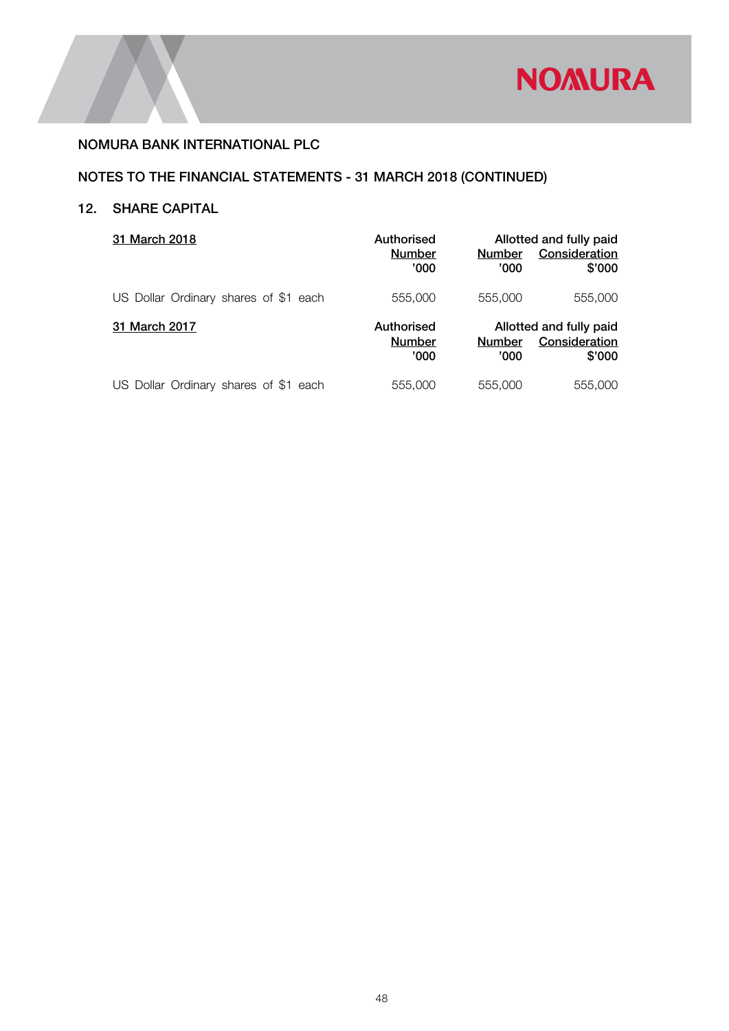

# NOTES TO THE FINANCIAL STATEMENTS - 31 MARCH 2018 (CONTINUED)

# 12. SHARE CAPITAL

| 31 March 2018                         | Authorised<br><b>Number</b><br>'000 | <b>Number</b><br>'000 | Allotted and fully paid<br>Consideration<br>\$'000 |
|---------------------------------------|-------------------------------------|-----------------------|----------------------------------------------------|
| US Dollar Ordinary shares of \$1 each | 555,000                             | 555,000               | 555,000                                            |
| 31 March 2017                         | Authorised<br><b>Number</b><br>'000 | <b>Number</b><br>'000 | Allotted and fully paid<br>Consideration<br>\$'000 |
| US Dollar Ordinary shares of \$1 each | 555,000                             | 555,000               | 555,000                                            |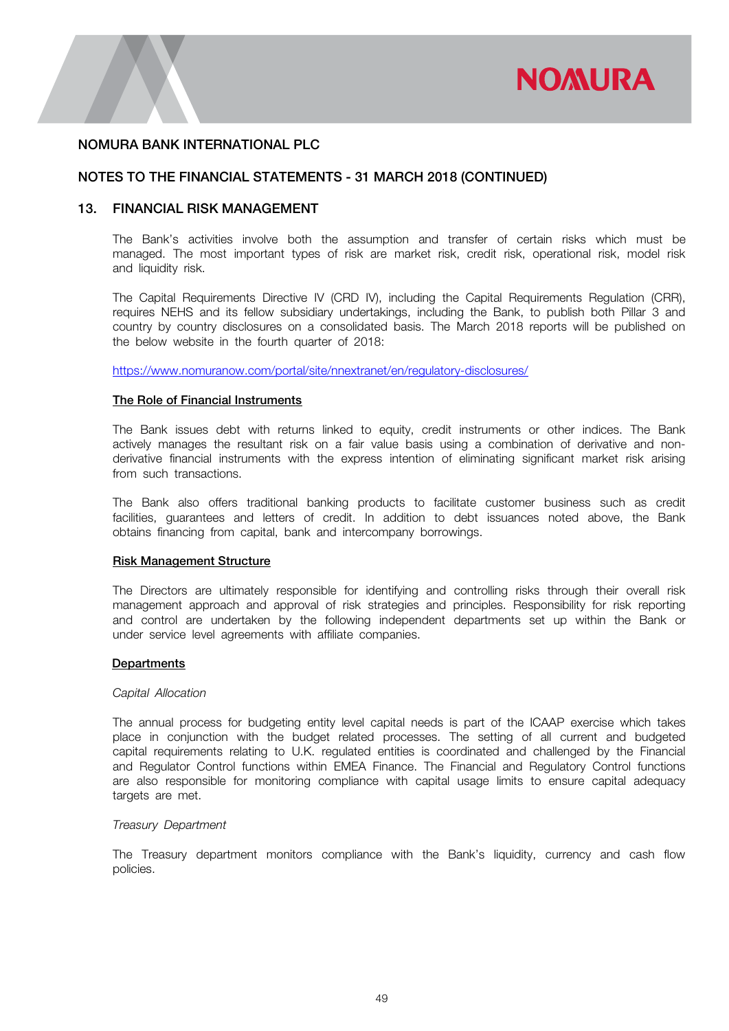

### NOTES TO THE FINANCIAL STATEMENTS - 31 MARCH 2018 (CONTINUED)

### 13. FINANCIAL RISK MANAGEMENT

The Bank's activities involve both the assumption and transfer of certain risks which must be managed. The most important types of risk are market risk, credit risk, operational risk, model risk and liquidity risk.

The Capital Requirements Directive IV (CRD IV), including the Capital Requirements Regulation (CRR), requires NEHS and its fellow subsidiary undertakings, including the Bank, to publish both Pillar 3 and country by country disclosures on a consolidated basis. The March 2018 reports will be published on the below website in the fourth quarter of 2018:

<https://www.nomuranow.com/portal/site/nnextranet/en/regulatory-disclosures/>

#### The Role of Financial Instruments

The Bank issues debt with returns linked to equity, credit instruments or other indices. The Bank actively manages the resultant risk on a fair value basis using a combination of derivative and nonderivative financial instruments with the express intention of eliminating significant market risk arising from such transactions.

The Bank also offers traditional banking products to facilitate customer business such as credit facilities, guarantees and letters of credit. In addition to debt issuances noted above, the Bank obtains financing from capital, bank and intercompany borrowings.

#### Risk Management Structure

The Directors are ultimately responsible for identifying and controlling risks through their overall risk management approach and approval of risk strategies and principles. Responsibility for risk reporting and control are undertaken by the following independent departments set up within the Bank or under service level agreements with affiliate companies.

#### **Departments**

#### *Capital Allocation*

The annual process for budgeting entity level capital needs is part of the ICAAP exercise which takes place in conjunction with the budget related processes. The setting of all current and budgeted capital requirements relating to U.K. regulated entities is coordinated and challenged by the Financial and Regulator Control functions within EMEA Finance. The Financial and Regulatory Control functions are also responsible for monitoring compliance with capital usage limits to ensure capital adequacy targets are met.

#### *Treasury Department*

The Treasury department monitors compliance with the Bank's liquidity, currency and cash flow policies.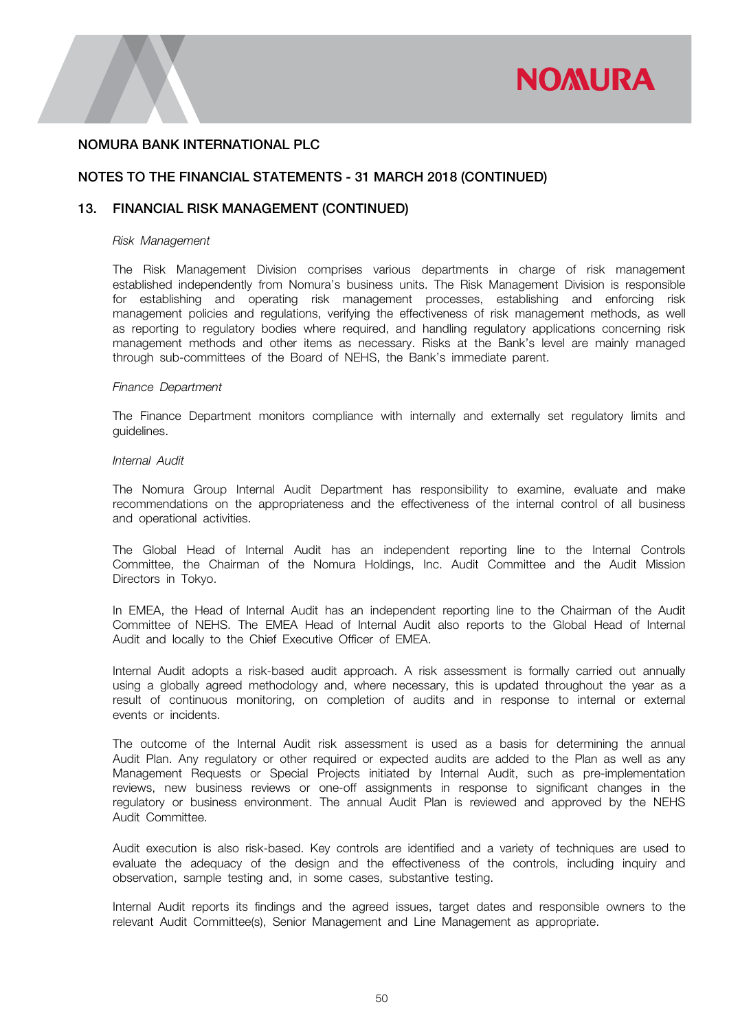

### NOTES TO THE FINANCIAL STATEMENTS - 31 MARCH 2018 (CONTINUED)

### 13. FINANCIAL RISK MANAGEMENT (CONTINUED)

#### *Risk Management*

The Risk Management Division comprises various departments in charge of risk management established independently from Nomura's business units. The Risk Management Division is responsible for establishing and operating risk management processes, establishing and enforcing risk management policies and regulations, verifying the effectiveness of risk management methods, as well as reporting to regulatory bodies where required, and handling regulatory applications concerning risk management methods and other items as necessary. Risks at the Bank's level are mainly managed through sub-committees of the Board of NEHS, the Bank's immediate parent.

#### *Finance Department*

The Finance Department monitors compliance with internally and externally set regulatory limits and guidelines.

#### *Internal Audit*

The Nomura Group Internal Audit Department has responsibility to examine, evaluate and make recommendations on the appropriateness and the effectiveness of the internal control of all business and operational activities.

The Global Head of Internal Audit has an independent reporting line to the Internal Controls Committee, the Chairman of the Nomura Holdings, Inc. Audit Committee and the Audit Mission Directors in Tokyo.

In EMEA, the Head of Internal Audit has an independent reporting line to the Chairman of the Audit Committee of NEHS. The EMEA Head of Internal Audit also reports to the Global Head of Internal Audit and locally to the Chief Executive Officer of EMEA.

Internal Audit adopts a risk-based audit approach. A risk assessment is formally carried out annually using a globally agreed methodology and, where necessary, this is updated throughout the year as a result of continuous monitoring, on completion of audits and in response to internal or external events or incidents.

The outcome of the Internal Audit risk assessment is used as a basis for determining the annual Audit Plan. Any regulatory or other required or expected audits are added to the Plan as well as any Management Requests or Special Projects initiated by Internal Audit, such as pre-implementation reviews, new business reviews or one-off assignments in response to significant changes in the regulatory or business environment. The annual Audit Plan is reviewed and approved by the NEHS Audit Committee.

Audit execution is also risk-based. Key controls are identified and a variety of techniques are used to evaluate the adequacy of the design and the effectiveness of the controls, including inquiry and observation, sample testing and, in some cases, substantive testing.

Internal Audit reports its findings and the agreed issues, target dates and responsible owners to the relevant Audit Committee(s), Senior Management and Line Management as appropriate.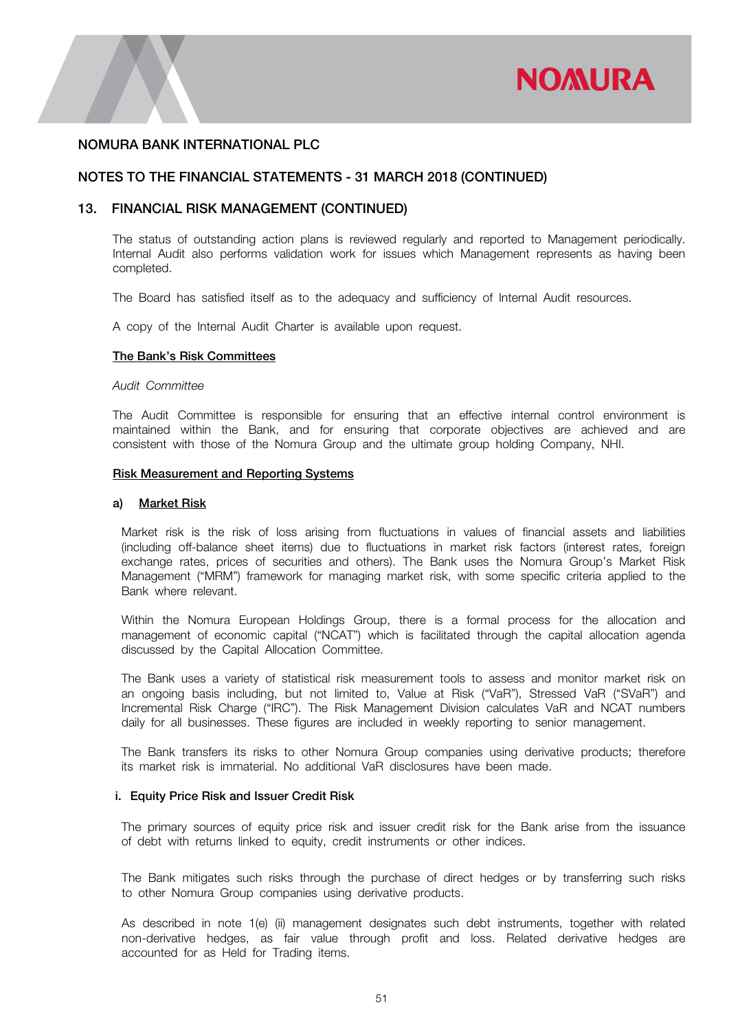

### NOTES TO THE FINANCIAL STATEMENTS - 31 MARCH 2018 (CONTINUED)

#### 13. FINANCIAL RISK MANAGEMENT (CONTINUED)

The status of outstanding action plans is reviewed regularly and reported to Management periodically. Internal Audit also performs validation work for issues which Management represents as having been completed.

The Board has satisfied itself as to the adequacy and sufficiency of Internal Audit resources.

A copy of the Internal Audit Charter is available upon request.

#### The Bank's Risk Committees

#### *Audit Committee*

The Audit Committee is responsible for ensuring that an effective internal control environment is maintained within the Bank, and for ensuring that corporate objectives are achieved and are consistent with those of the Nomura Group and the ultimate group holding Company, NHI.

#### Risk Measurement and Reporting Systems

#### a) Market Risk

Market risk is the risk of loss arising from fluctuations in values of financial assets and liabilities (including off-balance sheet items) due to fluctuations in market risk factors (interest rates, foreign exchange rates, prices of securities and others). The Bank uses the Nomura Group's Market Risk Management ("MRM") framework for managing market risk, with some specific criteria applied to the Bank where relevant.

Within the Nomura European Holdings Group, there is a formal process for the allocation and management of economic capital ("NCAT") which is facilitated through the capital allocation agenda discussed by the Capital Allocation Committee.

The Bank uses a variety of statistical risk measurement tools to assess and monitor market risk on an ongoing basis including, but not limited to, Value at Risk ("VaR"), Stressed VaR ("SVaR") and Incremental Risk Charge ("IRC"). The Risk Management Division calculates VaR and NCAT numbers daily for all businesses. These figures are included in weekly reporting to senior management.

The Bank transfers its risks to other Nomura Group companies using derivative products; therefore its market risk is immaterial. No additional VaR disclosures have been made.

#### i. Equity Price Risk and Issuer Credit Risk

The primary sources of equity price risk and issuer credit risk for the Bank arise from the issuance of debt with returns linked to equity, credit instruments or other indices.

The Bank mitigates such risks through the purchase of direct hedges or by transferring such risks to other Nomura Group companies using derivative products.

As described in note 1(e) (ii) management designates such debt instruments, together with related non-derivative hedges, as fair value through profit and loss. Related derivative hedges are accounted for as Held for Trading items.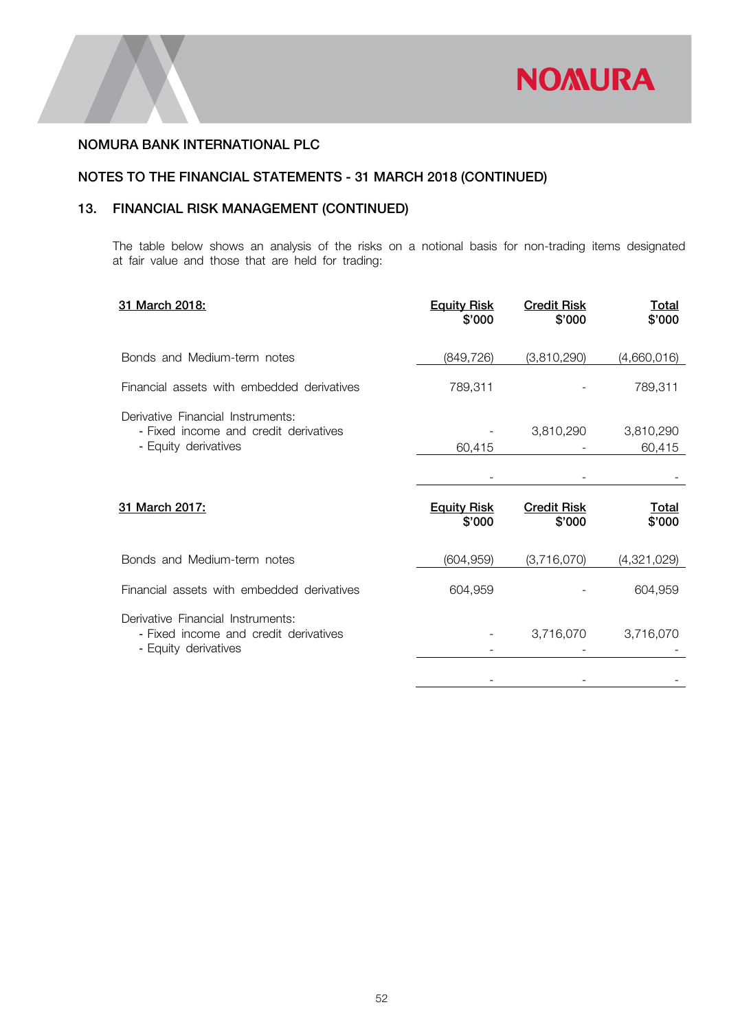

- - -

## NOMURA BANK INTERNATIONAL PLC

# NOTES TO THE FINANCIAL STATEMENTS - 31 MARCH 2018 (CONTINUED)

# 13. FINANCIAL RISK MANAGEMENT (CONTINUED)

The table below shows an analysis of the risks on a notional basis for non-trading items designated at fair value and those that are held for trading:

| 31 March 2018:                                                                                     | <b>Equity Risk</b><br>\$'000 | <b>Credit Risk</b><br>\$'000 | <b>Total</b><br>\$'000 |
|----------------------------------------------------------------------------------------------------|------------------------------|------------------------------|------------------------|
| Bonds and Medium-term notes                                                                        | (849, 726)                   | (3,810,290)                  | (4,660,016)            |
| Financial assets with embedded derivatives                                                         | 789,311                      |                              | 789,311                |
| Derivative Financial Instruments:<br>- Fixed income and credit derivatives<br>- Equity derivatives | 60,415                       | 3,810,290                    | 3,810,290<br>60,415    |
| 31 March 2017:                                                                                     | <b>Equity Risk</b><br>\$'000 | <b>Credit Risk</b><br>\$'000 | <b>Total</b><br>\$'000 |
| Bonds and Medium-term notes                                                                        | (604, 959)                   | (3,716,070)                  | (4,321,029)            |
| Financial assets with embedded derivatives                                                         | 604,959                      |                              | 604,959                |
| Derivative Financial Instruments:                                                                  |                              |                              |                        |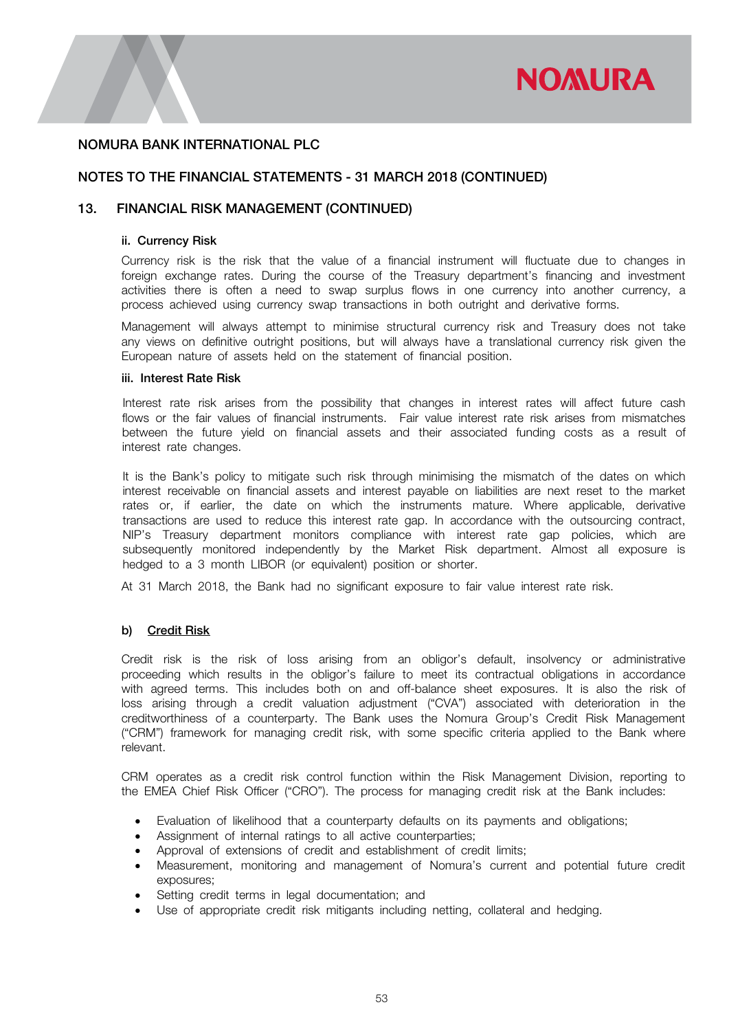

### NOTES TO THE FINANCIAL STATEMENTS - 31 MARCH 2018 (CONTINUED)

### 13. FINANCIAL RISK MANAGEMENT (CONTINUED)

#### ii. Currency Risk

Currency risk is the risk that the value of a financial instrument will fluctuate due to changes in foreign exchange rates. During the course of the Treasury department's financing and investment activities there is often a need to swap surplus flows in one currency into another currency, a process achieved using currency swap transactions in both outright and derivative forms.

Management will always attempt to minimise structural currency risk and Treasury does not take any views on definitive outright positions, but will always have a translational currency risk given the European nature of assets held on the statement of financial position.

#### iii. Interest Rate Risk

Interest rate risk arises from the possibility that changes in interest rates will affect future cash flows or the fair values of financial instruments. Fair value interest rate risk arises from mismatches between the future yield on financial assets and their associated funding costs as a result of interest rate changes.

It is the Bank's policy to mitigate such risk through minimising the mismatch of the dates on which interest receivable on financial assets and interest payable on liabilities are next reset to the market rates or, if earlier, the date on which the instruments mature. Where applicable, derivative transactions are used to reduce this interest rate gap. In accordance with the outsourcing contract, NIP's Treasury department monitors compliance with interest rate gap policies, which are subsequently monitored independently by the Market Risk department. Almost all exposure is hedged to a 3 month LIBOR (or equivalent) position or shorter.

At 31 March 2018, the Bank had no significant exposure to fair value interest rate risk.

#### b) Credit Risk

Credit risk is the risk of loss arising from an obligor's default, insolvency or administrative proceeding which results in the obligor's failure to meet its contractual obligations in accordance with agreed terms. This includes both on and off-balance sheet exposures. It is also the risk of loss arising through a credit valuation adjustment ("CVA") associated with deterioration in the creditworthiness of a counterparty. The Bank uses the Nomura Group's Credit Risk Management ("CRM") framework for managing credit risk, with some specific criteria applied to the Bank where relevant.

CRM operates as a credit risk control function within the Risk Management Division, reporting to the EMEA Chief Risk Officer ("CRO"). The process for managing credit risk at the Bank includes:

- Evaluation of likelihood that a counterparty defaults on its payments and obligations;
- Assignment of internal ratings to all active counterparties;
- Approval of extensions of credit and establishment of credit limits;
- Measurement, monitoring and management of Nomura's current and potential future credit exposures;
- Setting credit terms in legal documentation; and
- Use of appropriate credit risk mitigants including netting, collateral and hedging.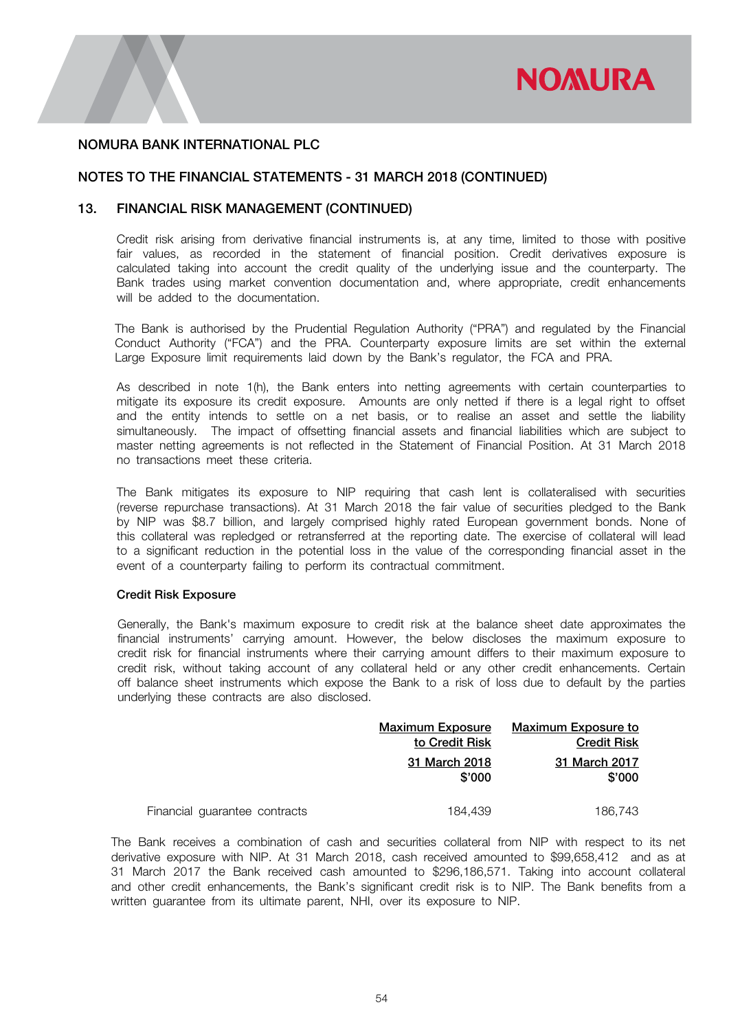

### NOTES TO THE FINANCIAL STATEMENTS - 31 MARCH 2018 (CONTINUED)

### 13. FINANCIAL RISK MANAGEMENT (CONTINUED)

Credit risk arising from derivative financial instruments is, at any time, limited to those with positive fair values, as recorded in the statement of financial position. Credit derivatives exposure is calculated taking into account the credit quality of the underlying issue and the counterparty. The Bank trades using market convention documentation and, where appropriate, credit enhancements will be added to the documentation.

The Bank is authorised by the Prudential Regulation Authority ("PRA") and regulated by the Financial Conduct Authority ("FCA") and the PRA. Counterparty exposure limits are set within the external Large Exposure limit requirements laid down by the Bank's regulator, the FCA and PRA.

As described in note 1(h), the Bank enters into netting agreements with certain counterparties to mitigate its exposure its credit exposure. Amounts are only netted if there is a legal right to offset and the entity intends to settle on a net basis, or to realise an asset and settle the liability simultaneously. The impact of offsetting financial assets and financial liabilities which are subject to master netting agreements is not reflected in the Statement of Financial Position. At 31 March 2018 no transactions meet these criteria.

The Bank mitigates its exposure to NIP requiring that cash lent is collateralised with securities (reverse repurchase transactions). At 31 March 2018 the fair value of securities pledged to the Bank by NIP was \$8.7 billion, and largely comprised highly rated European government bonds. None of this collateral was repledged or retransferred at the reporting date. The exercise of collateral will lead to a significant reduction in the potential loss in the value of the corresponding financial asset in the event of a counterparty failing to perform its contractual commitment.

### Credit Risk Exposure

Generally, the Bank's maximum exposure to credit risk at the balance sheet date approximates the financial instruments' carrying amount. However, the below discloses the maximum exposure to credit risk for financial instruments where their carrying amount differs to their maximum exposure to credit risk, without taking account of any collateral held or any other credit enhancements. Certain off balance sheet instruments which expose the Bank to a risk of loss due to default by the parties underlying these contracts are also disclosed.

|                               | <b>Maximum Exposure</b><br>to Credit Risk | <b>Maximum Exposure to</b><br><b>Credit Risk</b> |
|-------------------------------|-------------------------------------------|--------------------------------------------------|
|                               | 31 March 2018<br>\$'000                   | 31 March 2017<br>\$'000                          |
| Financial guarantee contracts | 184.439                                   | 186.743                                          |

The Bank receives a combination of cash and securities collateral from NIP with respect to its net derivative exposure with NIP. At 31 March 2018, cash received amounted to \$99,658,412 and as at 31 March 2017 the Bank received cash amounted to \$296,186,571. Taking into account collateral and other credit enhancements, the Bank's significant credit risk is to NIP. The Bank benefits from a written guarantee from its ultimate parent, NHI, over its exposure to NIP.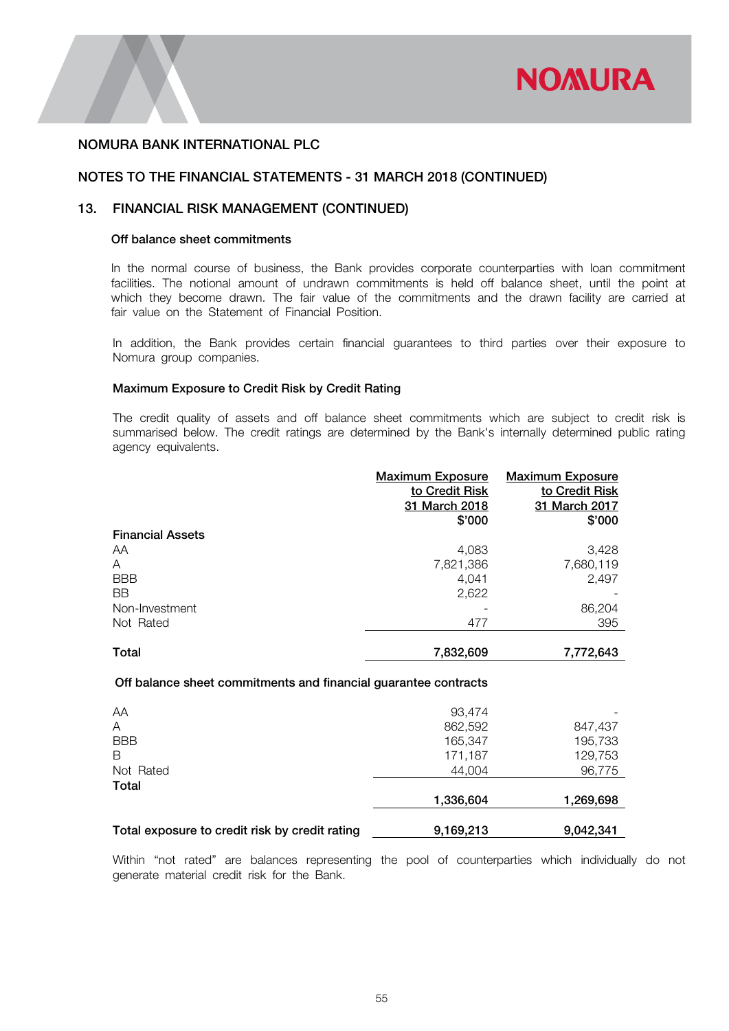

### NOTES TO THE FINANCIAL STATEMENTS - 31 MARCH 2018 (CONTINUED)

### 13. FINANCIAL RISK MANAGEMENT (CONTINUED)

#### Off balance sheet commitments

In the normal course of business, the Bank provides corporate counterparties with loan commitment facilities. The notional amount of undrawn commitments is held off balance sheet, until the point at which they become drawn. The fair value of the commitments and the drawn facility are carried at fair value on the Statement of Financial Position.

In addition, the Bank provides certain financial guarantees to third parties over their exposure to Nomura group companies.

#### Maximum Exposure to Credit Risk by Credit Rating

The credit quality of assets and off balance sheet commitments which are subject to credit risk is summarised below. The credit ratings are determined by the Bank's internally determined public rating agency equivalents.

|                         | <b>Maximum Exposure</b> | <b>Maximum Exposure</b> |
|-------------------------|-------------------------|-------------------------|
|                         | to Credit Risk          | to Credit Risk          |
|                         | 31 March 2018           | 31 March 2017           |
|                         | \$'000                  | \$'000                  |
| <b>Financial Assets</b> |                         |                         |
| AA                      | 4,083                   | 3,428                   |
| A                       | 7,821,386               | 7,680,119               |
| <b>BBB</b>              | 4,041                   | 2,497                   |
| <b>BB</b>               | 2,622                   |                         |
| Non-Investment          |                         | 86,204                  |
| Not Rated               | 477                     | 395                     |
|                         |                         |                         |
| Total                   | 7,832,609               | 7,772,643               |

#### Off balance sheet commitments and financial guarantee contracts

| Total exposure to credit risk by credit rating | 9,169,213 | 9,042,341 |
|------------------------------------------------|-----------|-----------|
|                                                | 1,336,604 | 1,269,698 |
| Total                                          |           |           |
| Not Rated                                      | 44.004    | 96,775    |
| B                                              | 171,187   | 129,753   |
| <b>BBB</b>                                     | 165.347   | 195,733   |
| A                                              | 862,592   | 847,437   |
| AA                                             | 93.474    |           |

Within "not rated" are balances representing the pool of counterparties which individually do not generate material credit risk for the Bank.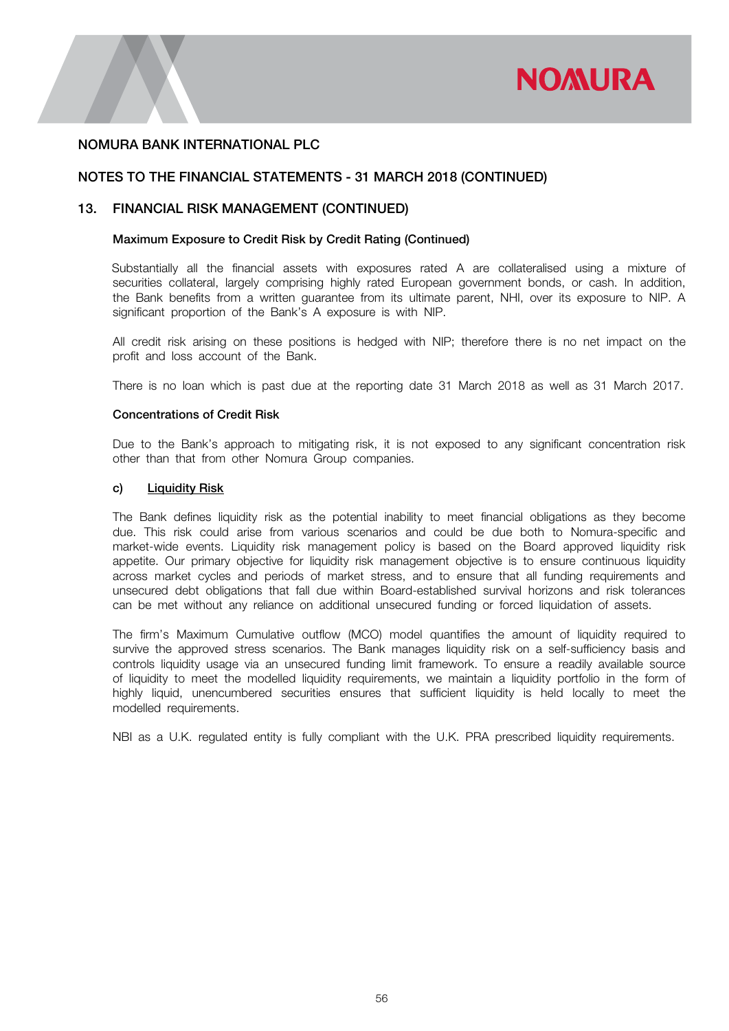

### NOTES TO THE FINANCIAL STATEMENTS - 31 MARCH 2018 (CONTINUED)

#### 13. FINANCIAL RISK MANAGEMENT (CONTINUED)

#### Maximum Exposure to Credit Risk by Credit Rating (Continued)

Substantially all the financial assets with exposures rated A are collateralised using a mixture of securities collateral, largely comprising highly rated European government bonds, or cash. In addition, the Bank benefits from a written guarantee from its ultimate parent, NHI, over its exposure to NIP. A significant proportion of the Bank's A exposure is with NIP.

All credit risk arising on these positions is hedged with NIP; therefore there is no net impact on the profit and loss account of the Bank.

There is no loan which is past due at the reporting date 31 March 2018 as well as 31 March 2017.

#### Concentrations of Credit Risk

Due to the Bank's approach to mitigating risk, it is not exposed to any significant concentration risk other than that from other Nomura Group companies.

#### c) Liquidity Risk

The Bank defines liquidity risk as the potential inability to meet financial obligations as they become due. This risk could arise from various scenarios and could be due both to Nomura-specific and market-wide events. Liquidity risk management policy is based on the Board approved liquidity risk appetite. Our primary objective for liquidity risk management objective is to ensure continuous liquidity across market cycles and periods of market stress, and to ensure that all funding requirements and unsecured debt obligations that fall due within Board-established survival horizons and risk tolerances can be met without any reliance on additional unsecured funding or forced liquidation of assets.

The firm's Maximum Cumulative outflow (MCO) model quantifies the amount of liquidity required to survive the approved stress scenarios. The Bank manages liquidity risk on a self-sufficiency basis and controls liquidity usage via an unsecured funding limit framework. To ensure a readily available source of liquidity to meet the modelled liquidity requirements, we maintain a liquidity portfolio in the form of highly liquid, unencumbered securities ensures that sufficient liquidity is held locally to meet the modelled requirements.

NBI as a U.K. regulated entity is fully compliant with the U.K. PRA prescribed liquidity requirements.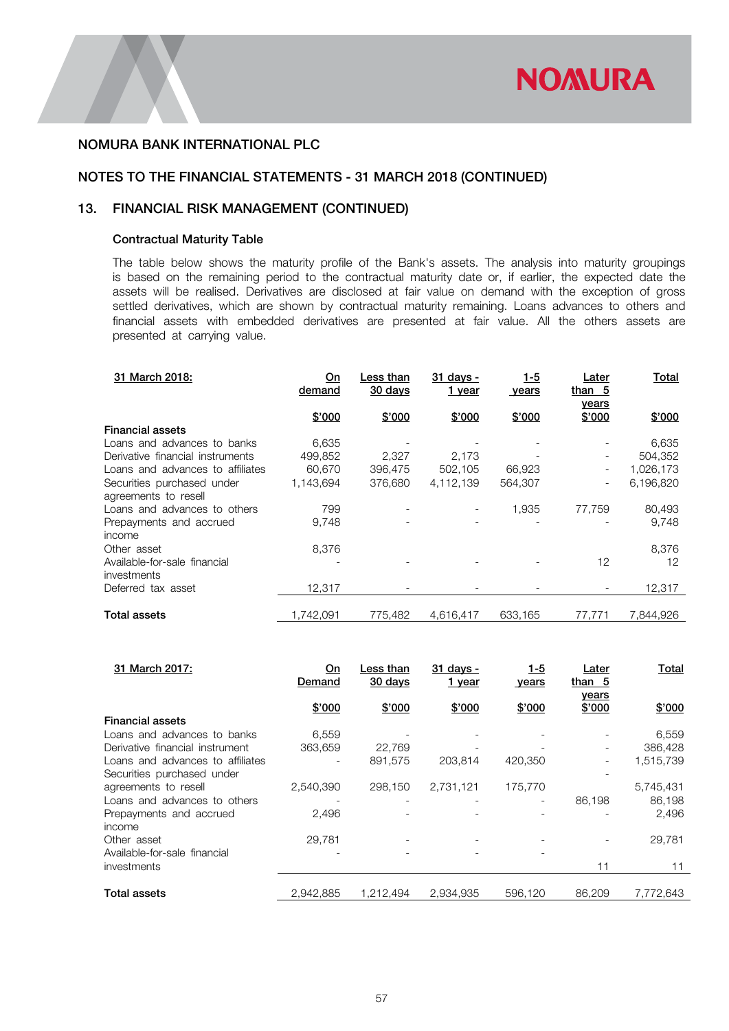

# NOTES TO THE FINANCIAL STATEMENTS - 31 MARCH 2018 (CONTINUED)

### 13. FINANCIAL RISK MANAGEMENT (CONTINUED)

### Contractual Maturity Table

The table below shows the maturity profile of the Bank's assets. The analysis into maturity groupings is based on the remaining period to the contractual maturity date or, if earlier, the expected date the assets will be realised. Derivatives are disclosed at fair value on demand with the exception of gross settled derivatives, which are shown by contractual maturity remaining. Loans advances to others and financial assets with embedded derivatives are presented at fair value. All the others assets are presented at carrying value.

| 31 March 2018:                   | On<br>demand | Less than<br>30 days | 31 days -<br><u>1 year</u> | $1-5$<br><b>years</b> | Later<br><u>than 5</u><br><b>years</b> | <b>Total</b> |
|----------------------------------|--------------|----------------------|----------------------------|-----------------------|----------------------------------------|--------------|
|                                  | \$'000       | \$'000               | \$'000                     | \$'000                | \$'000                                 | \$'000       |
| <b>Financial assets</b>          |              |                      |                            |                       |                                        |              |
| Loans and advances to banks      | 6.635        |                      |                            |                       |                                        | 6,635        |
| Derivative financial instruments | 499,852      | 2,327                | 2.173                      |                       |                                        | 504,352      |
| Loans and advances to affiliates | 60,670       | 396,475              | 502,105                    | 66,923                |                                        | 1,026,173    |
| Securities purchased under       | 1,143,694    | 376,680              | 4,112,139                  | 564,307               |                                        | 6,196,820    |
| agreements to resell             |              |                      |                            |                       |                                        |              |
| Loans and advances to others     | 799          |                      |                            | 1,935                 | 77.759                                 | 80,493       |
| Prepayments and accrued          | 9.748        |                      |                            |                       |                                        | 9,748        |
| income                           |              |                      |                            |                       |                                        |              |
| Other asset                      | 8,376        |                      |                            |                       |                                        | 8,376        |
| Available-for-sale financial     |              |                      |                            |                       | 12                                     | 12           |
| investments                      |              |                      |                            |                       |                                        |              |
| Deferred tax asset               | 12,317       |                      |                            |                       |                                        | 12,317       |
| <b>Total assets</b>              | 1,742,091    | 775,482              | 4,616,417                  | 633,165               | 77,771                                 | 7,844,926    |

| 31 March 2017:                   | On<br>Demand | Less than<br>30 days | 31 days -<br><u>1 year</u> | $1 - 5$<br>years | Later<br>than 5          | <b>Total</b> |
|----------------------------------|--------------|----------------------|----------------------------|------------------|--------------------------|--------------|
|                                  | \$'000       | \$'000               | \$'000                     | \$'000           | years<br>\$'000          | \$'000       |
| <b>Financial assets</b>          |              |                      |                            |                  |                          |              |
| Loans and advances to banks      | 6.559        |                      |                            |                  |                          | 6,559        |
| Derivative financial instrument  | 363,659      | 22.769               |                            |                  | $\overline{\phantom{a}}$ | 386,428      |
| Loans and advances to affiliates |              | 891,575              | 203,814                    | 420,350          | $\overline{\phantom{a}}$ | 1,515,739    |
| Securities purchased under       |              |                      |                            |                  |                          |              |
| agreements to resell             | 2,540,390    | 298,150              | 2,731,121                  | 175,770          |                          | 5,745,431    |
| Loans and advances to others     |              |                      |                            |                  | 86,198                   | 86,198       |
| Prepayments and accrued          | 2.496        |                      |                            |                  |                          | 2,496        |
| income                           |              |                      |                            |                  |                          |              |
| Other asset                      | 29,781       |                      |                            |                  |                          | 29,781       |
| Available-for-sale financial     |              |                      |                            |                  |                          |              |
| investments                      |              |                      |                            |                  | 11                       | 11           |
| Total assets                     | 2.942.885    | 1.212.494            | 2.934.935                  | 596.120          | 86,209                   | 7.772.643    |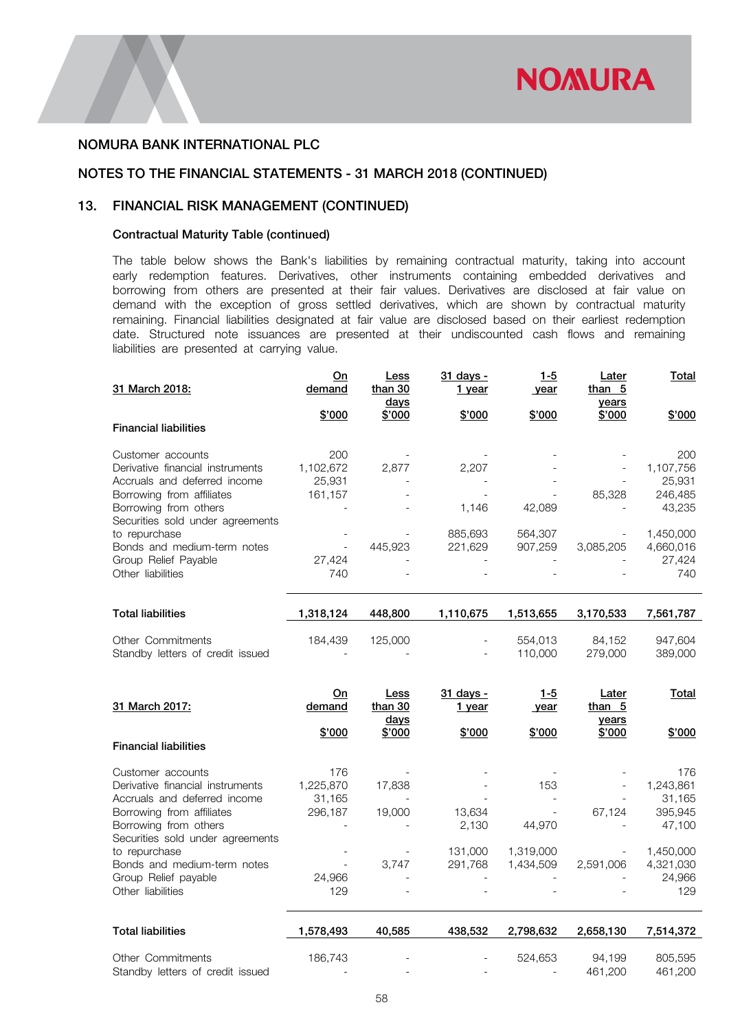

### NOTES TO THE FINANCIAL STATEMENTS - 31 MARCH 2018 (CONTINUED)

### 13. FINANCIAL RISK MANAGEMENT (CONTINUED)

### Contractual Maturity Table (continued)

The table below shows the Bank's liabilities by remaining contractual maturity, taking into account early redemption features. Derivatives, other instruments containing embedded derivatives and borrowing from others are presented at their fair values. Derivatives are disclosed at fair value on demand with the exception of gross settled derivatives, which are shown by contractual maturity remaining. Financial liabilities designated at fair value are disclosed based on their earliest redemption date. Structured note issuances are presented at their undiscounted cash flows and remaining liabilities are presented at carrying value.

| <u>31 March 2018:</u>                                                                                                                                                           | <u>On</u><br>demand                   | <b>Less</b><br>than 30<br>days | 31 days -<br><u>1 vear</u> | $1 - 5$<br>vear                    | Later<br>than $5$<br><b>years</b> | <b>Total</b>                                    |
|---------------------------------------------------------------------------------------------------------------------------------------------------------------------------------|---------------------------------------|--------------------------------|----------------------------|------------------------------------|-----------------------------------|-------------------------------------------------|
|                                                                                                                                                                                 | \$'000                                | \$'000                         | \$'000                     | \$'000                             | \$'000                            | \$'000                                          |
| <b>Financial liabilities</b>                                                                                                                                                    |                                       |                                |                            |                                    |                                   |                                                 |
| Customer accounts<br>Derivative financial instruments<br>Accruals and deferred income<br>Borrowing from affiliates<br>Borrowing from others<br>Securities sold under agreements | 200<br>1,102,672<br>25,931<br>161,157 | 2,877                          | 2,207<br>1,146             | 42,089                             | 85,328                            | 200<br>1,107,756<br>25,931<br>246,485<br>43,235 |
| to repurchase<br>Bonds and medium-term notes<br>Group Relief Payable<br>Other liabilities                                                                                       | 27,424<br>740                         | 445,923                        | 885,693<br>221,629         | 564,307<br>907,259                 | 3,085,205                         | 1,450,000<br>4,660,016<br>27,424<br>740         |
| <b>Total liabilities</b>                                                                                                                                                        | 1,318,124                             | 448,800                        | 1,110,675                  | 1,513,655                          | 3,170,533                         | 7,561,787                                       |
| Other Commitments<br>Standby letters of credit issued                                                                                                                           | 184,439                               | 125,000                        | $\overline{\phantom{a}}$   | 554,013<br>110,000                 | 84,152<br>279,000                 | 947,604<br>389,000                              |
| 31 March 2017:                                                                                                                                                                  | On<br>demand                          | Less<br>than 30<br>days        | 31 days -<br>1 year        | $1 - 5$<br>year                    | Later<br>than $5$<br>years        | Total                                           |
|                                                                                                                                                                                 | \$'000                                | \$'000                         | \$'000                     | \$'000                             | \$'000                            | \$'000                                          |
| <b>Financial liabilities</b>                                                                                                                                                    |                                       |                                |                            |                                    |                                   |                                                 |
| Customer accounts<br>Derivative financial instruments<br>Accruals and deferred income                                                                                           | 176<br>1,225,870<br>31,165            | 17,838                         |                            | 153<br>$\overline{\phantom{a}}$    |                                   | 176<br>1,243,861<br>31,165                      |
| Borrowing from affiliates<br>Borrowing from others<br>Securities sold under agreements                                                                                          | 296,187                               | 19,000                         | 13,634<br>2,130            | $\overline{\phantom{a}}$<br>44,970 | 67,124                            | 395,945<br>47,100                               |
| to repurchase<br>Bonds and medium-term notes<br>Group Relief payable                                                                                                            | 24,966                                | 3,747                          | 131,000<br>291,768         | 1,319,000<br>1,434,509             | 2,591,006                         | 1,450,000<br>4,321,030<br>24,966                |
| Other liabilities                                                                                                                                                               | 129                                   |                                |                            |                                    |                                   | 129                                             |
| <b>Total liabilities</b>                                                                                                                                                        | 1,578,493                             | 40,585                         | 438,532                    | 2,798,632                          | 2,658,130                         | 7,514,372                                       |
| Other Commitments                                                                                                                                                               | 186,743                               |                                |                            | 524,653                            | 94,199                            | 805,595                                         |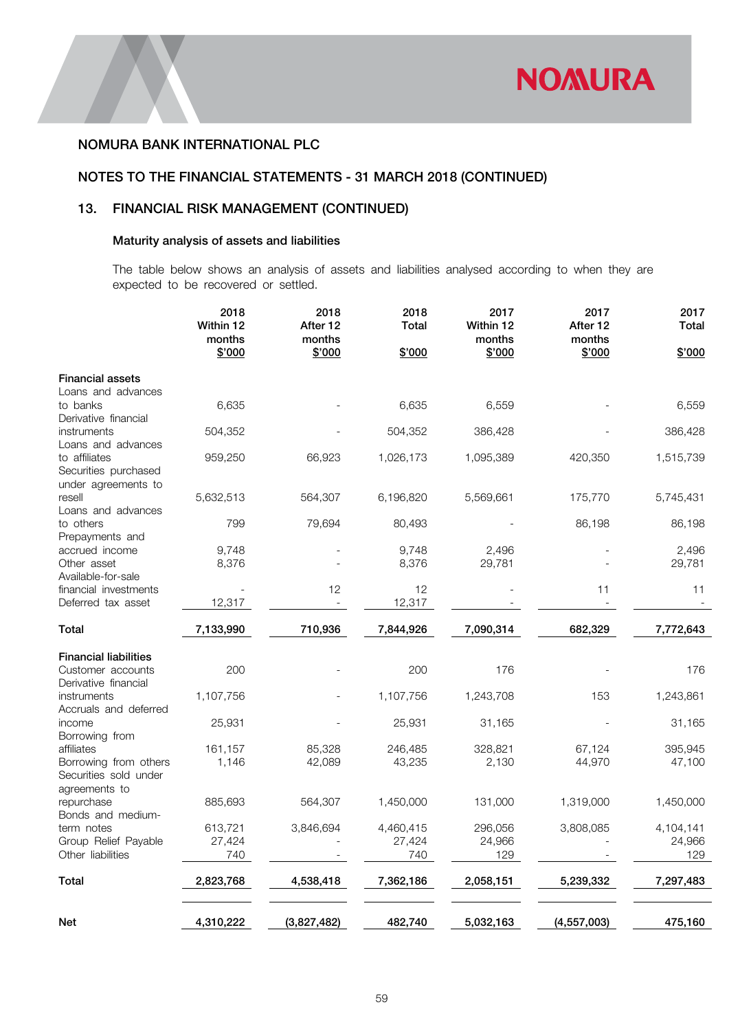

# NOTES TO THE FINANCIAL STATEMENTS - 31 MARCH 2018 (CONTINUED)

# 13. FINANCIAL RISK MANAGEMENT (CONTINUED)

### Maturity analysis of assets and liabilities

The table below shows an analysis of assets and liabilities analysed according to when they are expected to be recovered or settled.

|                                             | 2018<br>Within 12<br>months | 2018<br>After 12<br>months | 2018<br>Total | 2017<br>Within 12<br>months | 2017<br>After 12<br>months | 2017<br>Total |
|---------------------------------------------|-----------------------------|----------------------------|---------------|-----------------------------|----------------------------|---------------|
|                                             | \$'000                      | \$'000                     | \$'000        | \$'000                      | \$'000                     | \$'000        |
| <b>Financial assets</b>                     |                             |                            |               |                             |                            |               |
| Loans and advances                          |                             |                            |               |                             |                            |               |
| to banks                                    | 6,635                       |                            | 6,635         | 6,559                       |                            | 6,559         |
| Derivative financial                        |                             |                            |               |                             |                            |               |
| instruments                                 | 504,352                     |                            | 504,352       | 386,428                     |                            | 386,428       |
| Loans and advances                          |                             |                            |               |                             |                            |               |
| to affiliates                               | 959,250                     | 66,923                     | 1,026,173     | 1,095,389                   | 420,350                    | 1,515,739     |
| Securities purchased<br>under agreements to |                             |                            |               |                             |                            |               |
| resell                                      | 5,632,513                   | 564,307                    | 6,196,820     | 5,569,661                   | 175,770                    | 5,745,431     |
| Loans and advances                          |                             |                            |               |                             |                            |               |
| to others                                   | 799                         | 79,694                     | 80,493        |                             | 86,198                     | 86,198        |
| Prepayments and                             |                             |                            |               |                             |                            |               |
| accrued income                              | 9,748                       |                            | 9,748         | 2,496                       |                            | 2,496         |
| Other asset                                 | 8,376                       |                            | 8,376         | 29,781                      |                            | 29,781        |
| Available-for-sale                          |                             |                            |               |                             |                            |               |
| financial investments                       |                             | 12                         | 12            |                             | 11                         | 11            |
| Deferred tax asset                          | 12,317                      |                            | 12,317        |                             |                            |               |
| Total                                       | 7,133,990                   | 710,936                    | 7,844,926     | 7,090,314                   | 682,329                    | 7,772,643     |
|                                             |                             |                            |               |                             |                            |               |
| <b>Financial liabilities</b>                |                             |                            |               |                             |                            |               |
| Customer accounts                           | 200                         |                            | 200           | 176                         |                            | 176           |
| Derivative financial<br>instruments         | 1,107,756                   |                            | 1,107,756     | 1,243,708                   | 153                        | 1,243,861     |
| Accruals and deferred                       |                             |                            |               |                             |                            |               |
| income                                      | 25,931                      |                            | 25,931        | 31,165                      |                            | 31,165        |
| Borrowing from                              |                             |                            |               |                             |                            |               |
| affiliates                                  | 161,157                     | 85,328                     | 246,485       | 328,821                     | 67,124                     | 395,945       |
| Borrowing from others                       | 1,146                       | 42,089                     | 43,235        | 2,130                       | 44,970                     | 47,100        |
| Securities sold under                       |                             |                            |               |                             |                            |               |
| agreements to                               |                             |                            |               |                             |                            |               |
| repurchase                                  | 885,693                     | 564,307                    | 1,450,000     | 131,000                     | 1,319,000                  | 1,450,000     |
| Bonds and medium-                           |                             |                            |               |                             |                            |               |
| term notes                                  | 613,721                     | 3,846,694                  | 4,460,415     | 296,056                     | 3,808,085                  | 4,104,141     |
| Group Relief Payable                        | 27,424                      |                            | 27,424        | 24,966                      |                            | 24,966        |
| Other liabilities                           | 740                         |                            | 740           | 129                         |                            | 129           |
| Total                                       | 2,823,768                   | 4,538,418                  | 7,362,186     | 2,058,151                   | 5,239,332                  | 7,297,483     |
| Net                                         | 4,310,222                   | (3,827,482)                | 482,740       | 5,032,163                   | (4, 557, 003)              | 475,160       |
|                                             |                             |                            |               |                             |                            |               |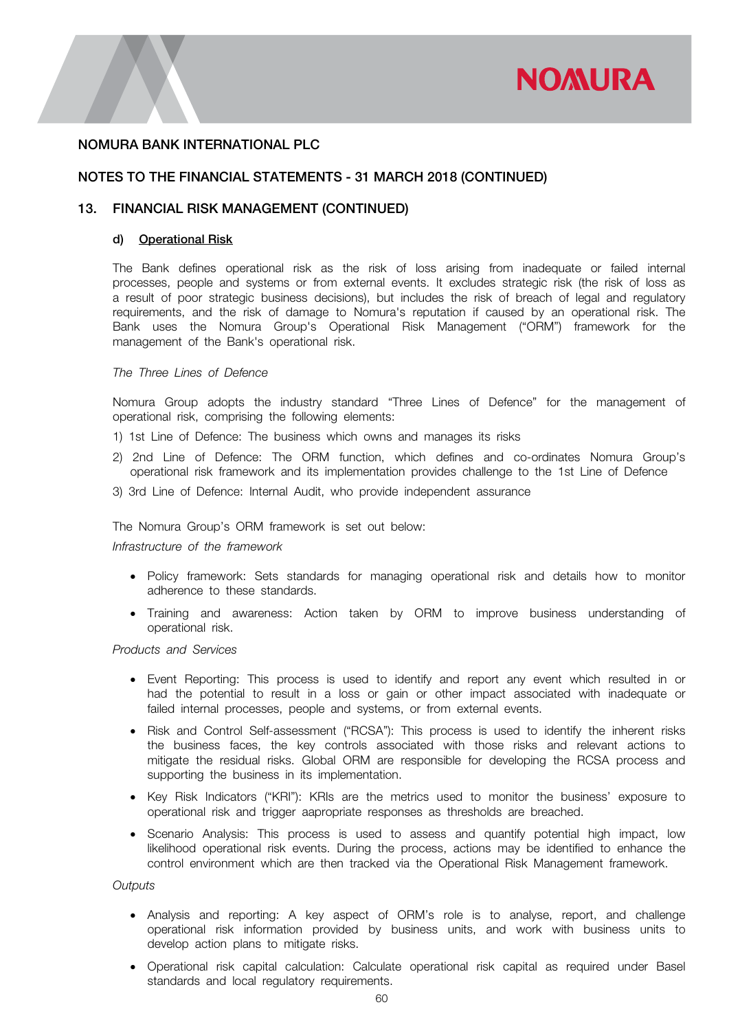

### NOTES TO THE FINANCIAL STATEMENTS - 31 MARCH 2018 (CONTINUED)

### 13. FINANCIAL RISK MANAGEMENT (CONTINUED)

#### d) Operational Risk

The Bank defines operational risk as the risk of loss arising from inadequate or failed internal processes, people and systems or from external events. It excludes strategic risk (the risk of loss as a result of poor strategic business decisions), but includes the risk of breach of legal and regulatory requirements, and the risk of damage to Nomura's reputation if caused by an operational risk. The Bank uses the Nomura Group's Operational Risk Management ("ORM") framework for the management of the Bank's operational risk.

### *The Three Lines of Defence*

Nomura Group adopts the industry standard "Three Lines of Defence" for the management of operational risk, comprising the following elements:

- 1) 1st Line of Defence: The business which owns and manages its risks
- 2) 2nd Line of Defence: The ORM function, which defines and co-ordinates Nomura Group's operational risk framework and its implementation provides challenge to the 1st Line of Defence
- 3) 3rd Line of Defence: Internal Audit, who provide independent assurance

The Nomura Group's ORM framework is set out below:

#### *Infrastructure of the framework*

- Policy framework: Sets standards for managing operational risk and details how to monitor adherence to these standards.
- Training and awareness: Action taken by ORM to improve business understanding of operational risk.

#### *Products and Services*

- Event Reporting: This process is used to identify and report any event which resulted in or had the potential to result in a loss or gain or other impact associated with inadequate or failed internal processes, people and systems, or from external events.
- Risk and Control Self-assessment ("RCSA"): This process is used to identify the inherent risks the business faces, the key controls associated with those risks and relevant actions to mitigate the residual risks. Global ORM are responsible for developing the RCSA process and supporting the business in its implementation.
- Key Risk Indicators ("KRI"): KRIs are the metrics used to monitor the business' exposure to operational risk and trigger aapropriate responses as thresholds are breached.
- Scenario Analysis: This process is used to assess and quantify potential high impact, low likelihood operational risk events. During the process, actions may be identified to enhance the control environment which are then tracked via the Operational Risk Management framework.

#### *Outputs*

- Analysis and reporting: A key aspect of ORM's role is to analyse, report, and challenge operational risk information provided by business units, and work with business units to develop action plans to mitigate risks.
- Operational risk capital calculation: Calculate operational risk capital as required under Basel standards and local regulatory requirements.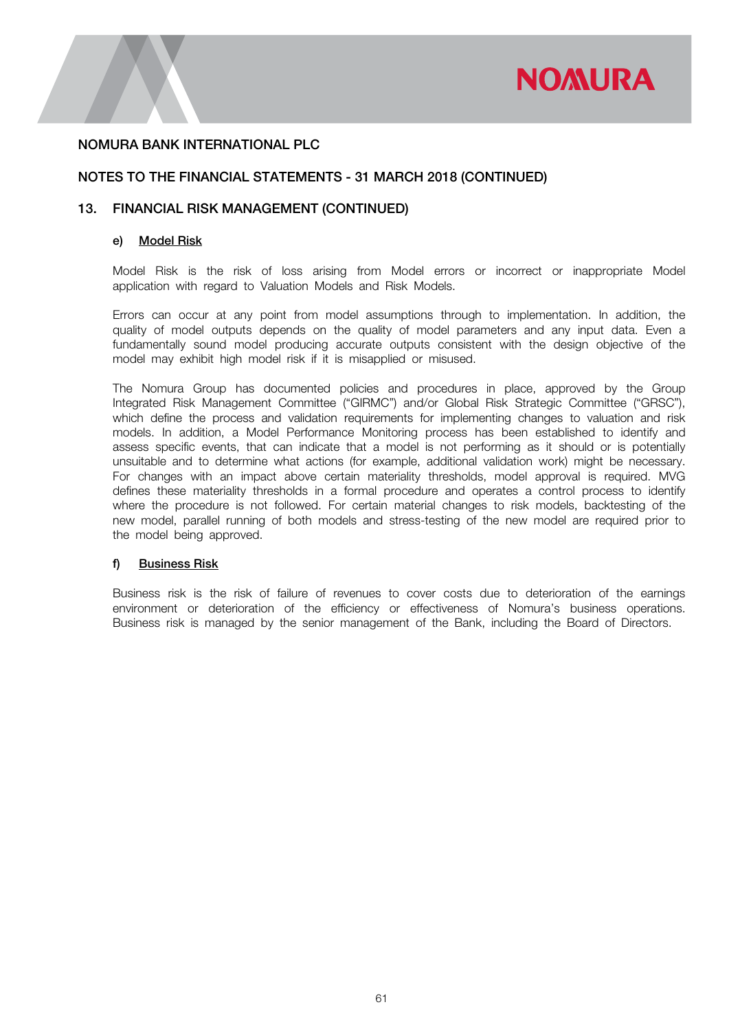

### NOTES TO THE FINANCIAL STATEMENTS - 31 MARCH 2018 (CONTINUED)

### 13. FINANCIAL RISK MANAGEMENT (CONTINUED)

#### e) Model Risk

Model Risk is the risk of loss arising from Model errors or incorrect or inappropriate Model application with regard to Valuation Models and Risk Models.

Errors can occur at any point from model assumptions through to implementation. In addition, the quality of model outputs depends on the quality of model parameters and any input data. Even a fundamentally sound model producing accurate outputs consistent with the design objective of the model may exhibit high model risk if it is misapplied or misused.

The Nomura Group has documented policies and procedures in place, approved by the Group Integrated Risk Management Committee ("GIRMC") and/or Global Risk Strategic Committee ("GRSC"), which define the process and validation requirements for implementing changes to valuation and risk models. In addition, a Model Performance Monitoring process has been established to identify and assess specific events, that can indicate that a model is not performing as it should or is potentially unsuitable and to determine what actions (for example, additional validation work) might be necessary. For changes with an impact above certain materiality thresholds, model approval is required. MVG defines these materiality thresholds in a formal procedure and operates a control process to identify where the procedure is not followed. For certain material changes to risk models, backtesting of the new model, parallel running of both models and stress-testing of the new model are required prior to the model being approved.

#### f) Business Risk

Business risk is the risk of failure of revenues to cover costs due to deterioration of the earnings environment or deterioration of the efficiency or effectiveness of Nomura's business operations. Business risk is managed by the senior management of the Bank, including the Board of Directors.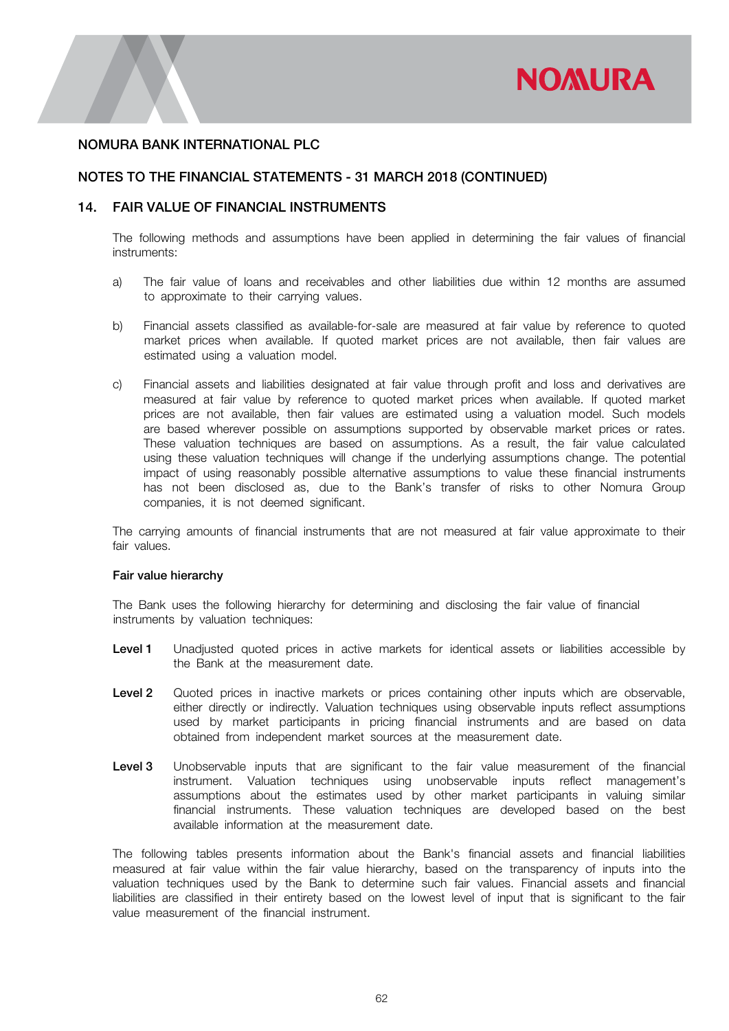

### NOTES TO THE FINANCIAL STATEMENTS - 31 MARCH 2018 (CONTINUED)

### 14. FAIR VALUE OF FINANCIAL INSTRUMENTS

The following methods and assumptions have been applied in determining the fair values of financial instruments:

- a) The fair value of loans and receivables and other liabilities due within 12 months are assumed to approximate to their carrying values.
- b) Financial assets classified as available-for-sale are measured at fair value by reference to quoted market prices when available. If quoted market prices are not available, then fair values are estimated using a valuation model.
- c) Financial assets and liabilities designated at fair value through profit and loss and derivatives are measured at fair value by reference to quoted market prices when available. If quoted market prices are not available, then fair values are estimated using a valuation model. Such models are based wherever possible on assumptions supported by observable market prices or rates. These valuation techniques are based on assumptions. As a result, the fair value calculated using these valuation techniques will change if the underlying assumptions change. The potential impact of using reasonably possible alternative assumptions to value these financial instruments has not been disclosed as, due to the Bank's transfer of risks to other Nomura Group companies, it is not deemed significant.

The carrying amounts of financial instruments that are not measured at fair value approximate to their fair values.

#### Fair value hierarchy

The Bank uses the following hierarchy for determining and disclosing the fair value of financial instruments by valuation techniques:

- Level 1 Unadjusted quoted prices in active markets for identical assets or liabilities accessible by the Bank at the measurement date.
- Level 2 Quoted prices in inactive markets or prices containing other inputs which are observable, either directly or indirectly. Valuation techniques using observable inputs reflect assumptions used by market participants in pricing financial instruments and are based on data obtained from independent market sources at the measurement date.
- Level 3 Unobservable inputs that are significant to the fair value measurement of the financial instrument. Valuation techniques using unobservable inputs reflect management's assumptions about the estimates used by other market participants in valuing similar financial instruments. These valuation techniques are developed based on the best available information at the measurement date.

The following tables presents information about the Bank's financial assets and financial liabilities measured at fair value within the fair value hierarchy, based on the transparency of inputs into the valuation techniques used by the Bank to determine such fair values. Financial assets and financial liabilities are classified in their entirety based on the lowest level of input that is significant to the fair value measurement of the financial instrument.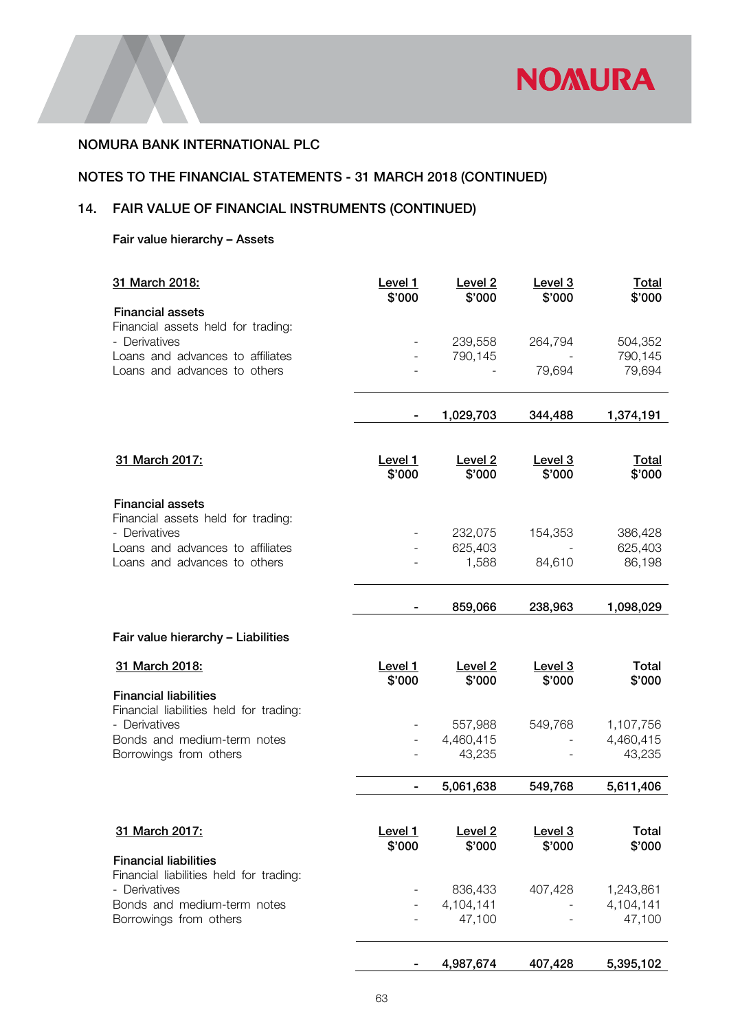

# NOTES TO THE FINANCIAL STATEMENTS - 31 MARCH 2018 (CONTINUED)

# 14. FAIR VALUE OF FINANCIAL INSTRUMENTS (CONTINUED)

### Fair value hierarchy – Assets

| 31 March 2018:                                                   | Level 1<br>\$'000 | Level <sub>2</sub><br>\$'000 | Level <sub>3</sub><br>\$'000 | Total<br>\$'000   |
|------------------------------------------------------------------|-------------------|------------------------------|------------------------------|-------------------|
| <b>Financial assets</b>                                          |                   |                              |                              |                   |
| Financial assets held for trading:                               |                   |                              |                              |                   |
| - Derivatives                                                    |                   | 239,558                      | 264,794                      | 504,352           |
| Loans and advances to affiliates                                 |                   | 790,145                      |                              | 790,145           |
| Loans and advances to others                                     |                   |                              | 79,694                       | 79,694            |
|                                                                  |                   | 1,029,703                    | 344,488                      | 1,374,191         |
| 31 March 2017:                                                   | Level 1           | Level <sub>2</sub>           | Level 3                      | Total             |
|                                                                  | \$'000            | \$'000                       | \$'000                       | \$'000            |
| <b>Financial assets</b>                                          |                   |                              |                              |                   |
| Financial assets held for trading:                               |                   |                              |                              |                   |
| - Derivatives                                                    |                   | 232,075                      | 154,353                      | 386,428           |
| Loans and advances to affiliates<br>Loans and advances to others |                   | 625,403<br>1,588             | 84,610                       | 625,403<br>86,198 |
|                                                                  |                   |                              |                              |                   |
|                                                                  |                   | 859,066                      | 238,963                      | 1,098,029         |
| Fair value hierarchy - Liabilities                               |                   |                              |                              |                   |
| 31 March 2018:                                                   | Level 1           | Level <sub>2</sub>           | Level 3                      | Total<br>\$'000   |
| <b>Financial liabilities</b>                                     | \$'000            | \$'000                       | \$'000                       |                   |
| Financial liabilities held for trading:                          |                   |                              |                              |                   |
| - Derivatives                                                    |                   | 557,988                      | 549,768                      | 1,107,756         |
| Bonds and medium-term notes                                      |                   | 4,460,415                    |                              | 4,460,415         |
| Borrowings from others                                           |                   | 43,235                       |                              | 43,235            |
|                                                                  | $\blacksquare$    | 5,061,638                    | 549,768                      | 5,611,406         |
|                                                                  |                   |                              |                              |                   |
| 31 March 2017:                                                   | Level 1<br>\$'000 | Level <sub>2</sub><br>\$'000 | Level <sub>3</sub><br>\$'000 | Total<br>\$'000   |
| <b>Financial liabilities</b>                                     |                   |                              |                              |                   |
| Financial liabilities held for trading:                          |                   |                              |                              |                   |
| - Derivatives                                                    |                   | 836,433                      | 407,428                      | 1,243,861         |
| Bonds and medium-term notes                                      |                   | 4,104,141                    |                              | 4,104,141         |
| Borrowings from others                                           |                   | 47,100                       |                              | 47,100            |
|                                                                  |                   |                              |                              |                   |
|                                                                  |                   | 4,987,674                    | 407,428                      | 5,395,102         |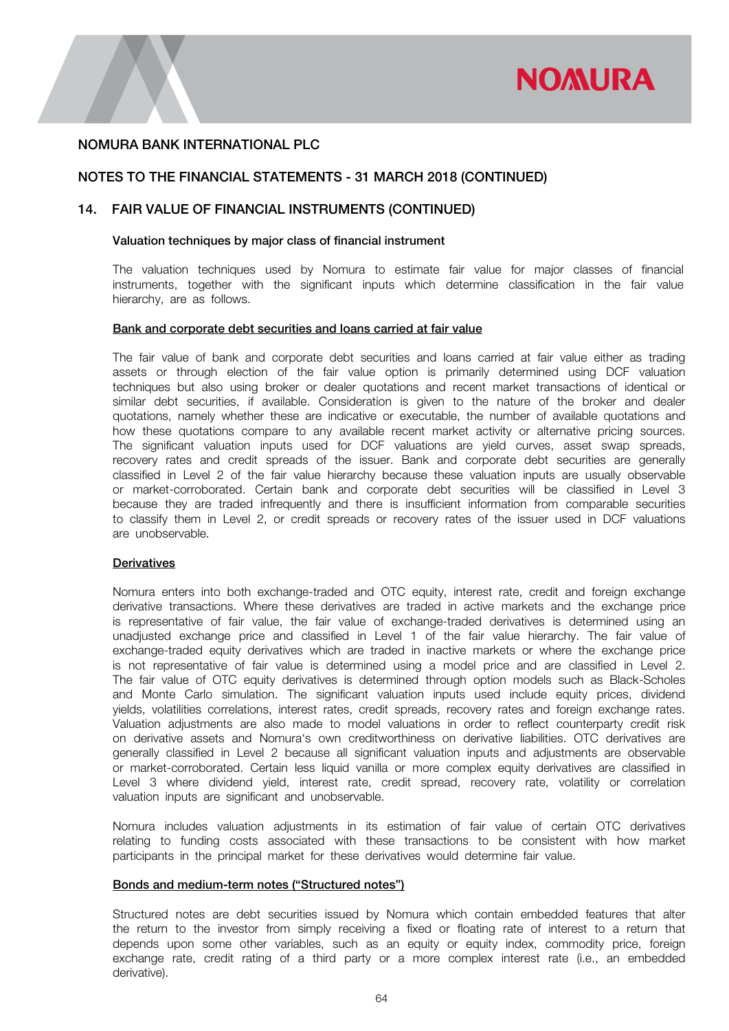

### NOTES TO THE FINANCIAL STATEMENTS - 31 MARCH 2018 (CONTINUED)

### 14. FAIR VALUE OF FINANCIAL INSTRUMENTS (CONTINUED)

#### Valuation techniques by major class of financial instrument

The valuation techniques used by Nomura to estimate fair value for major classes of financial instruments, together with the significant inputs which determine classification in the fair value hierarchy, are as follows.

#### Bank and corporate debt securities and loans carried at fair value

The fair value of bank and corporate debt securities and loans carried at fair value either as trading assets or through election of the fair value option is primarily determined using DCF valuation techniques but also using broker or dealer quotations and recent market transactions of identical or similar debt securities, if available. Consideration is given to the nature of the broker and dealer quotations, namely whether these are indicative or executable, the number of available quotations and how these quotations compare to any available recent market activity or alternative pricing sources. The significant valuation inputs used for DCF valuations are yield curves, asset swap spreads, recovery rates and credit spreads of the issuer. Bank and corporate debt securities are generally classified in Level 2 of the fair value hierarchy because these valuation inputs are usually observable or market-corroborated. Certain bank and corporate debt securities will be classified in Level 3 because they are traded infrequently and there is insufficient information from comparable securities to classify them in Level 2, or credit spreads or recovery rates of the issuer used in DCF valuations are unobservable.

#### **Derivatives**

Nomura enters into both exchange-traded and OTC equity, interest rate, credit and foreign exchange derivative transactions. Where these derivatives are traded in active markets and the exchange price is representative of fair value, the fair value of exchange-traded derivatives is determined using an unadjusted exchange price and classified in Level 1 of the fair value hierarchy. The fair value of exchange-traded equity derivatives which are traded in inactive markets or where the exchange price is not representative of fair value is determined using a model price and are classified in Level 2. The fair value of OTC equity derivatives is determined through option models such as Black-Scholes and Monte Carlo simulation. The significant valuation inputs used include equity prices, dividend yields, volatilities correlations, interest rates, credit spreads, recovery rates and foreign exchange rates. Valuation adjustments are also made to model valuations in order to reflect counterparty credit risk on derivative assets and Nomura's own creditworthiness on derivative liabilities. OTC derivatives are generally classified in Level 2 because all significant valuation inputs and adjustments are observable or market-corroborated. Certain less liquid vanilla or more complex equity derivatives are classified in Level 3 where dividend yield, interest rate, credit spread, recovery rate, volatility or correlation valuation inputs are significant and unobservable.

Nomura includes valuation adjustments in its estimation of fair value of certain OTC derivatives relating to funding costs associated with these transactions to be consistent with how market participants in the principal market for these derivatives would determine fair value.

#### Bonds and medium-term notes ("Structured notes")

Structured notes are debt securities issued by Nomura which contain embedded features that alter the return to the investor from simply receiving a fixed or floating rate of interest to a return that depends upon some other variables, such as an equity or equity index, commodity price, foreign exchange rate, credit rating of a third party or a more complex interest rate (i.e., an embedded derivative).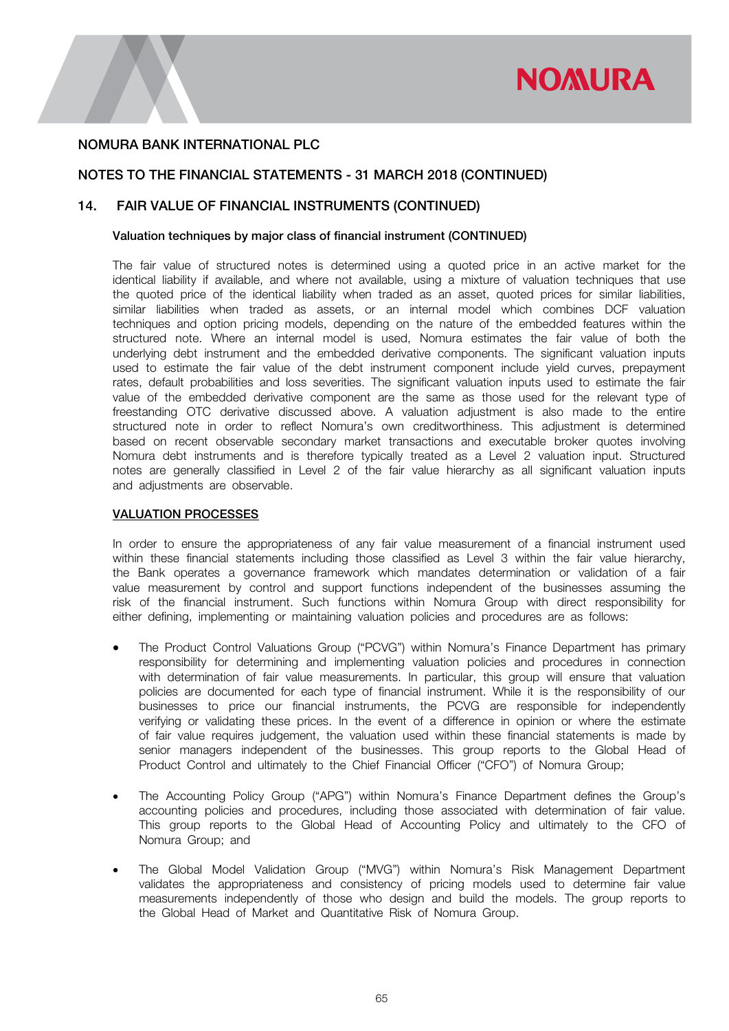

### NOTES TO THE FINANCIAL STATEMENTS - 31 MARCH 2018 (CONTINUED)

### 14. FAIR VALUE OF FINANCIAL INSTRUMENTS (CONTINUED)

#### Valuation techniques by major class of financial instrument (CONTINUED)

The fair value of structured notes is determined using a quoted price in an active market for the identical liability if available, and where not available, using a mixture of valuation techniques that use the quoted price of the identical liability when traded as an asset, quoted prices for similar liabilities, similar liabilities when traded as assets, or an internal model which combines DCF valuation techniques and option pricing models, depending on the nature of the embedded features within the structured note. Where an internal model is used, Nomura estimates the fair value of both the underlying debt instrument and the embedded derivative components. The significant valuation inputs used to estimate the fair value of the debt instrument component include yield curves, prepayment rates, default probabilities and loss severities. The significant valuation inputs used to estimate the fair value of the embedded derivative component are the same as those used for the relevant type of freestanding OTC derivative discussed above. A valuation adjustment is also made to the entire structured note in order to reflect Nomura's own creditworthiness. This adjustment is determined based on recent observable secondary market transactions and executable broker quotes involving Nomura debt instruments and is therefore typically treated as a Level 2 valuation input. Structured notes are generally classified in Level 2 of the fair value hierarchy as all significant valuation inputs and adjustments are observable.

#### VALUATION PROCESSES

In order to ensure the appropriateness of any fair value measurement of a financial instrument used within these financial statements including those classified as Level 3 within the fair value hierarchy, the Bank operates a governance framework which mandates determination or validation of a fair value measurement by control and support functions independent of the businesses assuming the risk of the financial instrument. Such functions within Nomura Group with direct responsibility for either defining, implementing or maintaining valuation policies and procedures are as follows:

- The Product Control Valuations Group ("PCVG") within Nomura's Finance Department has primary responsibility for determining and implementing valuation policies and procedures in connection with determination of fair value measurements. In particular, this group will ensure that valuation policies are documented for each type of financial instrument. While it is the responsibility of our businesses to price our financial instruments, the PCVG are responsible for independently verifying or validating these prices. In the event of a difference in opinion or where the estimate of fair value requires judgement, the valuation used within these financial statements is made by senior managers independent of the businesses. This group reports to the Global Head of Product Control and ultimately to the Chief Financial Officer ("CFO") of Nomura Group;
- The Accounting Policy Group ("APG") within Nomura's Finance Department defines the Group's accounting policies and procedures, including those associated with determination of fair value. This group reports to the Global Head of Accounting Policy and ultimately to the CFO of Nomura Group; and
- The Global Model Validation Group ("MVG") within Nomura's Risk Management Department validates the appropriateness and consistency of pricing models used to determine fair value measurements independently of those who design and build the models. The group reports to the Global Head of Market and Quantitative Risk of Nomura Group.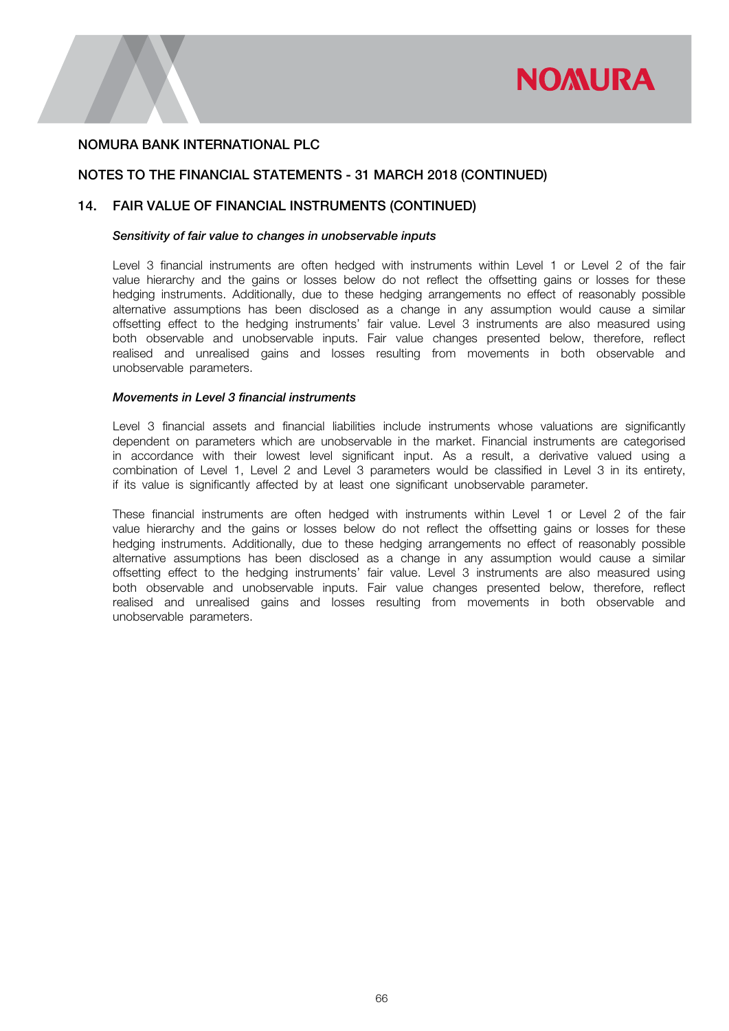

### NOTES TO THE FINANCIAL STATEMENTS - 31 MARCH 2018 (CONTINUED)

### 14. FAIR VALUE OF FINANCIAL INSTRUMENTS (CONTINUED)

#### *Sensitivity of fair value to changes in unobservable inputs*

Level 3 financial instruments are often hedged with instruments within Level 1 or Level 2 of the fair value hierarchy and the gains or losses below do not reflect the offsetting gains or losses for these hedging instruments. Additionally, due to these hedging arrangements no effect of reasonably possible alternative assumptions has been disclosed as a change in any assumption would cause a similar offsetting effect to the hedging instruments' fair value. Level 3 instruments are also measured using both observable and unobservable inputs. Fair value changes presented below, therefore, reflect realised and unrealised gains and losses resulting from movements in both observable and unobservable parameters.

#### *Movements in Level 3 financial instruments*

Level 3 financial assets and financial liabilities include instruments whose valuations are significantly dependent on parameters which are unobservable in the market. Financial instruments are categorised in accordance with their lowest level significant input. As a result, a derivative valued using a combination of Level 1, Level 2 and Level 3 parameters would be classified in Level 3 in its entirety, if its value is significantly affected by at least one significant unobservable parameter.

These financial instruments are often hedged with instruments within Level 1 or Level 2 of the fair value hierarchy and the gains or losses below do not reflect the offsetting gains or losses for these hedging instruments. Additionally, due to these hedging arrangements no effect of reasonably possible alternative assumptions has been disclosed as a change in any assumption would cause a similar offsetting effect to the hedging instruments' fair value. Level 3 instruments are also measured using both observable and unobservable inputs. Fair value changes presented below, therefore, reflect realised and unrealised gains and losses resulting from movements in both observable and unobservable parameters.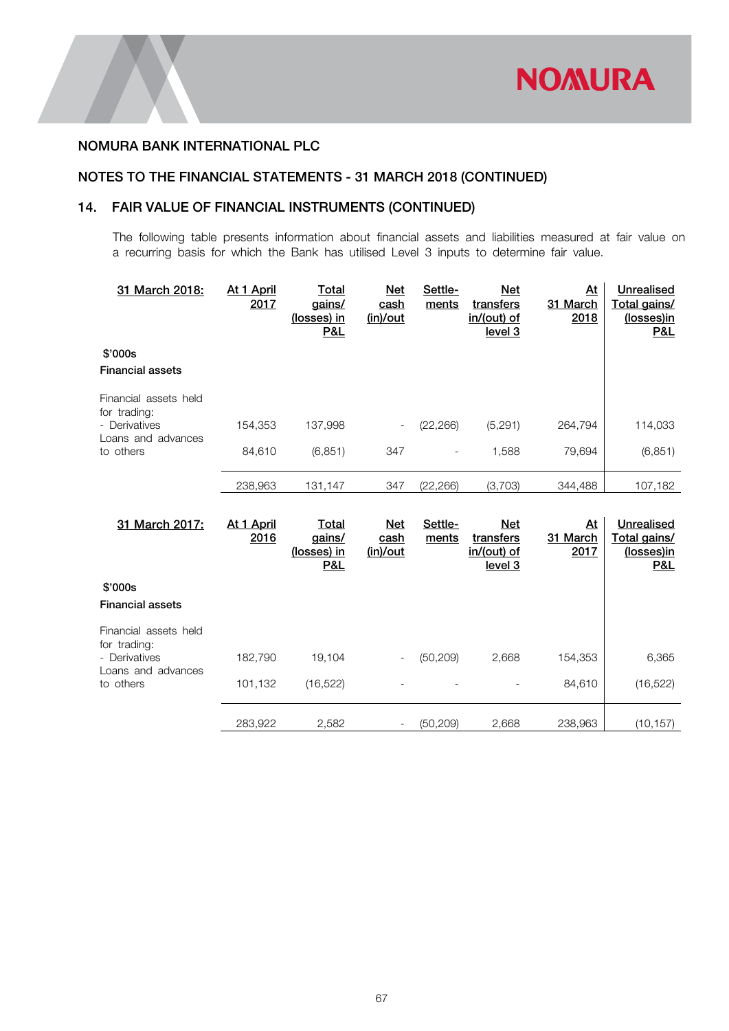

# NOTES TO THE FINANCIAL STATEMENTS - 31 MARCH 2018 (CONTINUED)

# 14. FAIR VALUE OF FINANCIAL INSTRUMENTS (CONTINUED)

The following table presents information about financial assets and liabilities measured at fair value on a recurring basis for which the Bank has utilised Level 3 inputs to determine fair value.

| 31 March 2018:                        | At 1 April<br>2017 | Total<br>gains/<br>(losses) in<br><b>P&amp;L</b>        | <b>Net</b><br>cash<br>(in)/out | Settle-<br>ments | <b>Net</b><br>transfers<br>in/(out) of<br>level 3 | <u>At</u><br>31 March<br>2018 | Unrealised<br>Total gains/<br>(losses)in<br><b>P&amp;L</b>        |
|---------------------------------------|--------------------|---------------------------------------------------------|--------------------------------|------------------|---------------------------------------------------|-------------------------------|-------------------------------------------------------------------|
| \$'000s                               |                    |                                                         |                                |                  |                                                   |                               |                                                                   |
| <b>Financial assets</b>               |                    |                                                         |                                |                  |                                                   |                               |                                                                   |
| Financial assets held<br>for trading: |                    |                                                         |                                |                  |                                                   |                               |                                                                   |
| - Derivatives<br>Loans and advances   | 154,353            | 137,998                                                 |                                | (22, 266)        | (5, 291)                                          | 264,794                       | 114,033                                                           |
| to others                             | 84,610             | (6, 851)                                                | 347                            |                  | 1,588                                             | 79,694                        | (6, 851)                                                          |
|                                       | 238,963            | 131,147                                                 | 347                            | (22, 266)        | (3,703)                                           | 344,488                       | 107,182                                                           |
| 31 March 2017:                        | At 1 April<br>2016 | <u>Total</u><br>gains/<br>(losses) in<br><b>P&amp;L</b> | <u>Net</u><br>cash<br>(in)/out | Settle-<br>ments | <u>Net</u><br>transfers<br>in/(out) of<br>level 3 | Δt<br>31 March<br>2017        | <b>Unrealised</b><br>Total gains/<br>(losses)in<br><b>P&amp;L</b> |
| \$'000s<br><b>Financial assets</b>    |                    |                                                         |                                |                  |                                                   |                               |                                                                   |
| Financial assets held<br>for trading: |                    |                                                         |                                |                  |                                                   |                               |                                                                   |
| - Derivatives<br>Loans and advances   | 182,790            | 19,104                                                  |                                | (50, 209)        | 2,668                                             | 154,353                       | 6,365                                                             |
| to others                             | 101,132            | (16, 522)                                               |                                |                  |                                                   | 84,610                        | (16, 522)                                                         |
|                                       |                    |                                                         |                                |                  |                                                   |                               |                                                                   |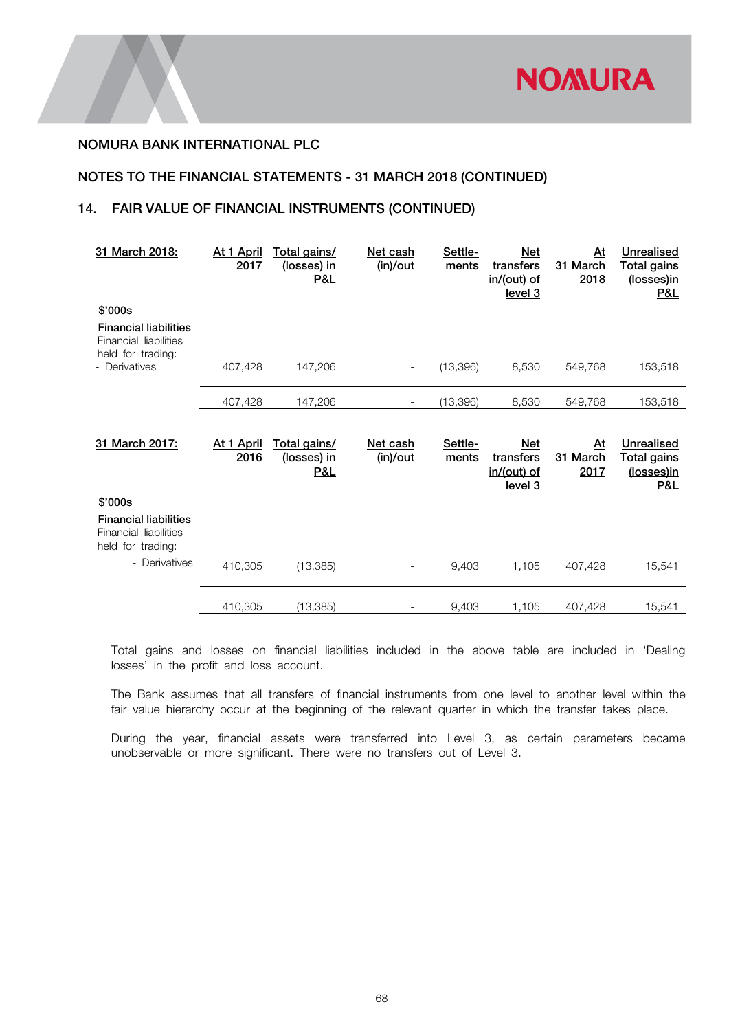

 $\overline{\phantom{a}}$ 

# NOMURA BANK INTERNATIONAL PLC

# NOTES TO THE FINANCIAL STATEMENTS - 31 MARCH 2018 (CONTINUED)

### 14. FAIR VALUE OF FINANCIAL INSTRUMENTS (CONTINUED)

| 31 March 2018:                                                             | At 1 April<br>2017 | <u>Total gains/</u><br>(losses) in<br><b>P&amp;L</b> | Net cash<br>(in)/out     | Settle-<br>ments | <u>Net</u><br>transfers<br>in/(out) of<br><u>level 3</u> | <u>At</u><br>31 March<br><u>2018</u> | Unrealised<br><u>Total gains</u><br>(losses)in<br><b>P&amp;L</b> |
|----------------------------------------------------------------------------|--------------------|------------------------------------------------------|--------------------------|------------------|----------------------------------------------------------|--------------------------------------|------------------------------------------------------------------|
| \$'000s                                                                    |                    |                                                      |                          |                  |                                                          |                                      |                                                                  |
| <b>Financial liabilities</b><br>Financial liabilities<br>held for trading: |                    |                                                      |                          |                  |                                                          |                                      |                                                                  |
| - Derivatives                                                              | 407.428            | 147.206                                              | $\overline{\phantom{a}}$ | (13,396)         | 8,530                                                    | 549.768                              | 153,518                                                          |
|                                                                            | 407,428            | 147,206                                              | $\overline{\phantom{a}}$ | (13,396)         | 8,530                                                    | 549,768                              | 153,518                                                          |
|                                                                            |                    |                                                      |                          |                  |                                                          |                                      |                                                                  |
| 31 March 2017:                                                             | At 1 April<br>2016 | Total gains/<br>(losses) in<br>P&L                   | Net cash<br>(in)/out     | Settle-<br>ments | <b>Net</b><br>transfers<br>in/(out) of                   | <u>At</u><br>31 March<br>2017        | Unrealised<br><b>Total gains</b><br>(losses)in                   |

|                                                                                             |         | <b>P&amp;L</b> | in/(out) of<br>level 3   |       |       |         | (losses)in<br><b>P&amp;L</b> |
|---------------------------------------------------------------------------------------------|---------|----------------|--------------------------|-------|-------|---------|------------------------------|
| \$'000s                                                                                     |         |                |                          |       |       |         |                              |
| <b>Financial liabilities</b><br>Financial liabilities<br>held for trading:<br>- Derivatives | 410,305 | (13, 385)      | -                        | 9,403 | 1,105 | 407,428 | 15,541                       |
|                                                                                             |         |                |                          |       |       |         |                              |
|                                                                                             | 410,305 | (13, 385)      | $\overline{\phantom{a}}$ | 9,403 | 1,105 | 407,428 | 15,541                       |

Total gains and losses on financial liabilities included in the above table are included in 'Dealing losses' in the profit and loss account.

The Bank assumes that all transfers of financial instruments from one level to another level within the fair value hierarchy occur at the beginning of the relevant quarter in which the transfer takes place.

During the year, financial assets were transferred into Level 3, as certain parameters became unobservable or more significant. There were no transfers out of Level 3.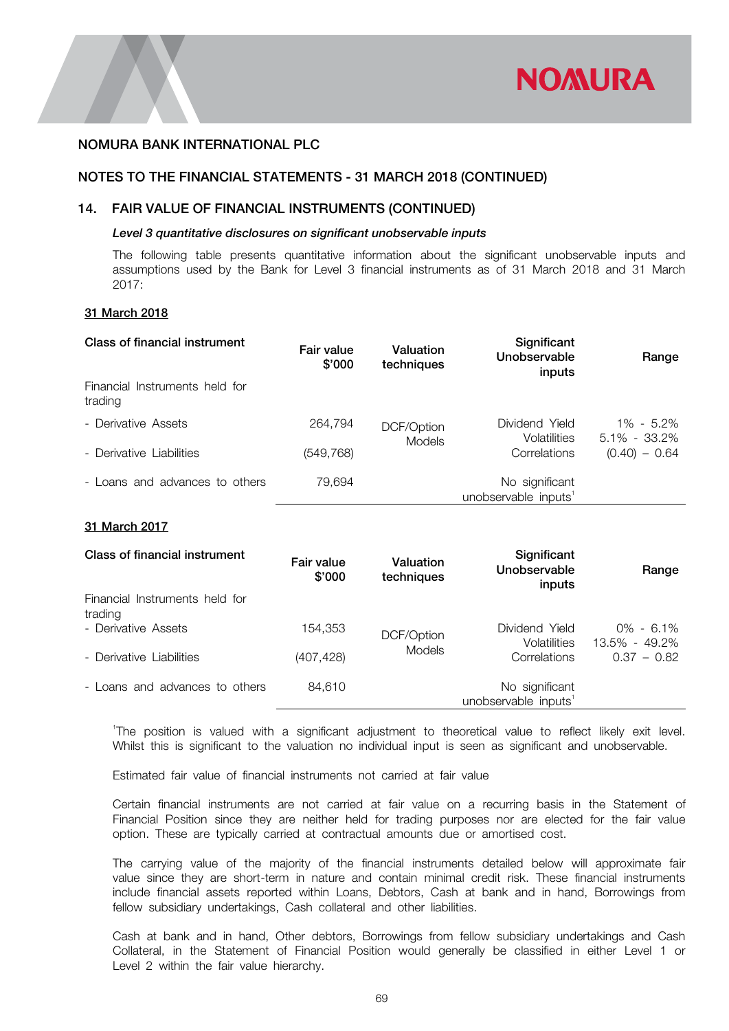

### NOTES TO THE FINANCIAL STATEMENTS - 31 MARCH 2018 (CONTINUED)

### 14. FAIR VALUE OF FINANCIAL INSTRUMENTS (CONTINUED)

#### *Level 3 quantitative disclosures on significant unobservable inputs*

The following table presents quantitative information about the significant unobservable inputs and assumptions used by the Bank for Level 3 financial instruments as of 31 March 2018 and 31 March 2017:

#### 31 March 2018

| <b>Class of financial instrument</b>      | Fair value<br>\$'000 | Valuation<br>techniques | Significant<br>Unobservable<br>inputs              | Range                             |
|-------------------------------------------|----------------------|-------------------------|----------------------------------------------------|-----------------------------------|
| Financial Instruments held for<br>trading |                      |                         |                                                    |                                   |
| - Derivative Assets                       | 264.794              | DCF/Option              | Dividend Yield<br>Volatilities                     | $1\% - 5.2\%$<br>$5.1\% - 33.2\%$ |
| - Derivative Liabilities                  | (549,768)            | Models                  | Correlations                                       | $(0.40) - 0.64$                   |
| - Loans and advances to others            | 79.694               |                         | No significant<br>unobservable inputs <sup>1</sup> |                                   |

#### 31 March 2017

| Fair value<br>\$'000 | Valuation<br>techniques | Significant<br>Unobservable<br>inputs | Range                            |
|----------------------|-------------------------|---------------------------------------|----------------------------------|
|                      |                         |                                       |                                  |
|                      |                         |                                       |                                  |
| 154,353              | DCF/Option              | Dividend Yield<br><b>Volatilities</b> | $0\% - 6.1\%$<br>13.5% - 49.2%   |
| (407, 428)           |                         | Correlations                          | $0.37 - 0.82$                    |
| 84.610               |                         | No significant                        |                                  |
|                      |                         | Models                                | unobservable inputs <sup>1</sup> |

<sup>1</sup>The position is valued with a significant adjustment to theoretical value to reflect likely exit level. Whilst this is significant to the valuation no individual input is seen as significant and unobservable.

Estimated fair value of financial instruments not carried at fair value

Certain financial instruments are not carried at fair value on a recurring basis in the Statement of Financial Position since they are neither held for trading purposes nor are elected for the fair value option. These are typically carried at contractual amounts due or amortised cost.

The carrying value of the majority of the financial instruments detailed below will approximate fair value since they are short-term in nature and contain minimal credit risk. These financial instruments include financial assets reported within Loans, Debtors, Cash at bank and in hand, Borrowings from fellow subsidiary undertakings, Cash collateral and other liabilities.

Cash at bank and in hand, Other debtors, Borrowings from fellow subsidiary undertakings and Cash Collateral, in the Statement of Financial Position would generally be classified in either Level 1 or Level 2 within the fair value hierarchy.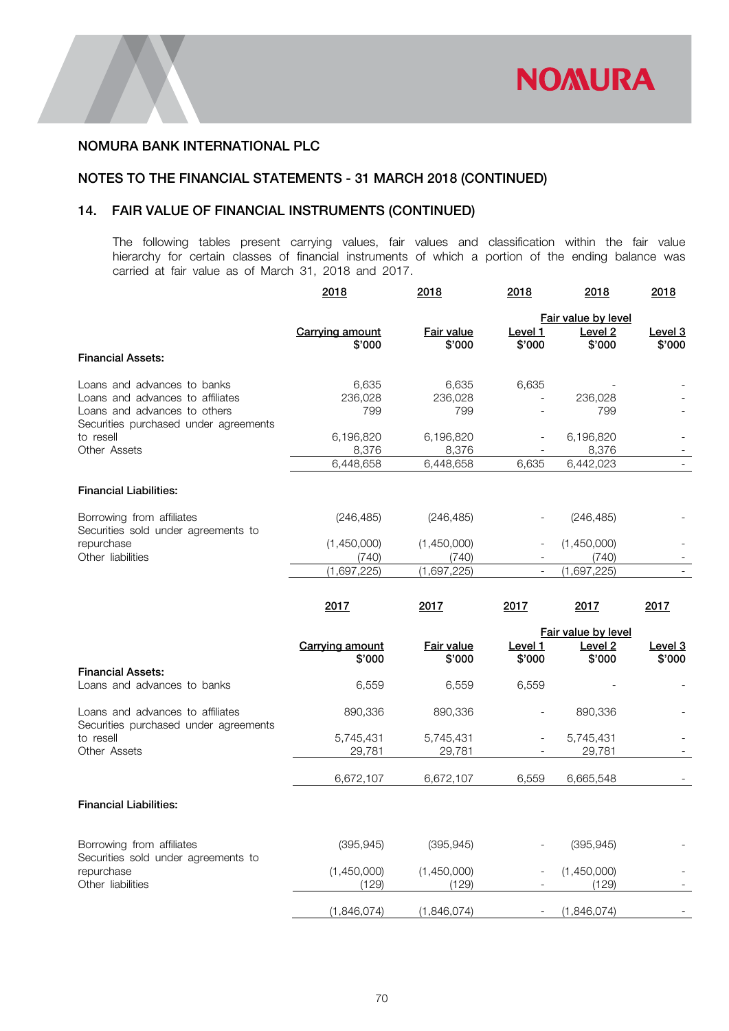

### NOTES TO THE FINANCIAL STATEMENTS - 31 MARCH 2018 (CONTINUED)

# 14. FAIR VALUE OF FINANCIAL INSTRUMENTS (CONTINUED)

The following tables present carrying values, fair values and classification within the fair value hierarchy for certain classes of financial instruments of which a portion of the ending balance was carried at fair value as of March 31, 2018 and 2017.

|                                                                                                 | <u>2018</u>                         | <u> 2018</u>                        | 2018              | <u>2018</u>                                                | <u>2018</u>       |
|-------------------------------------------------------------------------------------------------|-------------------------------------|-------------------------------------|-------------------|------------------------------------------------------------|-------------------|
|                                                                                                 | <b>Carrying amount</b><br>\$'000    | Fair value<br>\$'000                | Level 1<br>\$'000 | <b>Fair value by level</b><br>Level <sub>2</sub><br>\$'000 | Level 3<br>\$'000 |
| <b>Financial Assets:</b>                                                                        |                                     |                                     |                   |                                                            |                   |
| Loans and advances to banks<br>Loans and advances to affiliates<br>Loans and advances to others | 6,635<br>236,028<br>799             | 6,635<br>236,028<br>799             | 6.635             | 236,028<br>799                                             |                   |
| Securities purchased under agreements<br>to resell<br>Other Assets                              | 6,196,820<br>8,376<br>6,448,658     | 6,196,820<br>8,376<br>6,448,658     | 6.635             | 6,196,820<br>8,376<br>6,442,023                            |                   |
| <b>Financial Liabilities:</b>                                                                   |                                     |                                     |                   |                                                            |                   |
| Borrowing from affiliates<br>Securities sold under agreements to                                | (246, 485)                          | (246, 485)                          |                   | (246, 485)                                                 |                   |
| repurchase<br>Other liabilities                                                                 | (1,450,000)<br>(740)<br>(1,697,225) | (1,450,000)<br>(740)<br>(1,697,225) | $\mathbb{L}$      | (1,450,000)<br>(740)<br>(1,697,225)                        |                   |
|                                                                                                 | 2017                                | 2017                                | 2017              | 2017                                                       | 2017              |
|                                                                                                 | Carrying amount                     | Fair value                          | Level 1           | Fair value by level<br>Level <sub>2</sub>                  | Level 3           |
| <b>Financial Assets:</b><br>Loans and advances to banks                                         | \$'000<br>6,559                     | \$'000<br>6,559                     | \$'000<br>6,559   | \$'000                                                     | \$'000            |
| Loans and advances to affiliates                                                                | 890,336                             | 890,336                             |                   | 890,336                                                    |                   |
| Securities purchased under agreements<br>to resell<br>Other Assets                              | 5,745,431<br>29,781                 | 5,745,431<br>29,781                 |                   | 5,745,431<br>29,781                                        |                   |
|                                                                                                 | 6,672,107                           | 6,672,107                           | 6,559             | 6,665,548                                                  |                   |
| <b>Financial Liabilities:</b>                                                                   |                                     |                                     |                   |                                                            |                   |
| Borrowing from affiliates                                                                       | (395, 945)                          | (395, 945)                          |                   | (395, 945)                                                 |                   |
| Securities sold under agreements to<br>repurchase<br>Other liabilities                          | (1,450,000)<br>(129)                | (1,450,000)<br>(129)                |                   | (1,450,000)<br>(129)                                       |                   |
|                                                                                                 | (1,846,074)                         | (1,846,074)                         |                   | (1,846,074)                                                |                   |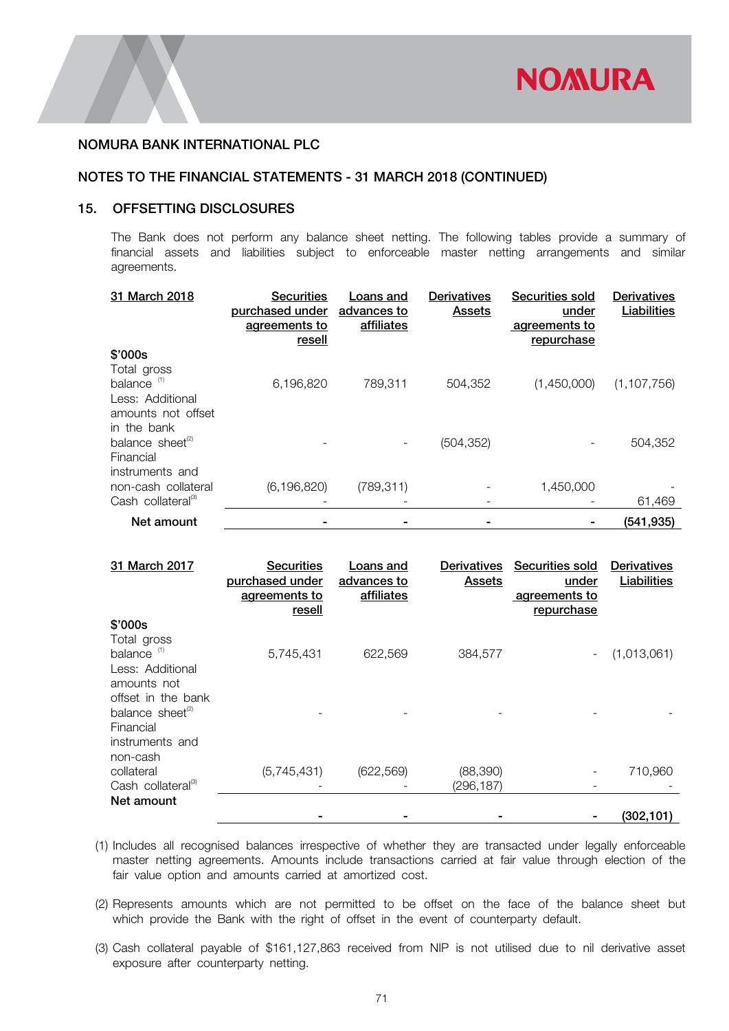

### NOTES TO THE FINANCIAL STATEMENTS - 31 MARCH 2018 (CONTINUED)

### 15. OFFSETTING DISCLOSURES

The Bank does not perform any balance sheet netting. The following tables provide a summary of financial assets and liabilities subject to enforceable master netting arrangements and similar agreements.

| 31 March 2018                  | <b>Securities</b><br>purchased under<br>agreements to<br><u>resell</u> | Loans and<br>advances to<br>affiliates | <b>Derivatives</b><br><b>Assets</b> | Securities sold<br>under<br>agreements to<br>repurchase | Derivatives<br>Liabilities |
|--------------------------------|------------------------------------------------------------------------|----------------------------------------|-------------------------------------|---------------------------------------------------------|----------------------------|
| \$'000s                        |                                                                        |                                        |                                     |                                                         |                            |
| Total gross                    |                                                                        |                                        |                                     |                                                         |                            |
| balance $(1)$                  | 6,196,820                                                              | 789,311                                | 504,352                             | (1,450,000)                                             | (1, 107, 756)              |
| Less: Additional               |                                                                        |                                        |                                     |                                                         |                            |
| amounts not offset             |                                                                        |                                        |                                     |                                                         |                            |
| in the bank                    |                                                                        |                                        |                                     |                                                         |                            |
| balance sheet <sup>(2)</sup>   |                                                                        |                                        | (504, 352)                          |                                                         | 504,352                    |
| Financial                      |                                                                        |                                        |                                     |                                                         |                            |
| instruments and                |                                                                        |                                        |                                     |                                                         |                            |
| non-cash collateral            | (6, 196, 820)                                                          | (789, 311)                             |                                     | 1,450,000                                               |                            |
| Cash collateral <sup>(3)</sup> |                                                                        |                                        |                                     |                                                         | 61,469                     |
| Net amount                     | -                                                                      |                                        |                                     |                                                         | (541,935)                  |

| 31 March 2017                  | <b>Securities</b><br>purchased under<br>agreements to<br><u>resell</u> | Loans and<br>advances to<br>affiliates | <b>Derivatives</b><br><u>Assets</u> | <b>Securities sold</b><br>under<br>agreements to<br>repurchase | <b>Derivatives</b><br><b>Liabilities</b> |
|--------------------------------|------------------------------------------------------------------------|----------------------------------------|-------------------------------------|----------------------------------------------------------------|------------------------------------------|
| \$'000s                        |                                                                        |                                        |                                     |                                                                |                                          |
| Total gross                    |                                                                        |                                        |                                     |                                                                |                                          |
| balance <sup>(1)</sup>         | 5,745,431                                                              | 622,569                                | 384,577                             |                                                                | (1,013,061)                              |
| Less: Additional               |                                                                        |                                        |                                     |                                                                |                                          |
| amounts not                    |                                                                        |                                        |                                     |                                                                |                                          |
| offset in the bank             |                                                                        |                                        |                                     |                                                                |                                          |
| balance sheet <sup>(2)</sup>   |                                                                        |                                        |                                     |                                                                |                                          |
| Financial                      |                                                                        |                                        |                                     |                                                                |                                          |
| instruments and                |                                                                        |                                        |                                     |                                                                |                                          |
| non-cash                       |                                                                        |                                        |                                     |                                                                |                                          |
| collateral                     | (5,745,431)                                                            | (622, 569)                             | (88, 390)                           |                                                                | 710,960                                  |
| Cash collateral <sup>(3)</sup> |                                                                        |                                        | (296, 187)                          |                                                                |                                          |
| Net amount                     |                                                                        |                                        |                                     |                                                                |                                          |
|                                |                                                                        |                                        |                                     |                                                                | (302, 101)                               |

- (1) Includes all recognised balances irrespective of whether they are transacted under legally enforceable master netting agreements. Amounts include transactions carried at fair value through election of the fair value option and amounts carried at amortized cost.
- (2) Represents amounts which are not permitted to be offset on the face of the balance sheet but which provide the Bank with the right of offset in the event of counterparty default.
- (3) Cash collateral payable of \$161,127,863 received from NIP is not utilised due to nil derivative asset exposure after counterparty netting.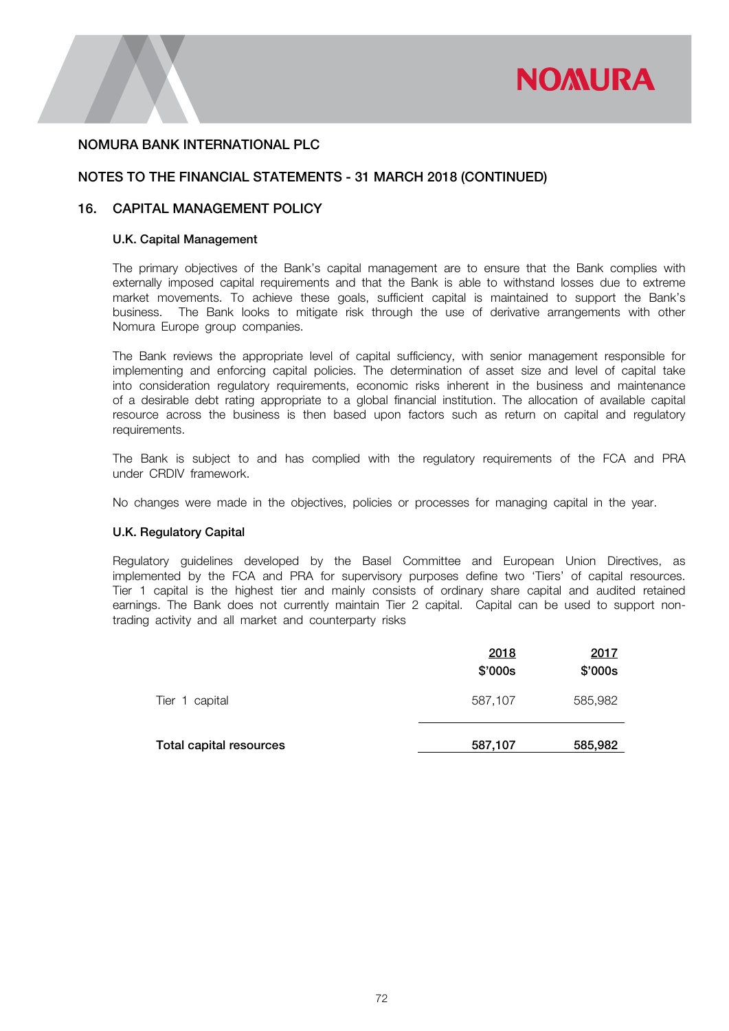

# NOMURA BANK INTERNATIONAL PLC

## NOTES TO THE FINANCIAL STATEMENTS - 31 MARCH 2018 (CONTINUED)

# 16. CAPITAL MANAGEMENT POLICY

### U.K. Capital Management

The primary objectives of the Bank's capital management are to ensure that the Bank complies with externally imposed capital requirements and that the Bank is able to withstand losses due to extreme market movements. To achieve these goals, sufficient capital is maintained to support the Bank's business. The Bank looks to mitigate risk through the use of derivative arrangements with other Nomura Europe group companies.

The Bank reviews the appropriate level of capital sufficiency, with senior management responsible for implementing and enforcing capital policies. The determination of asset size and level of capital take into consideration regulatory requirements, economic risks inherent in the business and maintenance of a desirable debt rating appropriate to a global financial institution. The allocation of available capital resource across the business is then based upon factors such as return on capital and regulatory requirements.

The Bank is subject to and has complied with the regulatory requirements of the FCA and PRA under CRDIV framework.

No changes were made in the objectives, policies or processes for managing capital in the year.

#### U.K. Regulatory Capital

Regulatory guidelines developed by the Basel Committee and European Union Directives, as implemented by the FCA and PRA for supervisory purposes define two 'Tiers' of capital resources. Tier 1 capital is the highest tier and mainly consists of ordinary share capital and audited retained earnings. The Bank does not currently maintain Tier 2 capital. Capital can be used to support nontrading activity and all market and counterparty risks

| <b>Total capital resources</b> | 587,107         | 585,982         |
|--------------------------------|-----------------|-----------------|
| Tier 1 capital                 | 587,107         | 585,982         |
|                                | 2018<br>\$'000s | 2017<br>\$'000s |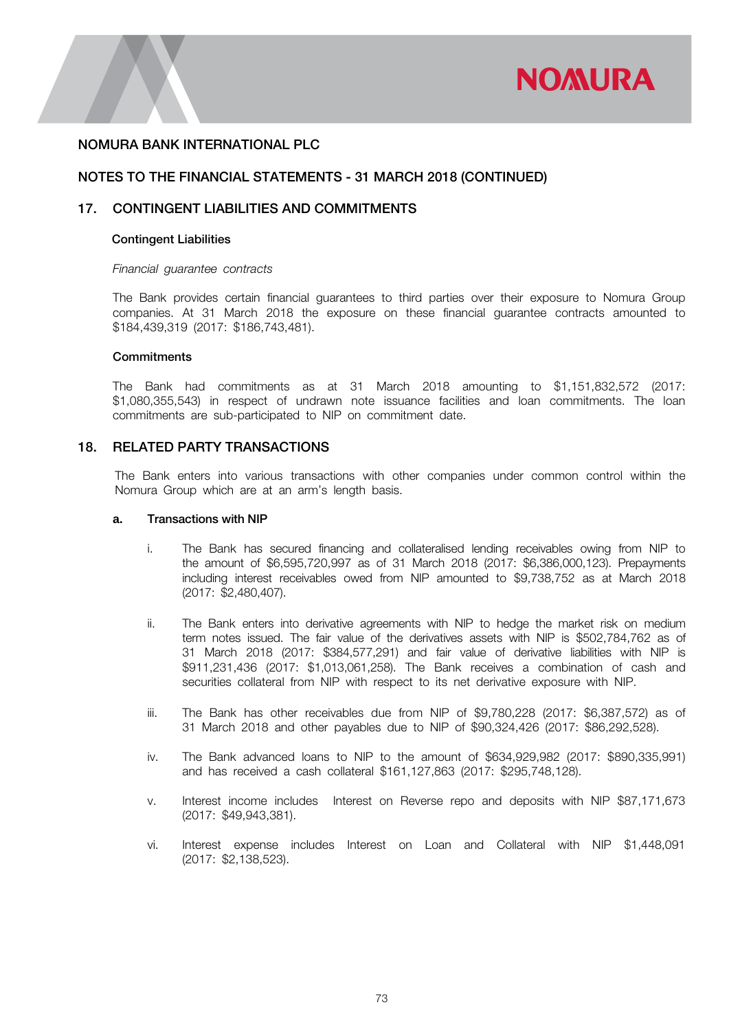

## NOMURA BANK INTERNATIONAL PLC

## NOTES TO THE FINANCIAL STATEMENTS - 31 MARCH 2018 (CONTINUED)

## 17. CONTINGENT LIABILITIES AND COMMITMENTS

#### Contingent Liabilities

*Financial guarantee contracts*

The Bank provides certain financial guarantees to third parties over their exposure to Nomura Group companies. At 31 March 2018 the exposure on these financial guarantee contracts amounted to \$184,439,319 (2017: \$186,743,481).

#### **Commitments**

The Bank had commitments as at 31 March 2018 amounting to \$1,151,832,572 (2017: \$1,080,355,543) in respect of undrawn note issuance facilities and loan commitments. The loan commitments are sub-participated to NIP on commitment date.

### 18. RELATED PARTY TRANSACTIONS

The Bank enters into various transactions with other companies under common control within the Nomura Group which are at an arm's length basis.

### **a.** Transactions with NIP

- i. The Bank has secured financing and collateralised lending receivables owing from NIP to the amount of \$6,595,720,997 as of 31 March 2018 (2017: \$6,386,000,123). Prepayments including interest receivables owed from NIP amounted to \$9,738,752 as at March 2018 (2017: \$2,480,407).
- ii. The Bank enters into derivative agreements with NIP to hedge the market risk on medium term notes issued. The fair value of the derivatives assets with NIP is \$502,784,762 as of 31 March 2018 (2017: \$384,577,291) and fair value of derivative liabilities with NIP is \$911,231,436 (2017: \$1,013,061,258). The Bank receives a combination of cash and securities collateral from NIP with respect to its net derivative exposure with NIP.
- iii. The Bank has other receivables due from NIP of \$9,780,228 (2017: \$6,387,572) as of 31 March 2018 and other payables due to NIP of \$90,324,426 (2017: \$86,292,528).
- iv. The Bank advanced loans to NIP to the amount of \$634,929,982 (2017: \$890,335,991) and has received a cash collateral \$161,127,863 (2017: \$295,748,128).
- v. Interest income includes Interest on Reverse repo and deposits with NIP \$87,171,673 (2017: \$49,943,381).
- vi. Interest expense includes Interest on Loan and Collateral with NIP \$1,448,091 (2017: \$2,138,523).